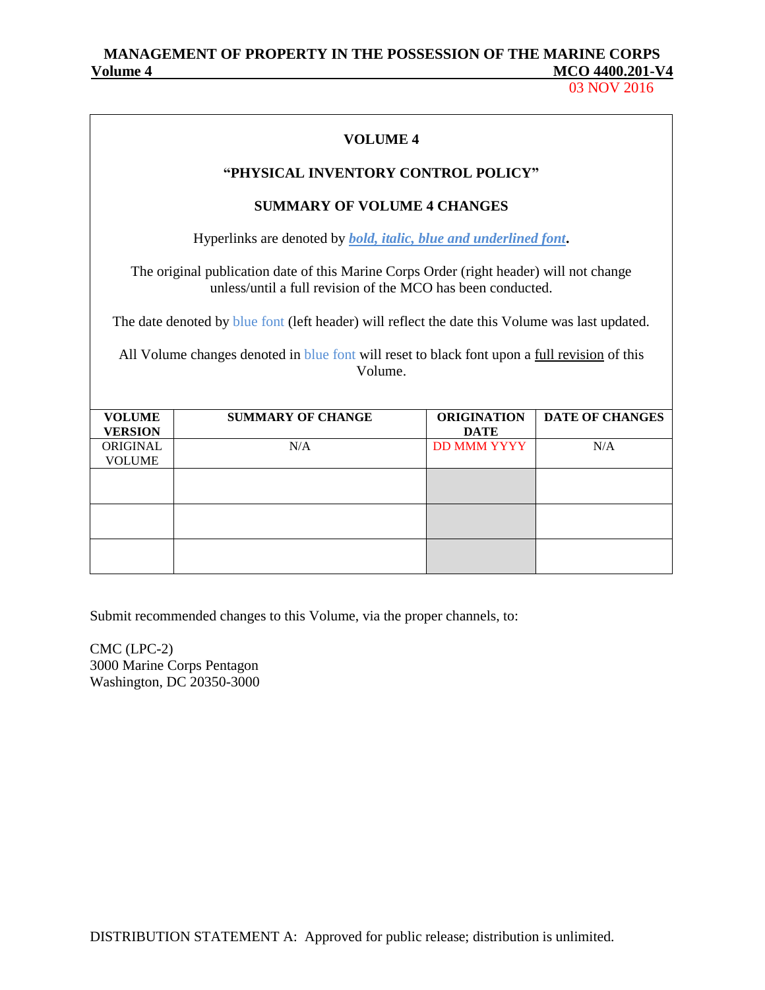# **MANAGEMENT OF PROPERTY IN THE POSSESSION OF THE MARINE CORPS MCO 4400.201-V4**

03 NOV 2016

|                                  | <b>VOLUME 4</b>                                                                                                                                        |                                   |                        |
|----------------------------------|--------------------------------------------------------------------------------------------------------------------------------------------------------|-----------------------------------|------------------------|
|                                  | "PHYSICAL INVENTORY CONTROL POLICY"                                                                                                                    |                                   |                        |
|                                  | <b>SUMMARY OF VOLUME 4 CHANGES</b>                                                                                                                     |                                   |                        |
|                                  | Hyperlinks are denoted by <i>bold</i> , <i>italic</i> , <i>blue and underlined font</i> .                                                              |                                   |                        |
|                                  | The original publication date of this Marine Corps Order (right header) will not change<br>unless/until a full revision of the MCO has been conducted. |                                   |                        |
|                                  | The date denoted by blue font (left header) will reflect the date this Volume was last updated.                                                        |                                   |                        |
|                                  | All Volume changes denoted in blue font will reset to black font upon a <u>full revision</u> of this<br>Volume.                                        |                                   |                        |
| <b>VOLUME</b><br><b>VERSION</b>  | <b>SUMMARY OF CHANGE</b>                                                                                                                               | <b>ORIGINATION</b><br><b>DATE</b> | <b>DATE OF CHANGES</b> |
| <b>ORIGINAL</b><br><b>VOLUME</b> | N/A                                                                                                                                                    | <b>DD MMM YYYY</b>                | N/A                    |
|                                  |                                                                                                                                                        |                                   |                        |
|                                  |                                                                                                                                                        |                                   |                        |
|                                  |                                                                                                                                                        |                                   |                        |

Submit recommended changes to this Volume, via the proper channels, to:

CMC (LPC-2) 3000 Marine Corps Pentagon Washington, DC 20350-3000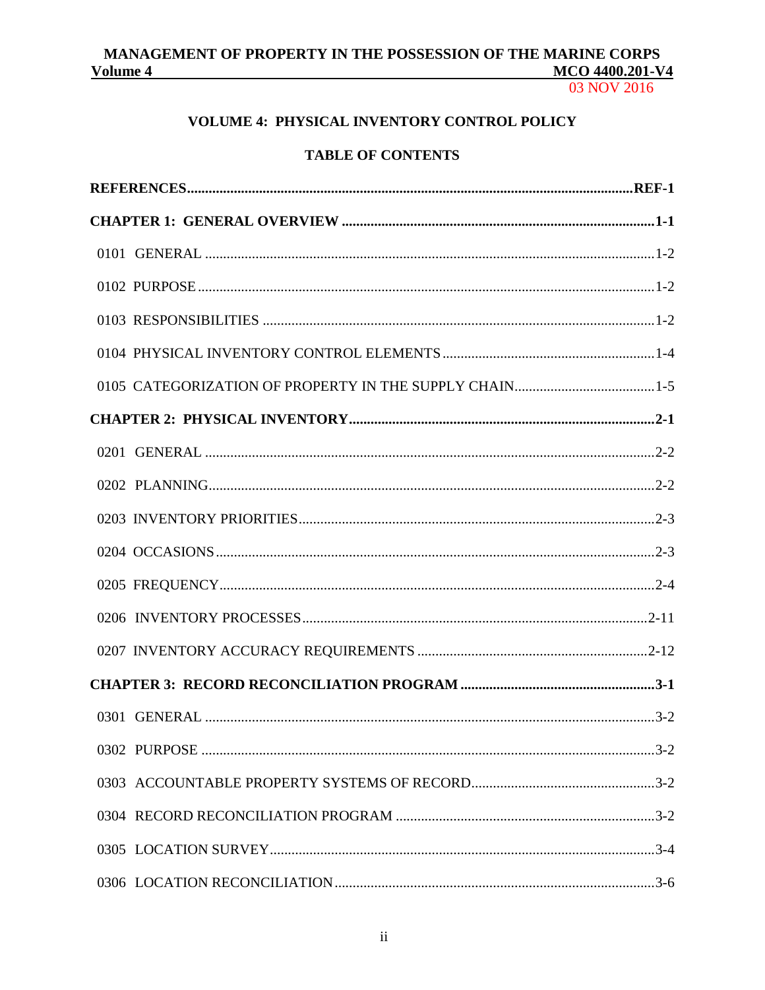#### MANAGEMENT OF PROPERTY IN THE POSSESSION OF THE MARINE CORPS **Volume 4** MCO 4400.201-V4 <u> 1980 - Johann Barbara, martxa alemaniar amerikan a</u>

03 NOV 2016

# VOLUME 4: PHYSICAL INVENTORY CONTROL POLICY

# **TABLE OF CONTENTS**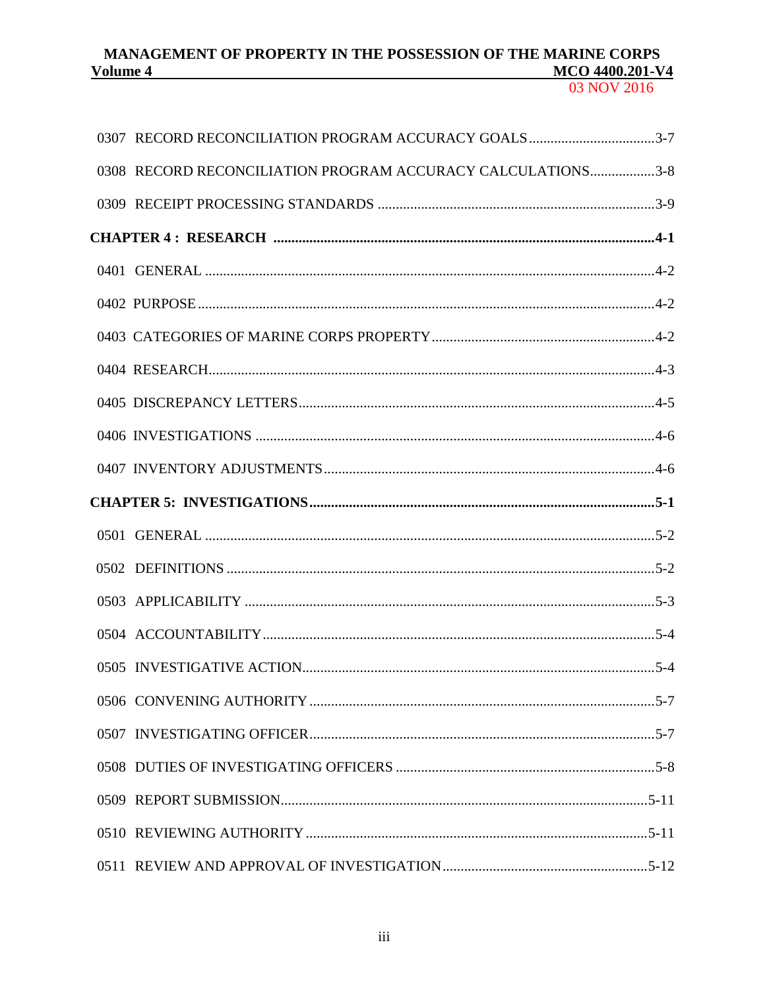03 NOV 2016

| 0307 RECORD RECONCILIATION PROGRAM ACCURACY GOALS 3-7       |
|-------------------------------------------------------------|
| 0308 RECORD RECONCILIATION PROGRAM ACCURACY CALCULATIONS3-8 |
|                                                             |
|                                                             |
|                                                             |
|                                                             |
|                                                             |
|                                                             |
|                                                             |
|                                                             |
|                                                             |
|                                                             |
|                                                             |
|                                                             |
|                                                             |
|                                                             |
|                                                             |
|                                                             |
|                                                             |
|                                                             |
|                                                             |
|                                                             |
|                                                             |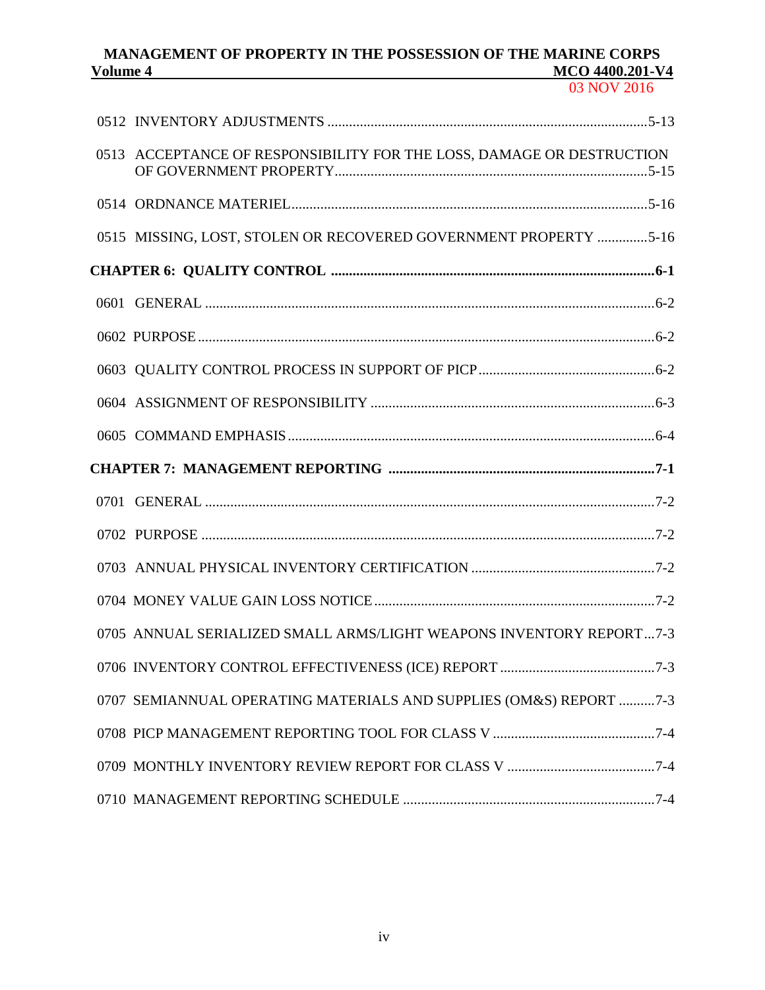03 NOV 2016

| 0513 | ACCEPTANCE OF RESPONSIBILITY FOR THE LOSS, DAMAGE OR DESTRUCTION    |
|------|---------------------------------------------------------------------|
|      |                                                                     |
|      | 0515 MISSING, LOST, STOLEN OR RECOVERED GOVERNMENT PROPERTY 5-16    |
|      |                                                                     |
|      |                                                                     |
|      |                                                                     |
|      |                                                                     |
|      |                                                                     |
|      |                                                                     |
|      |                                                                     |
|      |                                                                     |
|      |                                                                     |
|      |                                                                     |
|      |                                                                     |
|      | 0705 ANNUAL SERIALIZED SMALL ARMS/LIGHT WEAPONS INVENTORY REPORT7-3 |
|      |                                                                     |
|      | 0707 SEMIANNUAL OPERATING MATERIALS AND SUPPLIES (OM&S) REPORT 7-3  |
|      |                                                                     |
|      |                                                                     |
|      |                                                                     |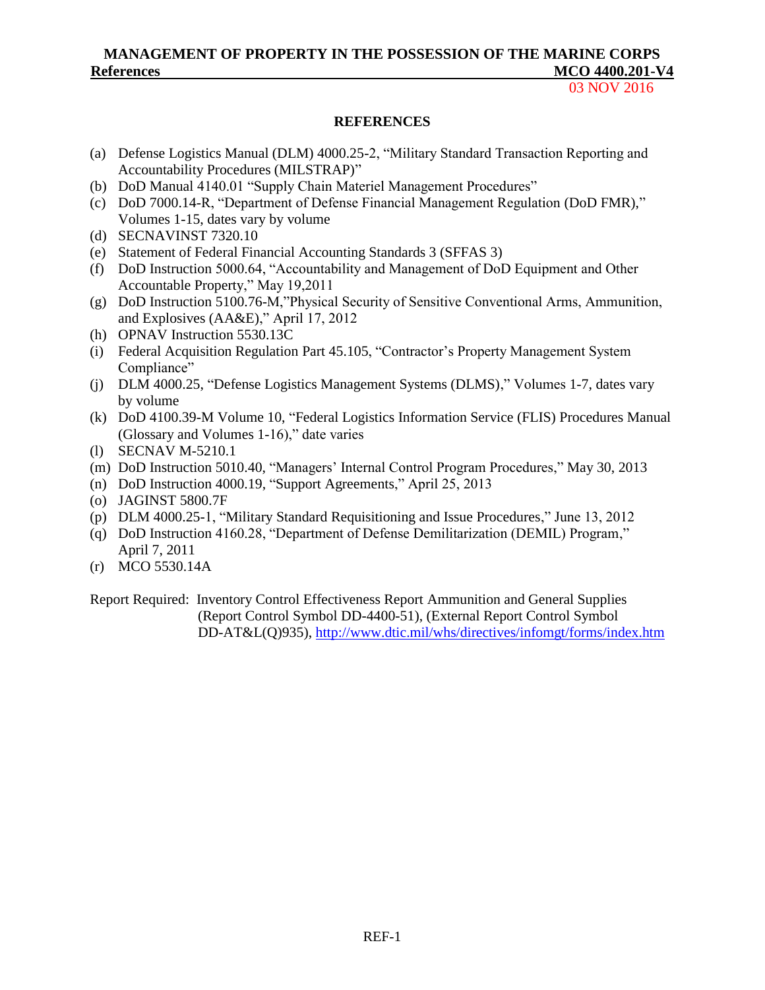# **MANAGEMENT OF PROPERTY IN THE POSSESSION OF THE MARINE CORPS References MCO 4400.201-V4**

03 NOV 2016

#### **REFERENCES**

- (a) [Defense Logistics Manual \(DLM\) 4000.25-2, "Military Standard Transaction Reporting and](http://www2.dla.mil/j-6/dlmso/elibrary/Manuals/DLM/MILSTRAP/MILSTRAP.pdf)  [Accountability Procedures \(MILSTRAP\)"](http://www2.dla.mil/j-6/dlmso/elibrary/Manuals/DLM/MILSTRAP/MILSTRAP.pdf)
- (b) DoD Manual [4140.01 "Supply Chain Materiel Management Procedures"](http://www.dtic.mil/whs/directives/corres/pdf/414001m/414001m_vol10.pdf)
- (c) [DoD 7000.14-R, "Department of Defense Financial Management Regulation](http://comptroller.defense.gov/fmr) (DoD FMR)," Volumes 1-15, dates vary by volume
- (d) [SECNAVINST 7320.10](https://doni.daps.dla.mil/Directives/07000%20Financial%20Management%20Services/07-300%20General%20Accounting%20Services/7320.10A.pdf)
- (e) [Statement of Federal Financial Accounting Standards 3 \(SFFAS 3\)](http://www.fasab.gov/pdffiles/handbook_sffas_3.pdf)
- (f) DoD Instruction [5000.64, "Accountability and Management of DoD Equipment and Other](http://www.dtic.mil/whs/directives/corres/pdf/500064p.pdf) [Accountable Property,](http://www.dtic.mil/whs/directives/corres/pdf/500064p.pdf)" May 19,2011
- (g) DoD Instruction [5100.76-M,"Physical Security of Sensitive Conventional Arms, Ammunition,](http://dtic.mil/whs/directives/corres/pdf/510076m.pdf) [and Explosives \(AA&E\)," April 17, 2012](http://dtic.mil/whs/directives/corres/pdf/510076m.pdf)
- (h) [OPNAV Instruction 5530.13C](https://doni.daps.dla.mil/Directives/05000%20General%20Management%20Security%20and%20Safety%20Services/05-500%20Security%20Services/5530.13C.pdf)
- (i) [Federal Acquisition Regulation Part 45.105,](https://www.acquisition.gov/sites/default/files/current/far/html/Subpart%2045_1.html#wp1025853) "Contractor's Property Management System Compliance"
- (j) [DLM 4000.25, "Defense Logistics Management Systems \(DLMS\),](file:///C:/Users/Brad/Desktop/MCPub%204140.1/Vol%201%20Accountability%20&%20Responsibility/13%20Nov%2013%20versions/www2.dla.mil/j-6/dlmso/elibrary/manuals/dlm/dlm_pubs.asp‎)" Volumes 1-7, dates vary by volume
- (k) [DoD 4100.39-M Volume 10, "Federal Logistics Information Service \(FLIS\) Procedures Manual](http://www.dtic.mil/whs/directives/corres/pdf/410039m/410039m_vol10.pdf) (Glossary and Volumes 1-16)," date varies
- (l) [SECNAV M-5210.1](http://doni.documentservices.dla.mil/SECNAV%20Manuals1/5210.1.pdf)
- (m) [DoD Instruction 5010.40, "Managers' Internal Control Program Procedures,](http://www.dtic.mil/whs/directives/corres/pdf/501040p.pdf)" May 30, 2013
- (n) DoD Instruction [4000.19, "Support Agreements,](http://dtic.mil/whs/directives/corres/pdf/400019p.pdf)" April 25, 2013
- (o) [JAGINST 5800.7F](http://www.marines.mil/Portals/59/Publications/JAGINST%205800.7F.pdf)
- (p) [DLM 4000.25-1, "Military Standard Requisitioning and Issue Procedures,](http://www2.dla.mil/j-6/dlmso/elibrary/Manuals/DLM/MILSTRIP/MILSTRIP.pdf)" June 13, 2012
- (q) DoD Instruction [4160.28, "Department of Defense Demilitarization \(DEMIL\) Program,"](http://dtic.mil/whs/directives/corres/pdf/416028p.pdf) April 7, 2011
- (r) [MCO 5530.14A](http://www.marines.mil/Portals/59/Publications/MCO%205530_14A.pdf)

Report Required: Inventory Control Effectiveness Report Ammunition and General Supplies (Report Control Symbol DD-4400-51), (External Report Control Symbol DD-AT&L(Q)935),<http://www.dtic.mil/whs/directives/infomgt/forms/index.htm>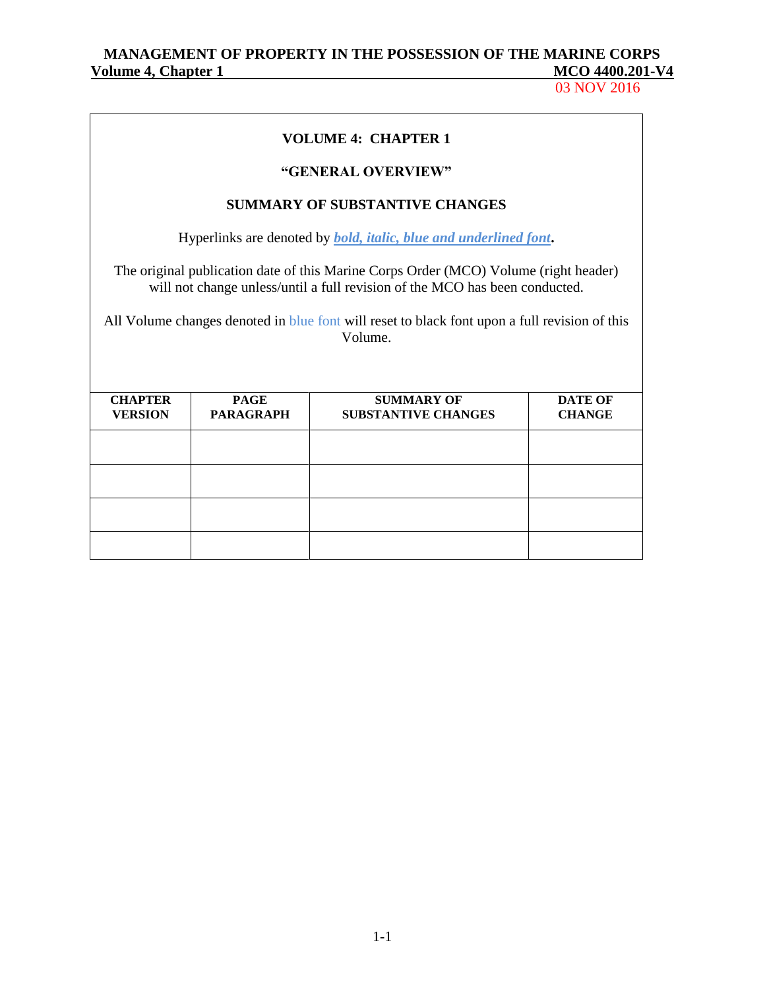# **MANAGEMENT OF PROPERTY IN THE POSSESSION OF THE MARINE CORPS Volume 4, Chapter 1** McConstantial McConstantial McConstantial McConstantial McConstantial McConstantial McConstantial McConstantial McConstantial McConstantial McConstantial McConstantial McConstantial McConstantial McCo

03 NOV 2016

|                                  |                                 | <b>VOLUME 4: CHAPTER 1</b>                                                                                                                                          |                                 |
|----------------------------------|---------------------------------|---------------------------------------------------------------------------------------------------------------------------------------------------------------------|---------------------------------|
|                                  |                                 | "GENERAL OVERVIEW"                                                                                                                                                  |                                 |
|                                  |                                 | <b>SUMMARY OF SUBSTANTIVE CHANGES</b>                                                                                                                               |                                 |
|                                  |                                 | Hyperlinks are denoted by <b><i>bold, italic, blue and underlined font.</i></b>                                                                                     |                                 |
|                                  |                                 | The original publication date of this Marine Corps Order (MCO) Volume (right header)<br>will not change unless/until a full revision of the MCO has been conducted. |                                 |
|                                  |                                 | All Volume changes denoted in blue font will reset to black font upon a full revision of this<br>Volume.                                                            |                                 |
| <b>CHAPTER</b><br><b>VERSION</b> | <b>PAGE</b><br><b>PARAGRAPH</b> | <b>SUMMARY OF</b><br><b>SUBSTANTIVE CHANGES</b>                                                                                                                     | <b>DATE OF</b><br><b>CHANGE</b> |
|                                  |                                 |                                                                                                                                                                     |                                 |
|                                  |                                 |                                                                                                                                                                     |                                 |
|                                  |                                 |                                                                                                                                                                     |                                 |
|                                  |                                 |                                                                                                                                                                     |                                 |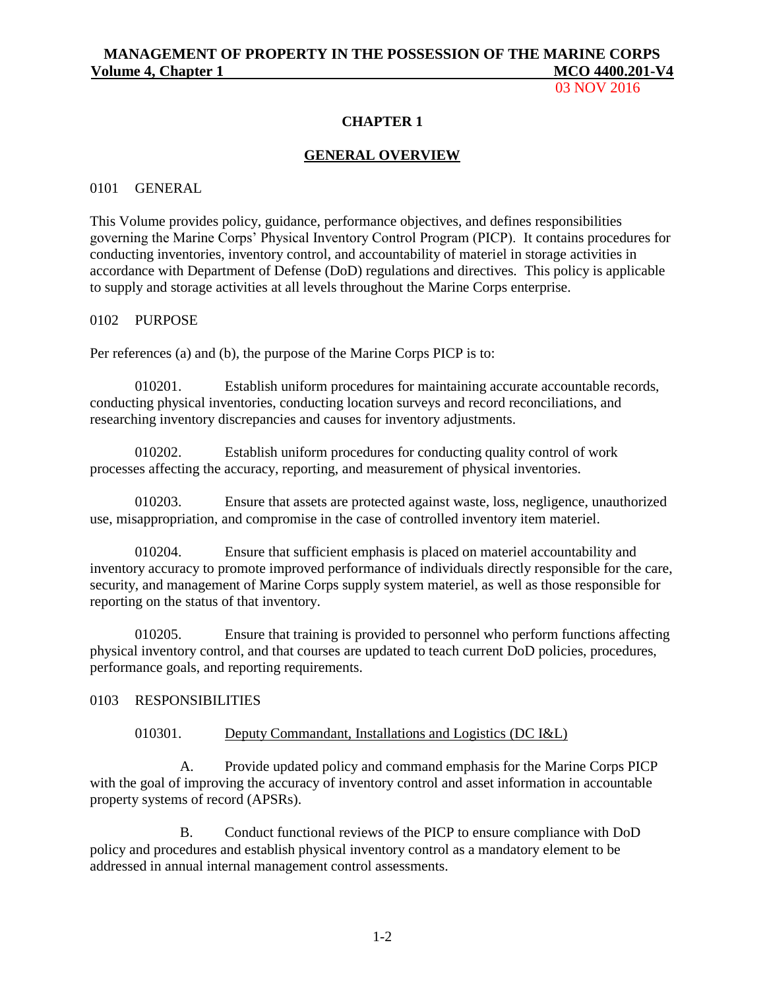03 NOV 2016

#### **CHAPTER 1**

#### **GENERAL OVERVIEW**

#### 0101 GENERAL

This Volume provides policy, guidance, performance objectives, and defines responsibilities governing the Marine Corps' Physical Inventory Control Program (PICP). It contains procedures for conducting inventories, inventory control, and accountability of materiel in storage activities in accordance with Department of Defense (DoD) regulations and directives. This policy is applicable to supply and storage activities at all levels throughout the Marine Corps enterprise.

#### 0102 PURPOSE

Per references (a) and (b), the purpose of the Marine Corps PICP is to:

010201. Establish uniform procedures for maintaining accurate accountable records, conducting physical inventories, conducting location surveys and record reconciliations, and researching inventory discrepancies and causes for inventory adjustments.

010202. Establish uniform procedures for conducting quality control of work processes affecting the accuracy, reporting, and measurement of physical inventories.

010203. Ensure that assets are protected against waste, loss, negligence, unauthorized use, misappropriation, and compromise in the case of controlled inventory item materiel.

010204. Ensure that sufficient emphasis is placed on materiel accountability and inventory accuracy to promote improved performance of individuals directly responsible for the care, security, and management of Marine Corps supply system materiel, as well as those responsible for reporting on the status of that inventory.

010205. Ensure that training is provided to personnel who perform functions affecting physical inventory control, and that courses are updated to teach current DoD policies, procedures, performance goals, and reporting requirements.

#### 0103 RESPONSIBILITIES

#### 010301. Deputy Commandant, Installations and Logistics (DC I&L)

A. Provide updated policy and command emphasis for the Marine Corps PICP with the goal of improving the accuracy of inventory control and asset information in accountable property systems of record (APSRs).

B. Conduct functional reviews of the PICP to ensure compliance with DoD policy and procedures and establish physical inventory control as a mandatory element to be addressed in annual internal management control assessments.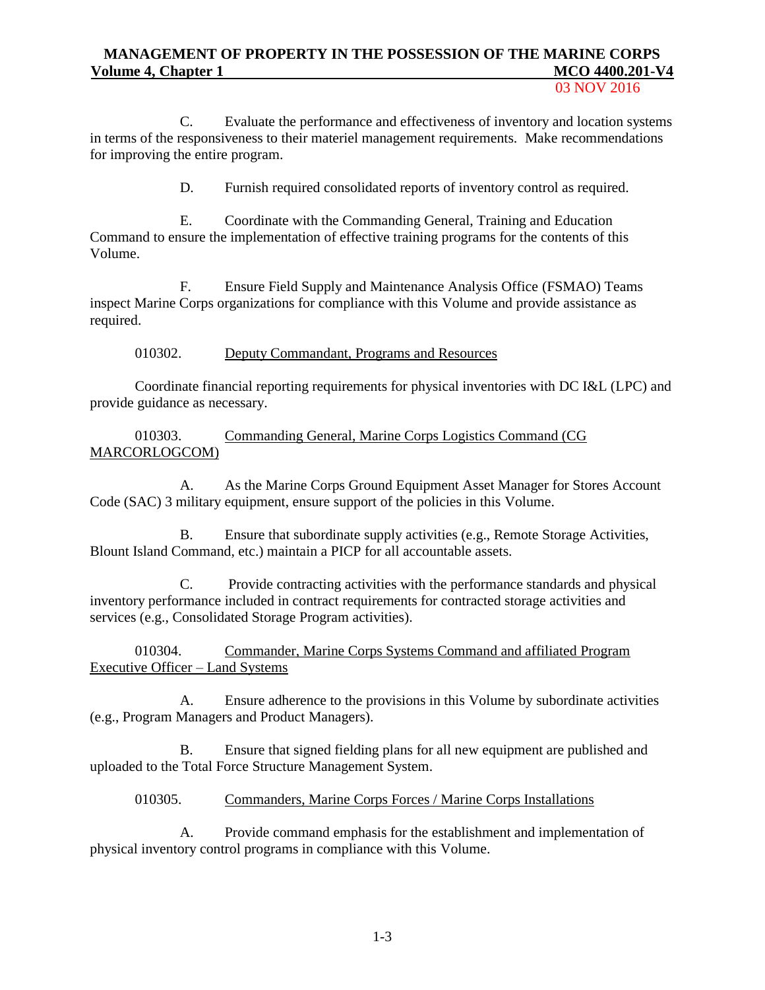03 NOV 2016

C. Evaluate the performance and effectiveness of inventory and location systems in terms of the responsiveness to their materiel management requirements. Make recommendations for improving the entire program.

D. Furnish required consolidated reports of inventory control as required.

E. Coordinate with the Commanding General, Training and Education Command to ensure the implementation of effective training programs for the contents of this Volume.

F. Ensure Field Supply and Maintenance Analysis Office (FSMAO) Teams inspect Marine Corps organizations for compliance with this Volume and provide assistance as required.

010302. Deputy Commandant, Programs and Resources

Coordinate financial reporting requirements for physical inventories with DC I&L (LPC) and provide guidance as necessary.

010303. Commanding General, Marine Corps Logistics Command (CG MARCORLOGCOM)

A. As the Marine Corps Ground Equipment Asset Manager for Stores Account Code (SAC) 3 military equipment, ensure support of the policies in this Volume.

B. Ensure that subordinate supply activities (e.g., Remote Storage Activities, Blount Island Command, etc.) maintain a PICP for all accountable assets.

C. Provide contracting activities with the performance standards and physical inventory performance included in contract requirements for contracted storage activities and services (e.g., Consolidated Storage Program activities).

010304. Commander, Marine Corps Systems Command and affiliated Program Executive Officer – Land Systems

A. Ensure adherence to the provisions in this Volume by subordinate activities (e.g., Program Managers and Product Managers).

B. Ensure that signed fielding plans for all new equipment are published and uploaded to the Total Force Structure Management System.

010305. Commanders, Marine Corps Forces / Marine Corps Installations

A. Provide command emphasis for the establishment and implementation of physical inventory control programs in compliance with this Volume.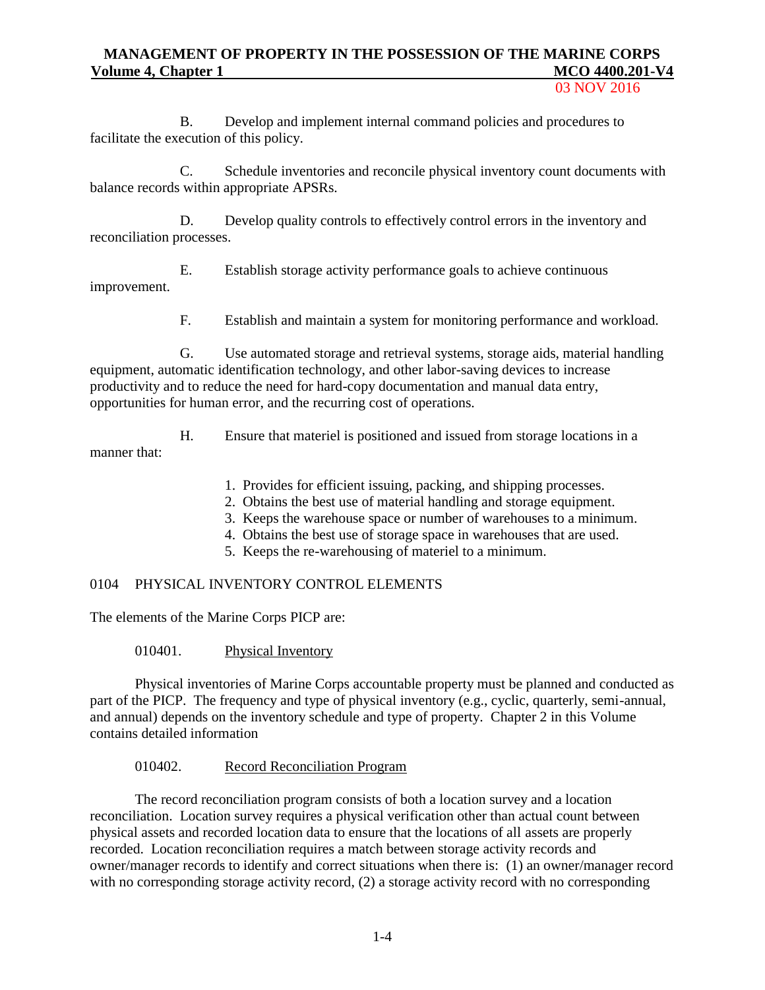03 NOV 2016

B. Develop and implement internal command policies and procedures to facilitate the execution of this policy.

C. Schedule inventories and reconcile physical inventory count documents with balance records within appropriate APSRs.

D. Develop quality controls to effectively control errors in the inventory and reconciliation processes.

E. Establish storage activity performance goals to achieve continuous improvement.

F. Establish and maintain a system for monitoring performance and workload.

G. Use automated storage and retrieval systems, storage aids, material handling equipment, automatic identification technology, and other labor-saving devices to increase productivity and to reduce the need for hard-copy documentation and manual data entry, opportunities for human error, and the recurring cost of operations.

H. Ensure that materiel is positioned and issued from storage locations in a manner that:

- 1. Provides for efficient issuing, packing, and shipping processes.
- 2. Obtains the best use of material handling and storage equipment.
- 3. Keeps the warehouse space or number of warehouses to a minimum.
- 4. Obtains the best use of storage space in warehouses that are used.
- 5. Keeps the re-warehousing of materiel to a minimum.

### 0104 PHYSICAL INVENTORY CONTROL ELEMENTS

The elements of the Marine Corps PICP are:

010401. Physical Inventory

Physical inventories of Marine Corps accountable property must be planned and conducted as part of the PICP. The frequency and type of physical inventory (e.g., cyclic, quarterly, semi-annual, and annual) depends on the inventory schedule and type of property. Chapter 2 in this Volume contains detailed information

010402. Record Reconciliation Program

The record reconciliation program consists of both a location survey and a location reconciliation. Location survey requires a physical verification other than actual count between physical assets and recorded location data to ensure that the locations of all assets are properly recorded. Location reconciliation requires a match between storage activity records and owner/manager records to identify and correct situations when there is: (1) an owner/manager record with no corresponding storage activity record, (2) a storage activity record with no corresponding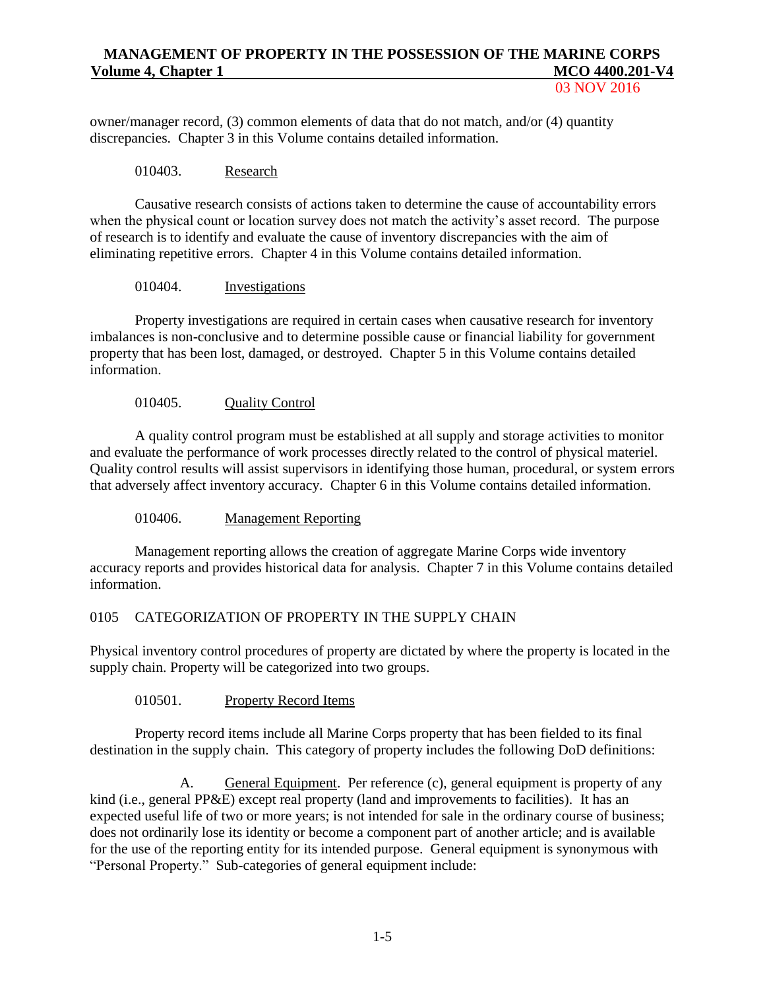03 NOV 2016

owner/manager record, (3) common elements of data that do not match, and/or (4) quantity discrepancies. Chapter 3 in this Volume contains detailed information.

#### 010403. Research

Causative research consists of actions taken to determine the cause of accountability errors when the physical count or location survey does not match the activity's asset record. The purpose of research is to identify and evaluate the cause of inventory discrepancies with the aim of eliminating repetitive errors. Chapter 4 in this Volume contains detailed information.

#### 010404. Investigations

Property investigations are required in certain cases when causative research for inventory imbalances is non-conclusive and to determine possible cause or financial liability for government property that has been lost, damaged, or destroyed. Chapter 5 in this Volume contains detailed information.

#### 010405. Quality Control

A quality control program must be established at all supply and storage activities to monitor and evaluate the performance of work processes directly related to the control of physical materiel. Quality control results will assist supervisors in identifying those human, procedural, or system errors that adversely affect inventory accuracy. Chapter 6 in this Volume contains detailed information.

010406. Management Reporting

Management reporting allows the creation of aggregate Marine Corps wide inventory accuracy reports and provides historical data for analysis. Chapter 7 in this Volume contains detailed information.

#### 0105 CATEGORIZATION OF PROPERTY IN THE SUPPLY CHAIN

Physical inventory control procedures of property are dictated by where the property is located in the supply chain. Property will be categorized into two groups.

010501. Property Record Items

Property record items include all Marine Corps property that has been fielded to its final destination in the supply chain. This category of property includes the following DoD definitions:

A. General Equipment. Per reference (c), general equipment is property of any kind (i.e., general PP&E) except real property (land and improvements to facilities). It has an expected useful life of two or more years; is not intended for sale in the ordinary course of business; does not ordinarily lose its identity or become a component part of another article; and is available for the use of the reporting entity for its intended purpose. General equipment is synonymous with "Personal Property." Sub-categories of general equipment include: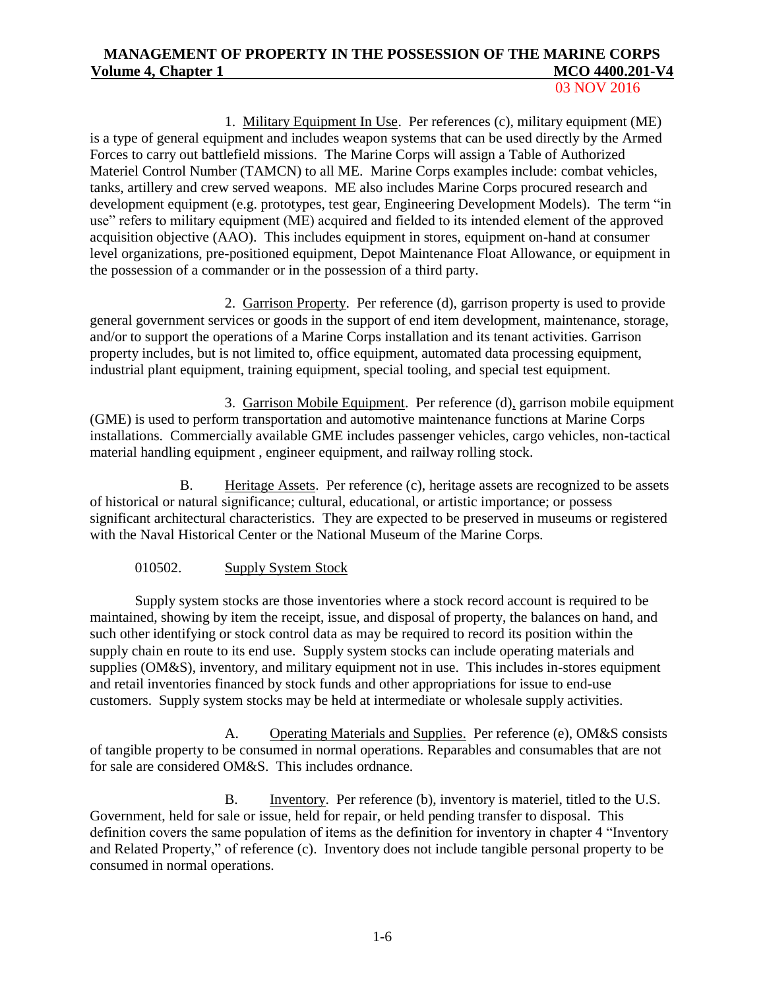03 NOV 2016

1. Military Equipment In Use. Per references (c), military equipment (ME) is a type of general equipment and includes weapon systems that can be used directly by the Armed Forces to carry out battlefield missions. The Marine Corps will assign a Table of Authorized Materiel Control Number (TAMCN) to all ME. Marine Corps examples include: combat vehicles, tanks, artillery and crew served weapons. ME also includes Marine Corps procured research and development equipment (e.g. prototypes, test gear, Engineering Development Models). The term "in use" refers to military equipment (ME) acquired and fielded to its intended element of the approved acquisition objective (AAO). This includes equipment in stores, equipment on-hand at consumer level organizations, pre-positioned equipment, Depot Maintenance Float Allowance, or equipment in the possession of a commander or in the possession of a third party.

2. Garrison Property. Per reference (d), garrison property is used to provide general government services or goods in the support of end item development, maintenance, storage, and/or to support the operations of a Marine Corps installation and its tenant activities. Garrison property includes, but is not limited to, office equipment, automated data processing equipment, industrial plant equipment, training equipment, special tooling, and special test equipment.

3. Garrison Mobile Equipment. Per reference (d), garrison mobile equipment (GME) is used to perform transportation and automotive maintenance functions at Marine Corps installations. Commercially available GME includes passenger vehicles, cargo vehicles, non-tactical material handling equipment , engineer equipment, and railway rolling stock.

B. Heritage Assets. Per reference (c), heritage assets are recognized to be assets of historical or natural significance; cultural, educational, or artistic importance; or possess significant architectural characteristics. They are expected to be preserved in museums or registered with the Naval Historical Center or the National Museum of the Marine Corps.

#### 010502. Supply System Stock

Supply system stocks are those inventories where a stock record account is required to be maintained, showing by item the receipt, issue, and disposal of property, the balances on hand, and such other identifying or stock control data as may be required to record its position within the supply chain en route to its end use. Supply system stocks can include operating materials and supplies (OM&S), inventory, and military equipment not in use. This includes in-stores equipment and retail inventories financed by stock funds and other appropriations for issue to end-use customers. Supply system stocks may be held at intermediate or wholesale supply activities.

A. Operating Materials and Supplies. Per reference (e), OM&S consists of tangible property to be consumed in normal operations. Reparables and consumables that are not for sale are considered OM&S. This includes ordnance.

B. Inventory. Per reference (b), inventory is materiel, titled to the U.S. Government, held for sale or issue, held for repair, or held pending transfer to disposal. This definition covers the same population of items as the definition for inventory in chapter 4 "Inventory and Related Property," of reference (c). Inventory does not include tangible personal property to be consumed in normal operations.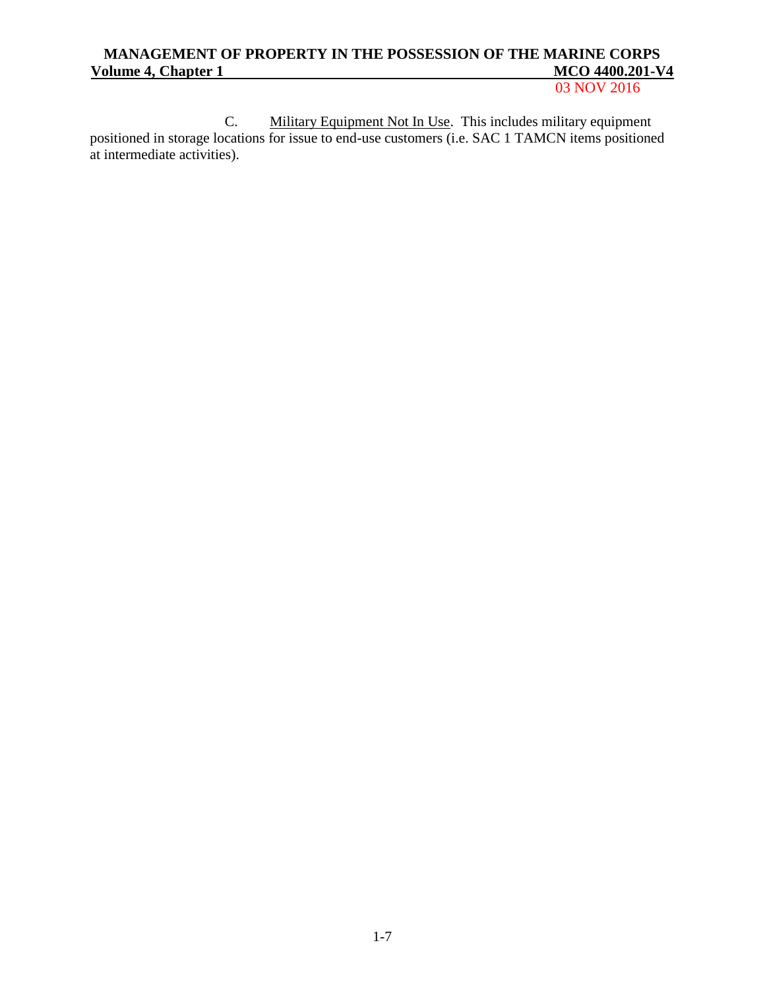03 NOV 2016

C. Military Equipment Not In Use. This includes military equipment positioned in storage locations for issue to end-use customers (i.e. SAC 1 TAMCN items positioned at intermediate activities).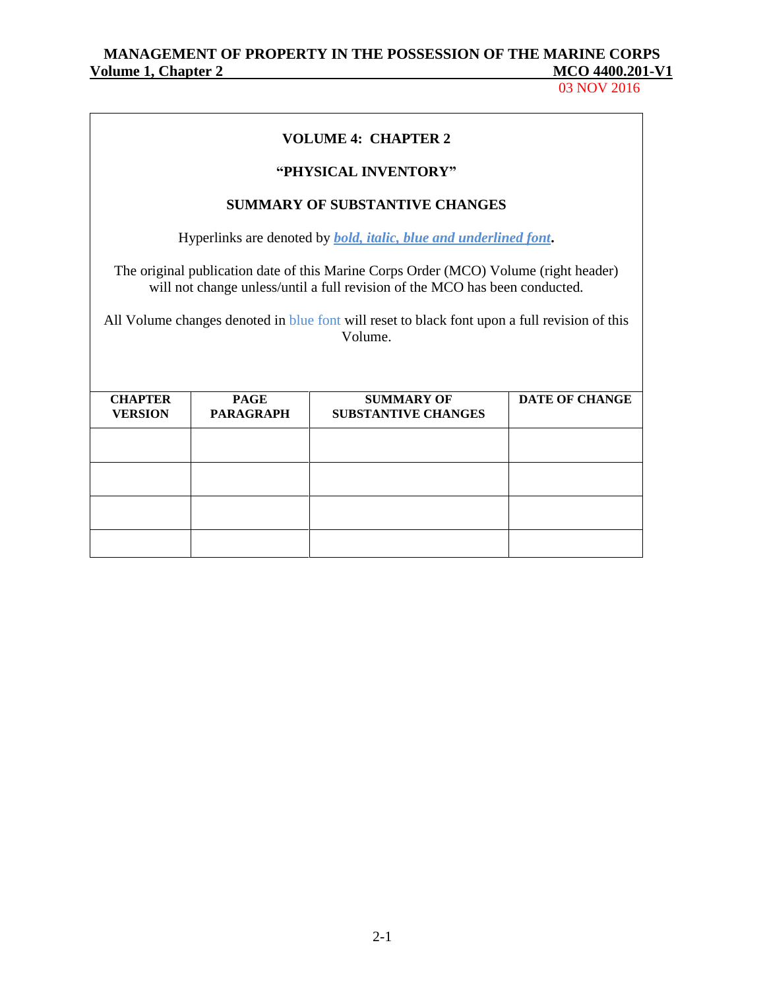03 NOV 2016

# **VOLUME 4: CHAPTER 2**

### **"PHYSICAL INVENTORY"**

#### **SUMMARY OF SUBSTANTIVE CHANGES**

Hyperlinks are denoted by *bold, italic, blue and underlined font***.**

The original publication date of this Marine Corps Order (MCO) Volume (right header) will not change unless/until a full revision of the MCO has been conducted.

All Volume changes denoted in blue font will reset to black font upon a full revision of this Volume.

| <b>CHAPTER</b> | <b>PAGE</b>      | <b>SUMMARY OF</b>          | <b>DATE OF CHANGE</b> |
|----------------|------------------|----------------------------|-----------------------|
| <b>VERSION</b> | <b>PARAGRAPH</b> | <b>SUBSTANTIVE CHANGES</b> |                       |
|                |                  |                            |                       |
|                |                  |                            |                       |
|                |                  |                            |                       |
|                |                  |                            |                       |
|                |                  |                            |                       |
|                |                  |                            |                       |
|                |                  |                            |                       |
|                |                  |                            |                       |
|                |                  |                            |                       |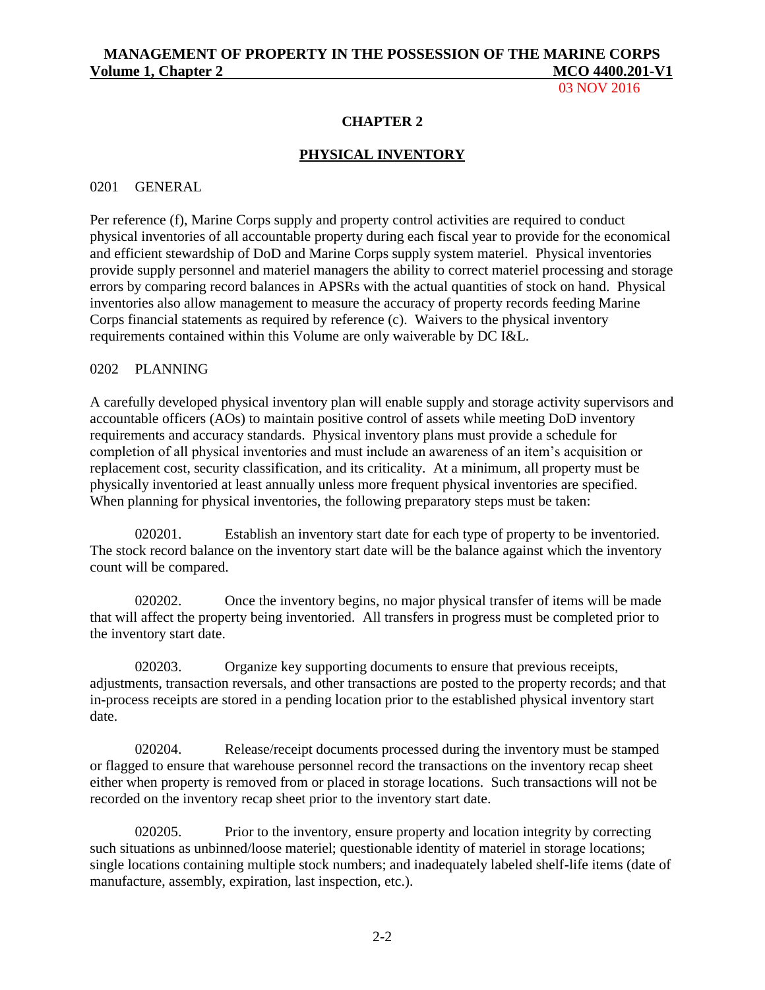03 NOV 2016

#### **CHAPTER 2**

#### **PHYSICAL INVENTORY**

#### 0201 GENERAL

Per reference (f), Marine Corps supply and property control activities are required to conduct physical inventories of all accountable property during each fiscal year to provide for the economical and efficient stewardship of DoD and Marine Corps supply system materiel. Physical inventories provide supply personnel and materiel managers the ability to correct materiel processing and storage errors by comparing record balances in APSRs with the actual quantities of stock on hand. Physical inventories also allow management to measure the accuracy of property records feeding Marine Corps financial statements as required by reference (c). Waivers to the physical inventory requirements contained within this Volume are only waiverable by DC I&L.

#### 0202 PLANNING

A carefully developed physical inventory plan will enable supply and storage activity supervisors and accountable officers (AOs) to maintain positive control of assets while meeting DoD inventory requirements and accuracy standards. Physical inventory plans must provide a schedule for completion of all physical inventories and must include an awareness of an item's acquisition or replacement cost, security classification, and its criticality. At a minimum, all property must be physically inventoried at least annually unless more frequent physical inventories are specified. When planning for physical inventories, the following preparatory steps must be taken:

020201. Establish an inventory start date for each type of property to be inventoried. The stock record balance on the inventory start date will be the balance against which the inventory count will be compared.

020202. Once the inventory begins, no major physical transfer of items will be made that will affect the property being inventoried. All transfers in progress must be completed prior to the inventory start date.

020203. Organize key supporting documents to ensure that previous receipts, adjustments, transaction reversals, and other transactions are posted to the property records; and that in-process receipts are stored in a pending location prior to the established physical inventory start date.

020204. Release/receipt documents processed during the inventory must be stamped or flagged to ensure that warehouse personnel record the transactions on the inventory recap sheet either when property is removed from or placed in storage locations. Such transactions will not be recorded on the inventory recap sheet prior to the inventory start date.

020205. Prior to the inventory, ensure property and location integrity by correcting such situations as unbinned/loose materiel; questionable identity of materiel in storage locations; single locations containing multiple stock numbers; and inadequately labeled shelf-life items (date of manufacture, assembly, expiration, last inspection, etc.).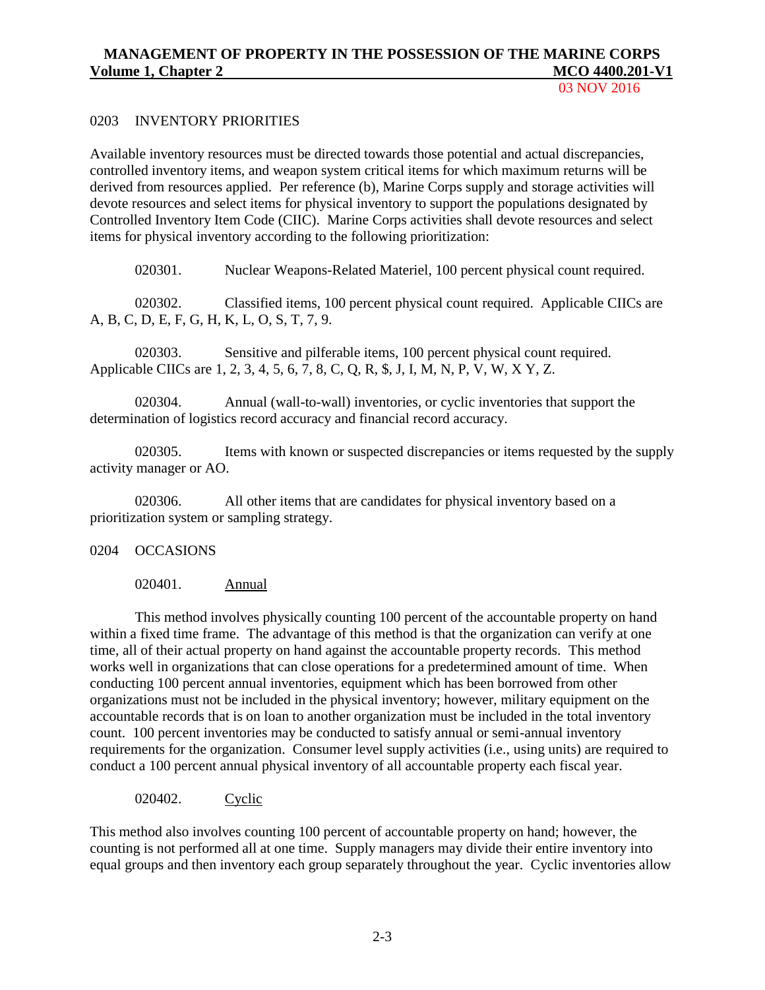#### 0203 INVENTORY PRIORITIES

Available inventory resources must be directed towards those potential and actual discrepancies, controlled inventory items, and weapon system critical items for which maximum returns will be derived from resources applied. Per reference (b), Marine Corps supply and storage activities will devote resources and select items for physical inventory to support the populations designated by Controlled Inventory Item Code (CIIC). Marine Corps activities shall devote resources and select items for physical inventory according to the following prioritization:

020301. Nuclear Weapons-Related Materiel, 100 percent physical count required.

020302. Classified items, 100 percent physical count required. Applicable CIICs are A, B, C, D, E, F, G, H, K, L, O, S, T, 7, 9.

020303. Sensitive and pilferable items, 100 percent physical count required. Applicable CIICs are 1, 2, 3, 4, 5, 6, 7, 8, C, Q, R, \$, J, I, M, N, P, V, W, X Y, Z.

020304. Annual (wall-to-wall) inventories, or cyclic inventories that support the determination of logistics record accuracy and financial record accuracy.

020305. Items with known or suspected discrepancies or items requested by the supply activity manager or AO.

020306. All other items that are candidates for physical inventory based on a prioritization system or sampling strategy.

#### 0204 OCCASIONS

#### 020401. Annual

This method involves physically counting 100 percent of the accountable property on hand within a fixed time frame. The advantage of this method is that the organization can verify at one time, all of their actual property on hand against the accountable property records. This method works well in organizations that can close operations for a predetermined amount of time. When conducting 100 percent annual inventories, equipment which has been borrowed from other organizations must not be included in the physical inventory; however, military equipment on the accountable records that is on loan to another organization must be included in the total inventory count. 100 percent inventories may be conducted to satisfy annual or semi-annual inventory requirements for the organization. Consumer level supply activities (i.e., using units) are required to conduct a 100 percent annual physical inventory of all accountable property each fiscal year.

020402. Cyclic

This method also involves counting 100 percent of accountable property on hand; however, the counting is not performed all at one time. Supply managers may divide their entire inventory into equal groups and then inventory each group separately throughout the year. Cyclic inventories allow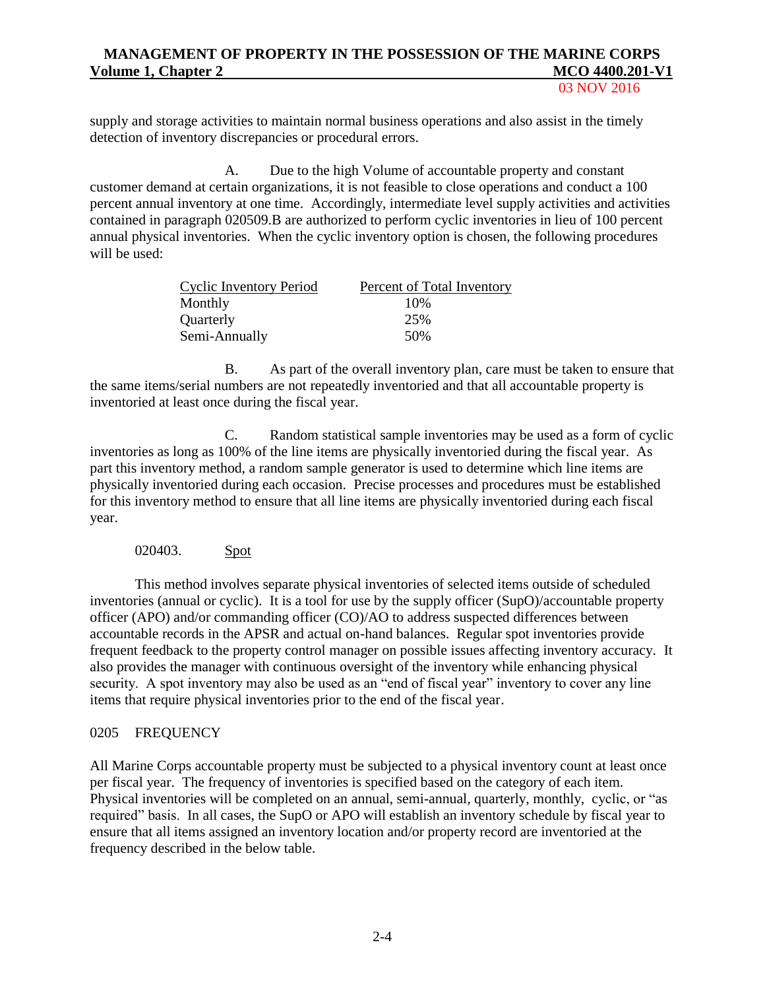03 NOV 2016

supply and storage activities to maintain normal business operations and also assist in the timely detection of inventory discrepancies or procedural errors.

A. Due to the high Volume of accountable property and constant customer demand at certain organizations, it is not feasible to close operations and conduct a 100 percent annual inventory at one time. Accordingly, intermediate level supply activities and activities contained in paragraph 020509.B are authorized to perform cyclic inventories in lieu of 100 percent annual physical inventories. When the cyclic inventory option is chosen, the following procedures will be used:

| Percent of Total Inventory |
|----------------------------|
| 10\%                       |
| 25%                        |
| 50%                        |
|                            |

B. As part of the overall inventory plan, care must be taken to ensure that the same items/serial numbers are not repeatedly inventoried and that all accountable property is inventoried at least once during the fiscal year.

C. Random statistical sample inventories may be used as a form of cyclic inventories as long as 100% of the line items are physically inventoried during the fiscal year. As part this inventory method, a random sample generator is used to determine which line items are physically inventoried during each occasion. Precise processes and procedures must be established for this inventory method to ensure that all line items are physically inventoried during each fiscal year.

020403. Spot

This method involves separate physical inventories of selected items outside of scheduled inventories (annual or cyclic). It is a tool for use by the supply officer (SupO)/accountable property officer (APO) and/or commanding officer (CO)/AO to address suspected differences between accountable records in the APSR and actual on-hand balances. Regular spot inventories provide frequent feedback to the property control manager on possible issues affecting inventory accuracy. It also provides the manager with continuous oversight of the inventory while enhancing physical security. A spot inventory may also be used as an "end of fiscal year" inventory to cover any line items that require physical inventories prior to the end of the fiscal year.

#### 0205 FREQUENCY

All Marine Corps accountable property must be subjected to a physical inventory count at least once per fiscal year. The frequency of inventories is specified based on the category of each item. Physical inventories will be completed on an annual, semi-annual, quarterly, monthly, cyclic, or "as required" basis. In all cases, the SupO or APO will establish an inventory schedule by fiscal year to ensure that all items assigned an inventory location and/or property record are inventoried at the frequency described in the below table.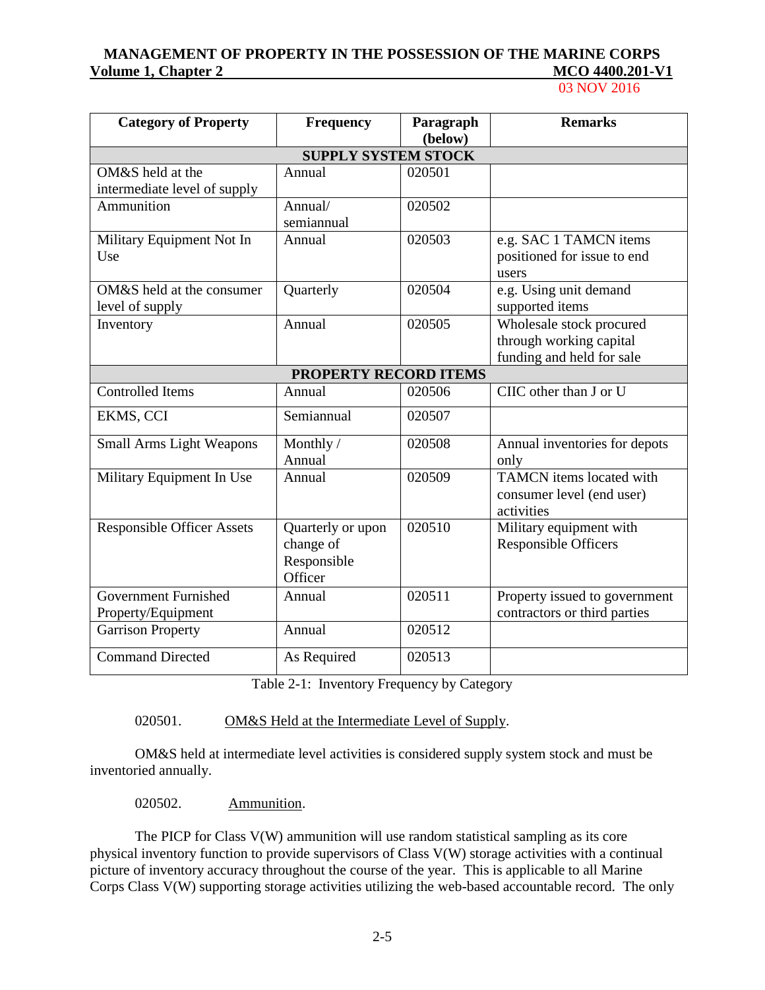03 NOV 2016

| <b>Category of Property</b>       | <b>Frequency</b>             | Paragraph<br>(below) | <b>Remarks</b>                  |  |  |
|-----------------------------------|------------------------------|----------------------|---------------------------------|--|--|
| <b>SUPPLY SYSTEM STOCK</b>        |                              |                      |                                 |  |  |
| OM&S held at the                  | Annual                       | 020501               |                                 |  |  |
| intermediate level of supply      |                              |                      |                                 |  |  |
| Ammunition                        | Annual/                      | 020502               |                                 |  |  |
|                                   | semiannual                   |                      |                                 |  |  |
| Military Equipment Not In         | Annual                       | 020503               | e.g. SAC 1 TAMCN items          |  |  |
| Use                               |                              |                      | positioned for issue to end     |  |  |
|                                   |                              |                      | users                           |  |  |
| OM&S held at the consumer         | Quarterly                    | 020504               | e.g. Using unit demand          |  |  |
| level of supply                   |                              |                      | supported items                 |  |  |
| Inventory                         | Annual                       | 020505               | Wholesale stock procured        |  |  |
|                                   |                              |                      | through working capital         |  |  |
|                                   |                              |                      | funding and held for sale       |  |  |
|                                   | <b>PROPERTY RECORD ITEMS</b> |                      |                                 |  |  |
| <b>Controlled Items</b>           | Annual                       | 020506               | CIIC other than J or U          |  |  |
| EKMS, CCI                         | Semiannual                   | 020507               |                                 |  |  |
| <b>Small Arms Light Weapons</b>   | Monthly/                     | 020508               | Annual inventories for depots   |  |  |
|                                   | Annual                       |                      | only                            |  |  |
| Military Equipment In Use         | Annual                       | 020509               | <b>TAMCN</b> items located with |  |  |
|                                   |                              |                      | consumer level (end user)       |  |  |
|                                   |                              |                      | activities                      |  |  |
| <b>Responsible Officer Assets</b> | Quarterly or upon            | 020510               | Military equipment with         |  |  |
|                                   | change of                    |                      | <b>Responsible Officers</b>     |  |  |
|                                   | Responsible                  |                      |                                 |  |  |
|                                   | Officer                      |                      |                                 |  |  |
| Government Furnished              | Annual                       | 020511               | Property issued to government   |  |  |
| Property/Equipment                |                              |                      | contractors or third parties    |  |  |
| <b>Garrison Property</b>          | Annual                       | 020512               |                                 |  |  |
| <b>Command Directed</b>           | As Required                  | 020513               |                                 |  |  |

Table 2-1: Inventory Frequency by Category

020501. OM&S Held at the Intermediate Level of Supply.

OM&S held at intermediate level activities is considered supply system stock and must be inventoried annually.

020502. Ammunition.

The PICP for Class V(W) ammunition will use random statistical sampling as its core physical inventory function to provide supervisors of Class V(W) storage activities with a continual picture of inventory accuracy throughout the course of the year. This is applicable to all Marine Corps Class V(W) supporting storage activities utilizing the web-based accountable record. The only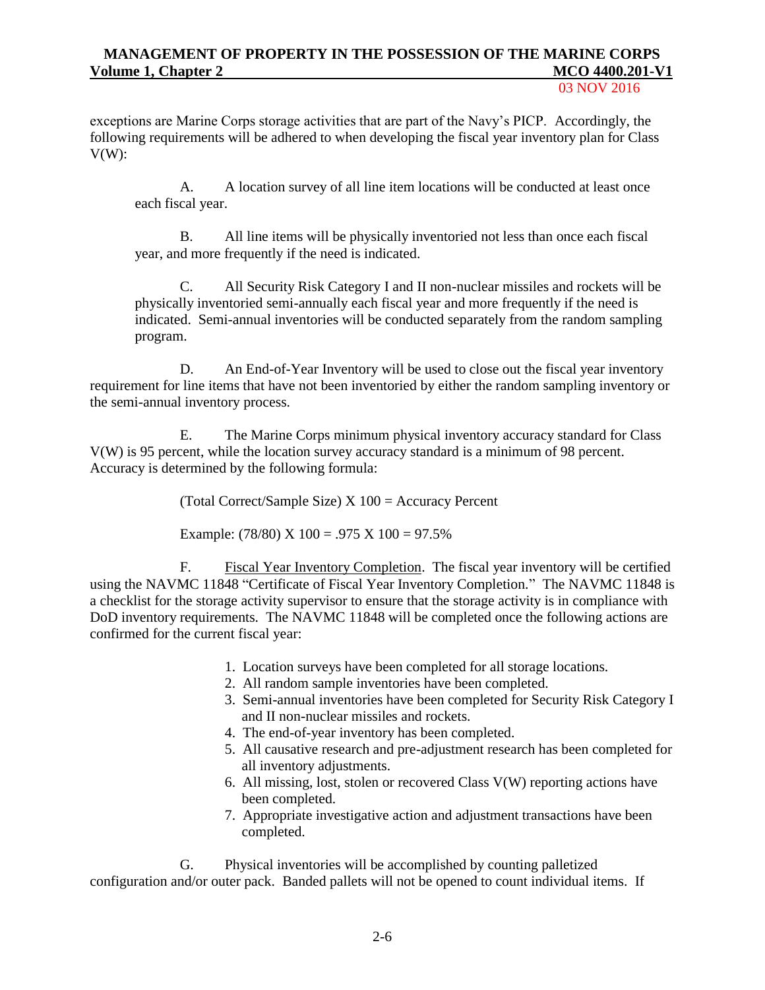03 NOV 2016

exceptions are Marine Corps storage activities that are part of the Navy's PICP. Accordingly, the following requirements will be adhered to when developing the fiscal year inventory plan for Class  $V(W)$ :

A. A location survey of all line item locations will be conducted at least once each fiscal year.

B. All line items will be physically inventoried not less than once each fiscal year, and more frequently if the need is indicated.

All Security Risk Category I and II non-nuclear missiles and rockets will be physically inventoried semi-annually each fiscal year and more frequently if the need is indicated. Semi-annual inventories will be conducted separately from the random sampling program.

D. An End-of-Year Inventory will be used to close out the fiscal year inventory requirement for line items that have not been inventoried by either the random sampling inventory or the semi-annual inventory process.

E. The Marine Corps minimum physical inventory accuracy standard for Class V(W) is 95 percent, while the location survey accuracy standard is a minimum of 98 percent. Accuracy is determined by the following formula:

(Total Correct/Sample Size) X 100 = Accuracy Percent

Example:  $(78/80)$  X  $100 = .975$  X  $100 = 97.5%$ 

F. Fiscal Year Inventory Completion. The fiscal year inventory will be certified using the NAVMC 11848 "Certificate of Fiscal Year Inventory Completion." The NAVMC 11848 is a checklist for the storage activity supervisor to ensure that the storage activity is in compliance with DoD inventory requirements. The NAVMC 11848 will be completed once the following actions are confirmed for the current fiscal year:

- 1. Location surveys have been completed for all storage locations.
- 2. All random sample inventories have been completed.
- 3. Semi-annual inventories have been completed for Security Risk Category I and II non-nuclear missiles and rockets.
- 4. The end-of-year inventory has been completed.
- 5. All causative research and pre-adjustment research has been completed for all inventory adjustments.
- 6. All missing, lost, stolen or recovered Class V(W) reporting actions have been completed.
- 7. Appropriate investigative action and adjustment transactions have been completed.

G. Physical inventories will be accomplished by counting palletized configuration and/or outer pack. Banded pallets will not be opened to count individual items. If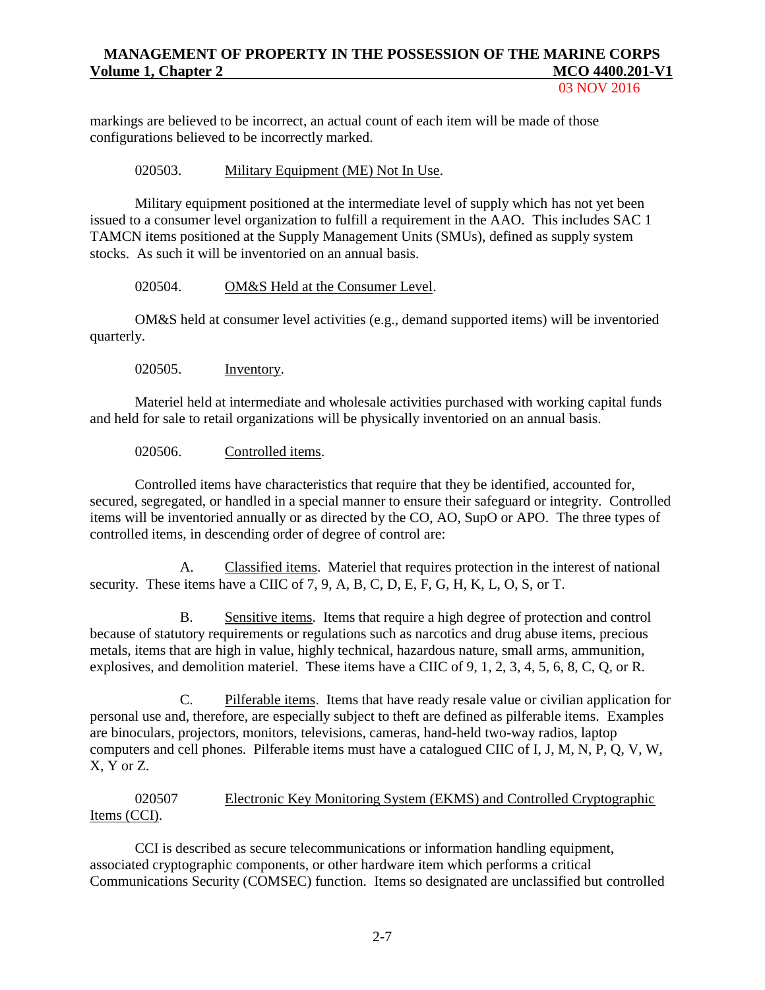03 NOV 2016

markings are believed to be incorrect, an actual count of each item will be made of those configurations believed to be incorrectly marked.

#### 020503. Military Equipment (ME) Not In Use.

Military equipment positioned at the intermediate level of supply which has not yet been issued to a consumer level organization to fulfill a requirement in the AAO. This includes SAC 1 TAMCN items positioned at the Supply Management Units (SMUs), defined as supply system stocks. As such it will be inventoried on an annual basis.

020504. OM&S Held at the Consumer Level.

OM&S held at consumer level activities (e.g., demand supported items) will be inventoried quarterly.

020505. Inventory.

Materiel held at intermediate and wholesale activities purchased with working capital funds and held for sale to retail organizations will be physically inventoried on an annual basis.

020506. Controlled items.

Controlled items have characteristics that require that they be identified, accounted for, secured, segregated, or handled in a special manner to ensure their safeguard or integrity. Controlled items will be inventoried annually or as directed by the CO, AO, SupO or APO. The three types of controlled items, in descending order of degree of control are:

A. Classified items. Materiel that requires protection in the interest of national security. These items have a CIIC of 7, 9, A, B, C, D, E, F, G, H, K, L, O, S, or T.

B. Sensitive items. Items that require a high degree of protection and control because of statutory requirements or regulations such as narcotics and drug abuse items, precious metals, items that are high in value, highly technical, hazardous nature, small arms, ammunition, explosives, and demolition materiel. These items have a CIIC of 9, 1, 2, 3, 4, 5, 6, 8, C, Q, or R.

C. Pilferable items. Items that have ready resale value or civilian application for personal use and, therefore, are especially subject to theft are defined as pilferable items. Examples are binoculars, projectors, monitors, televisions, cameras, hand-held two-way radios, laptop computers and cell phones. Pilferable items must have a catalogued CIIC of I, J, M, N, P, Q, V, W, X, Y or Z.

# 020507 Electronic Key Monitoring System (EKMS) and Controlled Cryptographic Items (CCI).

CCI is described as secure telecommunications or information handling equipment, associated cryptographic components, or other hardware item which performs a critical Communications Security (COMSEC) function. Items so designated are unclassified but controlled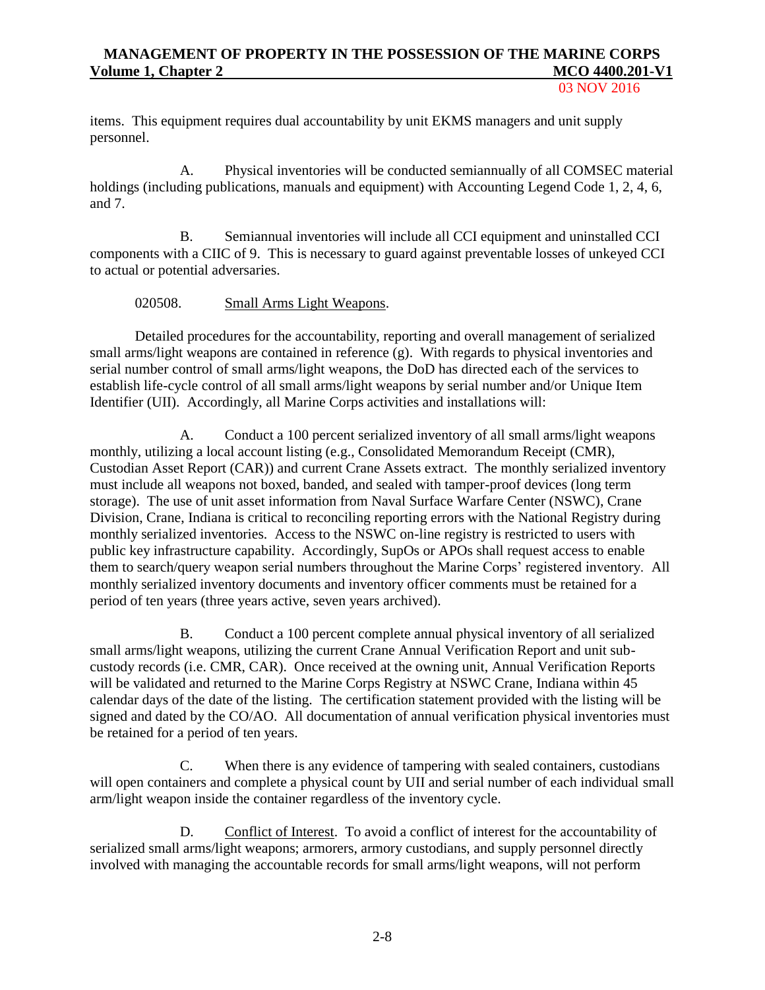03 NOV 2016

items. This equipment requires dual accountability by unit EKMS managers and unit supply personnel.

A. Physical inventories will be conducted semiannually of all COMSEC material holdings (including publications, manuals and equipment) with Accounting Legend Code 1, 2, 4, 6, and 7.

B. Semiannual inventories will include all CCI equipment and uninstalled CCI components with a CIIC of 9. This is necessary to guard against preventable losses of unkeyed CCI to actual or potential adversaries.

020508. Small Arms Light Weapons.

Detailed procedures for the accountability, reporting and overall management of serialized small arms/light weapons are contained in reference (g). With regards to physical inventories and serial number control of small arms/light weapons, the DoD has directed each of the services to establish life-cycle control of all small arms/light weapons by serial number and/or Unique Item Identifier (UII). Accordingly, all Marine Corps activities and installations will:

A. Conduct a 100 percent serialized inventory of all small arms/light weapons monthly, utilizing a local account listing (e.g., Consolidated Memorandum Receipt (CMR), Custodian Asset Report (CAR)) and current Crane Assets extract. The monthly serialized inventory must include all weapons not boxed, banded, and sealed with tamper-proof devices (long term storage). The use of unit asset information from Naval Surface Warfare Center (NSWC), Crane Division, Crane, Indiana is critical to reconciling reporting errors with the National Registry during monthly serialized inventories. Access to the NSWC on-line registry is restricted to users with public key infrastructure capability. Accordingly, SupOs or APOs shall request access to enable them to search/query weapon serial numbers throughout the Marine Corps' registered inventory. All monthly serialized inventory documents and inventory officer comments must be retained for a period of ten years (three years active, seven years archived).

B. Conduct a 100 percent complete annual physical inventory of all serialized small arms/light weapons, utilizing the current Crane Annual Verification Report and unit subcustody records (i.e. CMR, CAR). Once received at the owning unit, Annual Verification Reports will be validated and returned to the Marine Corps Registry at NSWC Crane, Indiana within 45 calendar days of the date of the listing. The certification statement provided with the listing will be signed and dated by the CO/AO. All documentation of annual verification physical inventories must be retained for a period of ten years.

C. When there is any evidence of tampering with sealed containers, custodians will open containers and complete a physical count by UII and serial number of each individual small arm/light weapon inside the container regardless of the inventory cycle.

D. Conflict of Interest. To avoid a conflict of interest for the accountability of serialized small arms/light weapons; armorers, armory custodians, and supply personnel directly involved with managing the accountable records for small arms/light weapons, will not perform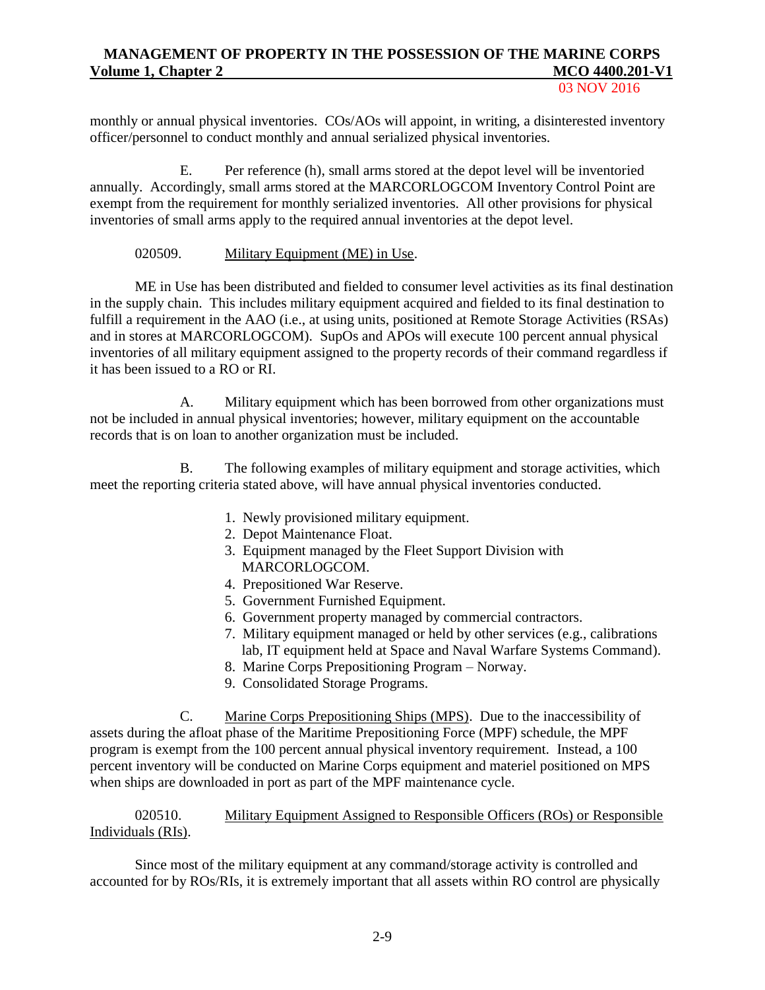monthly or annual physical inventories. COs/AOs will appoint, in writing, a disinterested inventory officer/personnel to conduct monthly and annual serialized physical inventories.

E. Per reference (h), small arms stored at the depot level will be inventoried annually. Accordingly, small arms stored at the MARCORLOGCOM Inventory Control Point are exempt from the requirement for monthly serialized inventories. All other provisions for physical inventories of small arms apply to the required annual inventories at the depot level.

#### 020509. Military Equipment (ME) in Use.

ME in Use has been distributed and fielded to consumer level activities as its final destination in the supply chain. This includes military equipment acquired and fielded to its final destination to fulfill a requirement in the AAO (i.e., at using units, positioned at Remote Storage Activities (RSAs) and in stores at MARCORLOGCOM). SupOs and APOs will execute 100 percent annual physical inventories of all military equipment assigned to the property records of their command regardless if it has been issued to a RO or RI.

A. Military equipment which has been borrowed from other organizations must not be included in annual physical inventories; however, military equipment on the accountable records that is on loan to another organization must be included.

B. The following examples of military equipment and storage activities, which meet the reporting criteria stated above, will have annual physical inventories conducted.

- 1. Newly provisioned military equipment.
- 2. Depot Maintenance Float.
- 3. Equipment managed by the Fleet Support Division with MARCORLOGCOM.
- 4. Prepositioned War Reserve.
- 5. Government Furnished Equipment.
- 6. Government property managed by commercial contractors.
- 7. Military equipment managed or held by other services (e.g., calibrations lab, IT equipment held at Space and Naval Warfare Systems Command).
- 8. Marine Corps Prepositioning Program Norway.
- 9. Consolidated Storage Programs.

C. Marine Corps Prepositioning Ships (MPS). Due to the inaccessibility of assets during the afloat phase of the Maritime Prepositioning Force (MPF) schedule, the MPF program is exempt from the 100 percent annual physical inventory requirement. Instead, a 100 percent inventory will be conducted on Marine Corps equipment and materiel positioned on MPS when ships are downloaded in port as part of the MPF maintenance cycle.

#### 020510. Military Equipment Assigned to Responsible Officers (ROs) or Responsible Individuals (RIs).

Since most of the military equipment at any command/storage activity is controlled and accounted for by ROs/RIs, it is extremely important that all assets within RO control are physically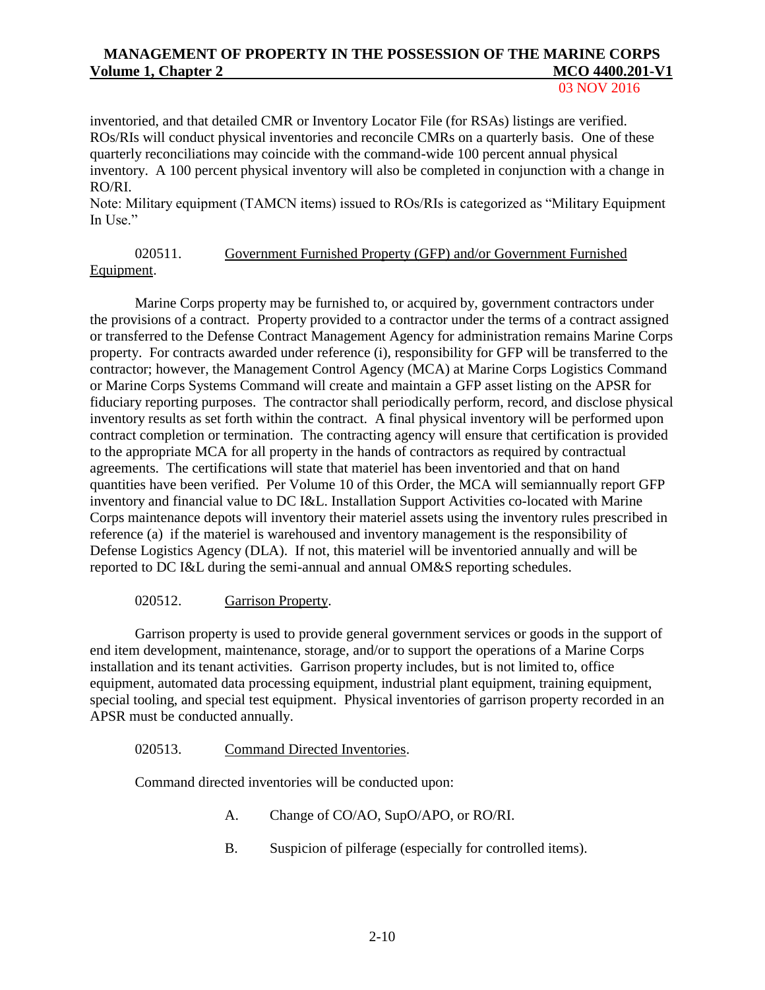03 NOV 2016

inventoried, and that detailed CMR or Inventory Locator File (for RSAs) listings are verified. ROs/RIs will conduct physical inventories and reconcile CMRs on a quarterly basis. One of these quarterly reconciliations may coincide with the command-wide 100 percent annual physical inventory. A 100 percent physical inventory will also be completed in conjunction with a change in RO/RI.

Note: Military equipment (TAMCN items) issued to ROs/RIs is categorized as "Military Equipment In Use."

#### 020511. Government Furnished Property (GFP) and/or Government Furnished Equipment.

Marine Corps property may be furnished to, or acquired by, government contractors under the provisions of a contract. Property provided to a contractor under the terms of a contract assigned or transferred to the Defense Contract Management Agency for administration remains Marine Corps property. For contracts awarded under reference (i), responsibility for GFP will be transferred to the contractor; however, the Management Control Agency (MCA) at Marine Corps Logistics Command or Marine Corps Systems Command will create and maintain a GFP asset listing on the APSR for fiduciary reporting purposes. The contractor shall periodically perform, record, and disclose physical inventory results as set forth within the contract. A final physical inventory will be performed upon contract completion or termination. The contracting agency will ensure that certification is provided to the appropriate MCA for all property in the hands of contractors as required by contractual agreements. The certifications will state that materiel has been inventoried and that on hand quantities have been verified. Per Volume 10 of this Order, the MCA will semiannually report GFP inventory and financial value to DC I&L. Installation Support Activities co-located with Marine Corps maintenance depots will inventory their materiel assets using the inventory rules prescribed in reference (a) if the materiel is warehoused and inventory management is the responsibility of Defense Logistics Agency (DLA). If not, this materiel will be inventoried annually and will be reported to DC I&L during the semi-annual and annual OM&S reporting schedules.

#### 020512. Garrison Property.

Garrison property is used to provide general government services or goods in the support of end item development, maintenance, storage, and/or to support the operations of a Marine Corps installation and its tenant activities. Garrison property includes, but is not limited to, office equipment, automated data processing equipment, industrial plant equipment, training equipment, special tooling, and special test equipment. Physical inventories of garrison property recorded in an APSR must be conducted annually.

#### 020513. Command Directed Inventories.

Command directed inventories will be conducted upon:

- A. Change of CO/AO, SupO/APO, or RO/RI.
- B. Suspicion of pilferage (especially for controlled items).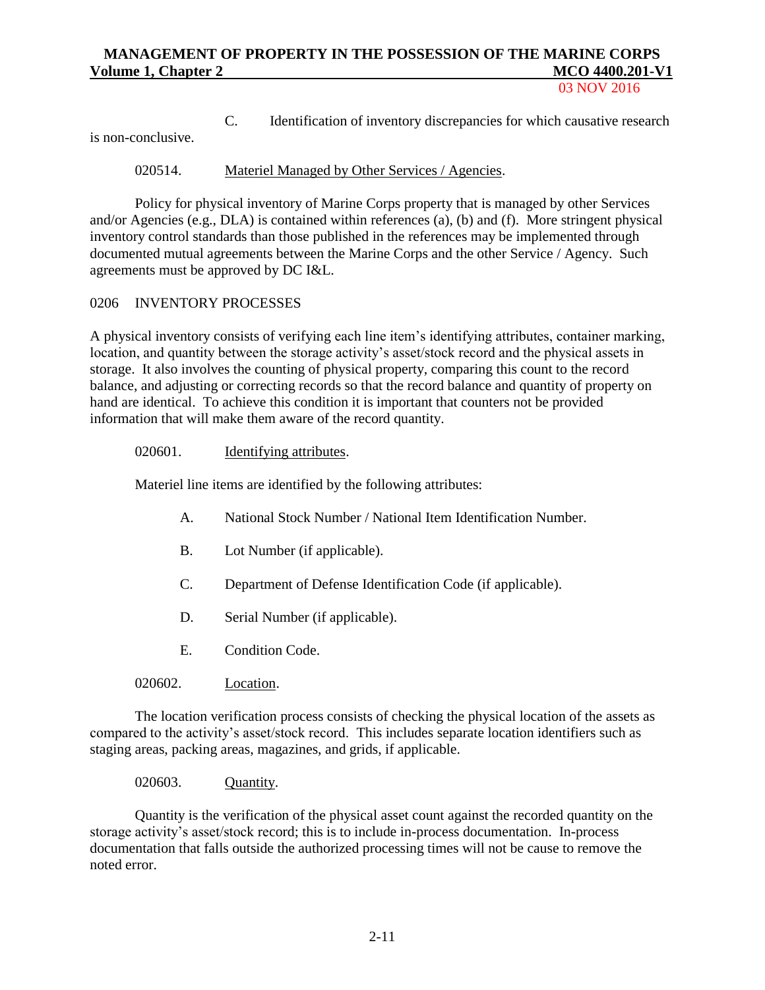03 NOV 2016

C. Identification of inventory discrepancies for which causative research

is non-conclusive.

#### 020514. Materiel Managed by Other Services / Agencies.

Policy for physical inventory of Marine Corps property that is managed by other Services and/or Agencies (e.g., DLA) is contained within references (a), (b) and (f). More stringent physical inventory control standards than those published in the references may be implemented through documented mutual agreements between the Marine Corps and the other Service / Agency. Such agreements must be approved by DC I&L.

#### 0206 INVENTORY PROCESSES

A physical inventory consists of verifying each line item's identifying attributes, container marking, location, and quantity between the storage activity's asset/stock record and the physical assets in storage. It also involves the counting of physical property, comparing this count to the record balance, and adjusting or correcting records so that the record balance and quantity of property on hand are identical. To achieve this condition it is important that counters not be provided information that will make them aware of the record quantity.

#### 020601. Identifying attributes.

Materiel line items are identified by the following attributes:

- A. National Stock Number / National Item Identification Number.
- B. Lot Number (if applicable).
- C. Department of Defense Identification Code (if applicable).
- D. Serial Number (if applicable).
- E. Condition Code.
- 020602. Location.

The location verification process consists of checking the physical location of the assets as compared to the activity's asset/stock record. This includes separate location identifiers such as staging areas, packing areas, magazines, and grids, if applicable.

020603. **Quantity.** 

Quantity is the verification of the physical asset count against the recorded quantity on the storage activity's asset/stock record; this is to include in-process documentation. In-process documentation that falls outside the authorized processing times will not be cause to remove the noted error.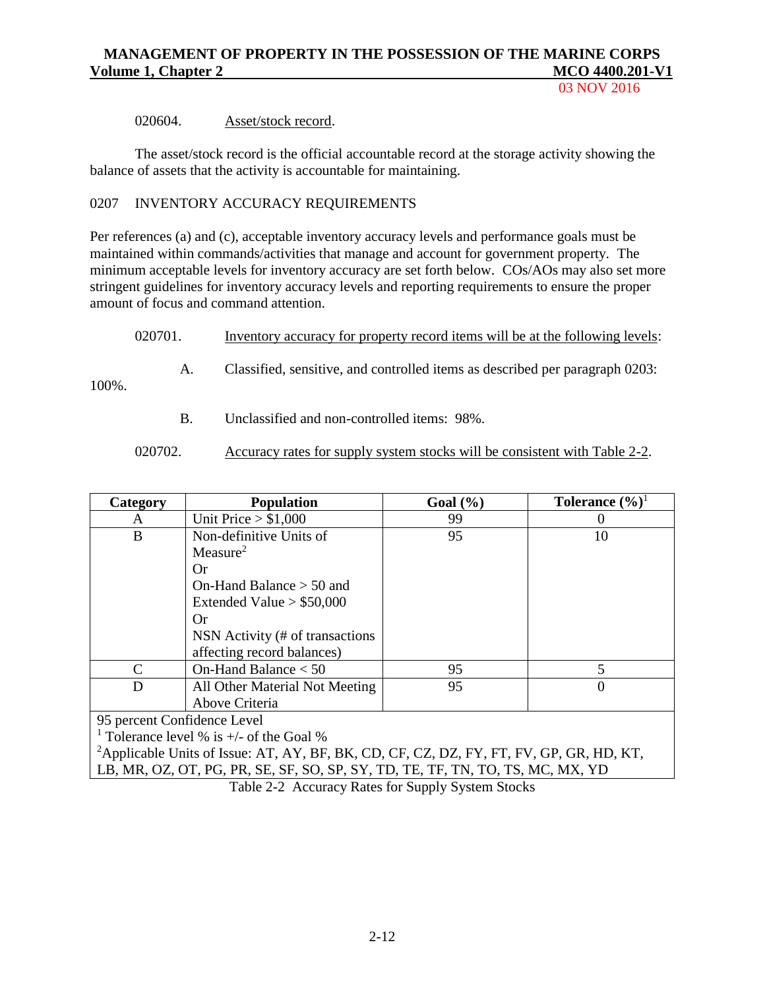03 NOV 2016

#### 020604. Asset/stock record.

The asset/stock record is the official accountable record at the storage activity showing the balance of assets that the activity is accountable for maintaining.

#### 0207 INVENTORY ACCURACY REQUIREMENTS

Per references (a) and (c), acceptable inventory accuracy levels and performance goals must be maintained within commands/activities that manage and account for government property. The minimum acceptable levels for inventory accuracy are set forth below. COs/AOs may also set more stringent guidelines for inventory accuracy levels and reporting requirements to ensure the proper amount of focus and command attention.

#### 020701. Inventory accuracy for property record items will be at the following levels:

A. Classified, sensitive, and controlled items as described per paragraph 0203:

100%.

B. Unclassified and non-controlled items: 98%.

020702. Accuracy rates for supply system stocks will be consistent with Table 2-2.

| Category                    | <b>Population</b>               | Goal $(\% )$ | Tolerance $(\%)^1$ |
|-----------------------------|---------------------------------|--------------|--------------------|
| A                           | Unit Price $> $1,000$           | 99           | 0                  |
| B                           | Non-definitive Units of         | 95           | 10                 |
|                             | Measure <sup>2</sup>            |              |                    |
|                             | Or                              |              |                    |
|                             | On-Hand Balance $> 50$ and      |              |                    |
|                             | Extended Value $> $50,000$      |              |                    |
|                             | Or                              |              |                    |
|                             | NSN Activity (# of transactions |              |                    |
|                             | affecting record balances)      |              |                    |
| $\mathcal{C}_{\mathcal{C}}$ | On-Hand Balance $< 50$          | 95           | 5                  |
| D                           | All Other Material Not Meeting  | 95           |                    |
|                             | Above Criteria                  |              |                    |
| 95 percent Confidence Level |                                 |              |                    |

<sup>1</sup> Tolerance level % is  $+/-$  of the Goal %

<sup>2</sup>Applicable Units of Issue: AT, AY, BF, BK, CD, CF, CZ, DZ, FY, FT, FV, GP, GR, HD, KT, LB, MR, OZ, OT, PG, PR, SE, SF, SO, SP, SY, TD, TE, TF, TN, TO, TS, MC, MX, YD

Table 2-2 Accuracy Rates for Supply System Stocks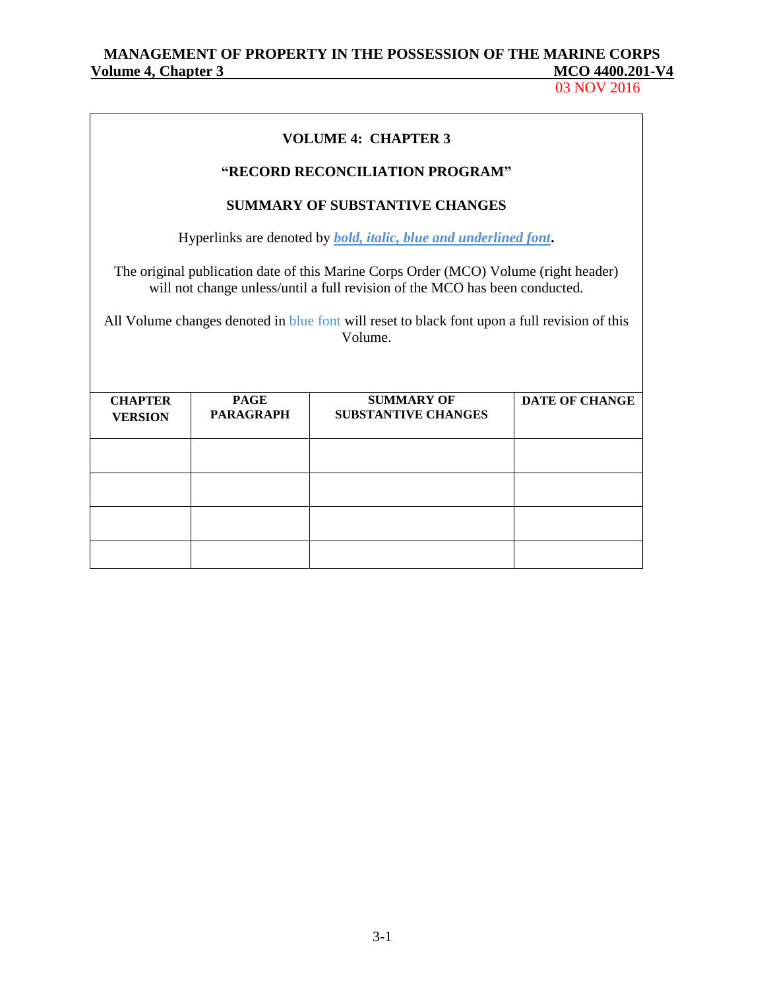03 NOV 2016

| <b>VOLUME 4: CHAPTER 3</b>                                                                                                                                          |  |
|---------------------------------------------------------------------------------------------------------------------------------------------------------------------|--|
| "RECORD RECONCILIATION PROGRAM"                                                                                                                                     |  |
| <b>SUMMARY OF SUBSTANTIVE CHANGES</b>                                                                                                                               |  |
| Hyperlinks are denoted by <i>bold, italic, blue and underlined font</i> .                                                                                           |  |
| The original publication date of this Marine Corps Order (MCO) Volume (right header)<br>will not change unless/until a full revision of the MCO has been conducted. |  |
| All Volume changes denoted in blue font will reset to black font upon a full revision of this<br><b>Volume</b>                                                      |  |
| <b>PAGE</b><br><b>DATE OF CHANGE</b><br><b>CHAPTER</b><br><b>SUMMARY OF</b><br><b>PARAGRAPH</b><br><b>SUBSTANTIVE CHANGES</b><br><b>VERSION</b>                     |  |
|                                                                                                                                                                     |  |
|                                                                                                                                                                     |  |
|                                                                                                                                                                     |  |
|                                                                                                                                                                     |  |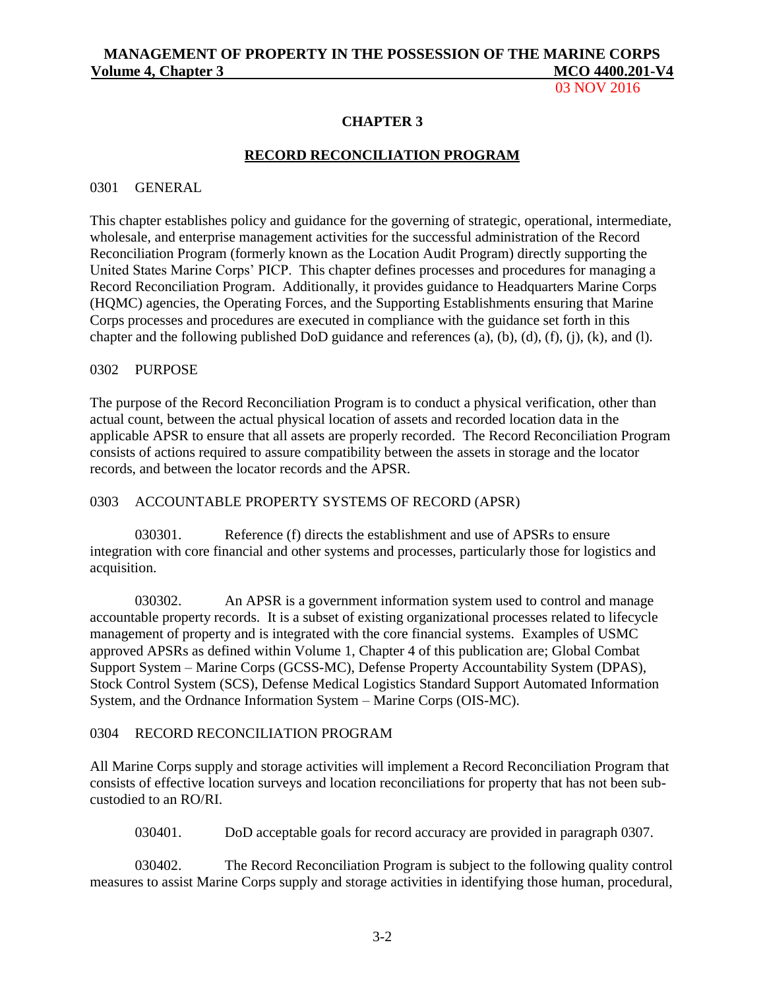03 NOV 2016

#### **CHAPTER 3**

#### **RECORD RECONCILIATION PROGRAM**

#### 0301 GENERAL

This chapter establishes policy and guidance for the governing of strategic, operational, intermediate, wholesale, and enterprise management activities for the successful administration of the Record Reconciliation Program (formerly known as the Location Audit Program) directly supporting the United States Marine Corps' PICP. This chapter defines processes and procedures for managing a Record Reconciliation Program. Additionally, it provides guidance to Headquarters Marine Corps (HQMC) agencies, the Operating Forces, and the Supporting Establishments ensuring that Marine Corps processes and procedures are executed in compliance with the guidance set forth in this chapter and the following published DoD guidance and references (a), (b), (d), (f), (j), (k), and (l).

#### 0302 PURPOSE

The purpose of the Record Reconciliation Program is to conduct a physical verification, other than actual count, between the actual physical location of assets and recorded location data in the applicable APSR to ensure that all assets are properly recorded. The Record Reconciliation Program consists of actions required to assure compatibility between the assets in storage and the locator records, and between the locator records and the APSR.

#### 0303 ACCOUNTABLE PROPERTY SYSTEMS OF RECORD (APSR)

030301. Reference (f) directs the establishment and use of APSRs to ensure integration with core financial and other systems and processes, particularly those for logistics and acquisition.

030302. An APSR is a government information system used to control and manage accountable property records. It is a subset of existing organizational processes related to lifecycle management of property and is integrated with the core financial systems. Examples of USMC approved APSRs as defined within Volume 1, Chapter 4 of this publication are; Global Combat Support System – Marine Corps (GCSS-MC), Defense Property Accountability System (DPAS), Stock Control System (SCS), Defense Medical Logistics Standard Support Automated Information System, and the Ordnance Information System – Marine Corps (OIS-MC).

#### 0304 RECORD RECONCILIATION PROGRAM

All Marine Corps supply and storage activities will implement a Record Reconciliation Program that consists of effective location surveys and location reconciliations for property that has not been subcustodied to an RO/RI.

030401. DoD acceptable goals for record accuracy are provided in paragraph 0307.

030402. The Record Reconciliation Program is subject to the following quality control measures to assist Marine Corps supply and storage activities in identifying those human, procedural,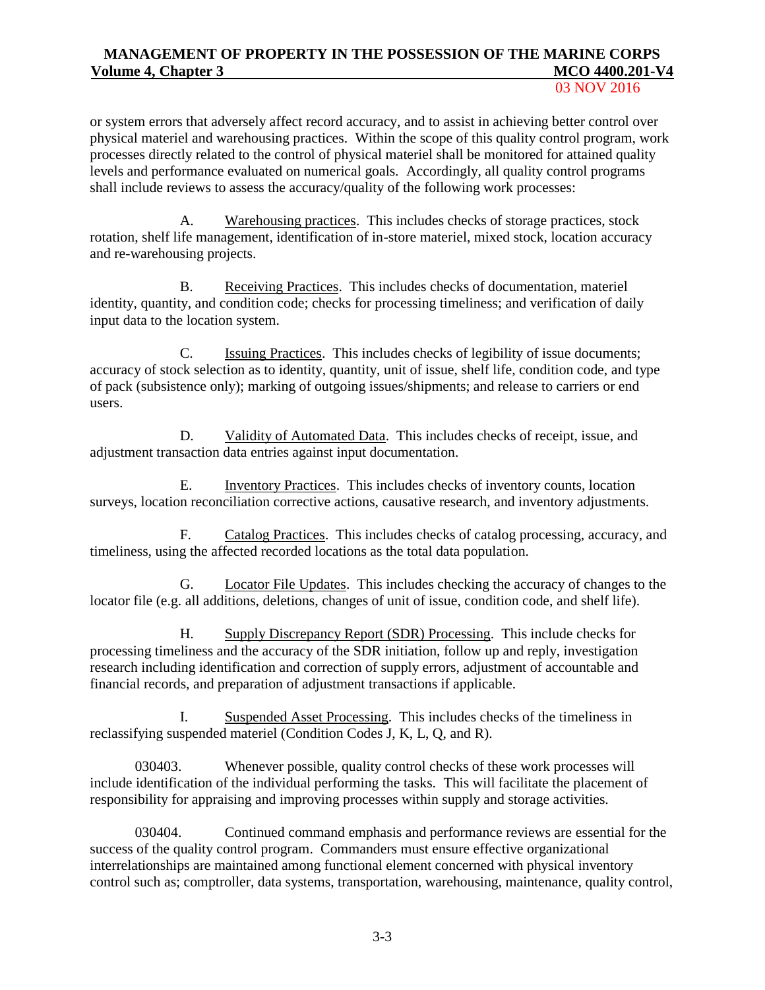03 NOV 2016

or system errors that adversely affect record accuracy, and to assist in achieving better control over physical materiel and warehousing practices. Within the scope of this quality control program, work processes directly related to the control of physical materiel shall be monitored for attained quality levels and performance evaluated on numerical goals. Accordingly, all quality control programs shall include reviews to assess the accuracy/quality of the following work processes:

A. Warehousing practices. This includes checks of storage practices, stock rotation, shelf life management, identification of in-store materiel, mixed stock, location accuracy and re-warehousing projects.

B. Receiving Practices. This includes checks of documentation, materiel identity, quantity, and condition code; checks for processing timeliness; and verification of daily input data to the location system.

C. Issuing Practices. This includes checks of legibility of issue documents; accuracy of stock selection as to identity, quantity, unit of issue, shelf life, condition code, and type of pack (subsistence only); marking of outgoing issues/shipments; and release to carriers or end users.

D. Validity of Automated Data. This includes checks of receipt, issue, and adjustment transaction data entries against input documentation.

E. Inventory Practices. This includes checks of inventory counts, location surveys, location reconciliation corrective actions, causative research, and inventory adjustments.

F. Catalog Practices. This includes checks of catalog processing, accuracy, and timeliness, using the affected recorded locations as the total data population.

G. Locator File Updates. This includes checking the accuracy of changes to the locator file (e.g. all additions, deletions, changes of unit of issue, condition code, and shelf life).

H. Supply Discrepancy Report (SDR) Processing. This include checks for processing timeliness and the accuracy of the SDR initiation, follow up and reply, investigation research including identification and correction of supply errors, adjustment of accountable and financial records, and preparation of adjustment transactions if applicable.

I. Suspended Asset Processing. This includes checks of the timeliness in reclassifying suspended materiel (Condition Codes J, K, L, Q, and R).

030403. Whenever possible, quality control checks of these work processes will include identification of the individual performing the tasks. This will facilitate the placement of responsibility for appraising and improving processes within supply and storage activities.

030404. Continued command emphasis and performance reviews are essential for the success of the quality control program. Commanders must ensure effective organizational interrelationships are maintained among functional element concerned with physical inventory control such as; comptroller, data systems, transportation, warehousing, maintenance, quality control,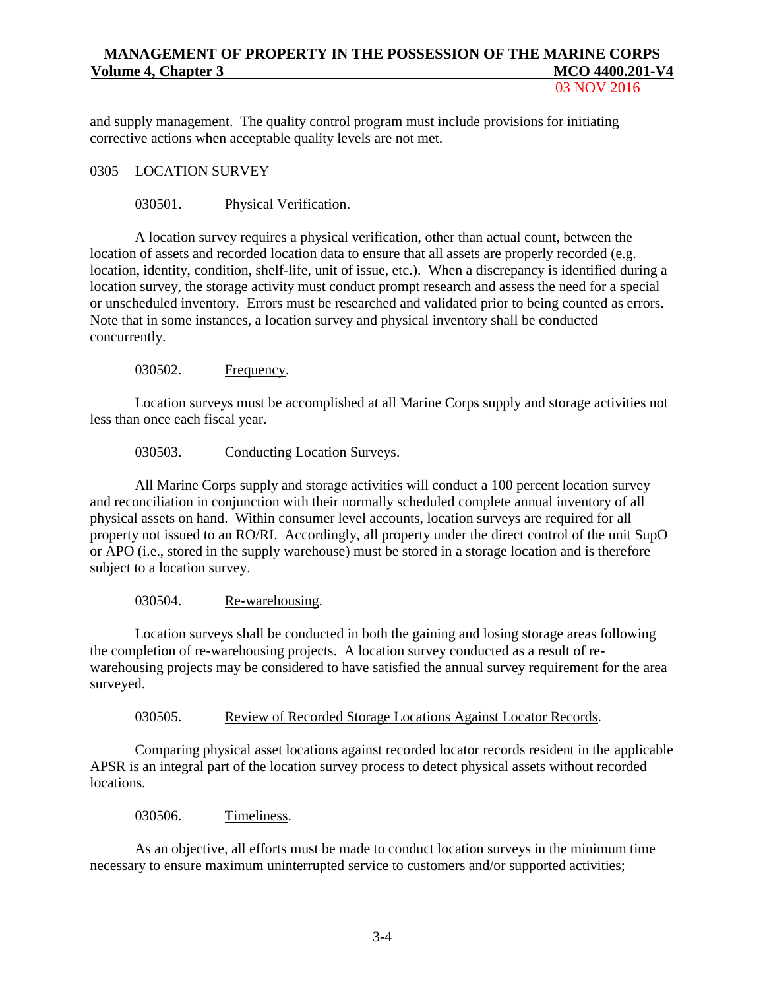03 NOV 2016

and supply management. The quality control program must include provisions for initiating corrective actions when acceptable quality levels are not met.

#### 0305 LOCATION SURVEY

#### 030501. Physical Verification.

A location survey requires a physical verification, other than actual count, between the location of assets and recorded location data to ensure that all assets are properly recorded (e.g. location, identity, condition, shelf-life, unit of issue, etc.). When a discrepancy is identified during a location survey, the storage activity must conduct prompt research and assess the need for a special or unscheduled inventory. Errors must be researched and validated prior to being counted as errors. Note that in some instances, a location survey and physical inventory shall be conducted concurrently.

#### 030502. Frequency.

Location surveys must be accomplished at all Marine Corps supply and storage activities not less than once each fiscal year.

#### 030503. Conducting Location Surveys.

All Marine Corps supply and storage activities will conduct a 100 percent location survey and reconciliation in conjunction with their normally scheduled complete annual inventory of all physical assets on hand. Within consumer level accounts, location surveys are required for all property not issued to an RO/RI. Accordingly, all property under the direct control of the unit SupO or APO (i.e., stored in the supply warehouse) must be stored in a storage location and is therefore subject to a location survey.

#### 030504. Re-warehousing.

Location surveys shall be conducted in both the gaining and losing storage areas following the completion of re-warehousing projects. A location survey conducted as a result of rewarehousing projects may be considered to have satisfied the annual survey requirement for the area surveyed.

#### 030505. Review of Recorded Storage Locations Against Locator Records.

Comparing physical asset locations against recorded locator records resident in the applicable APSR is an integral part of the location survey process to detect physical assets without recorded locations.

#### 030506. Timeliness.

As an objective, all efforts must be made to conduct location surveys in the minimum time necessary to ensure maximum uninterrupted service to customers and/or supported activities;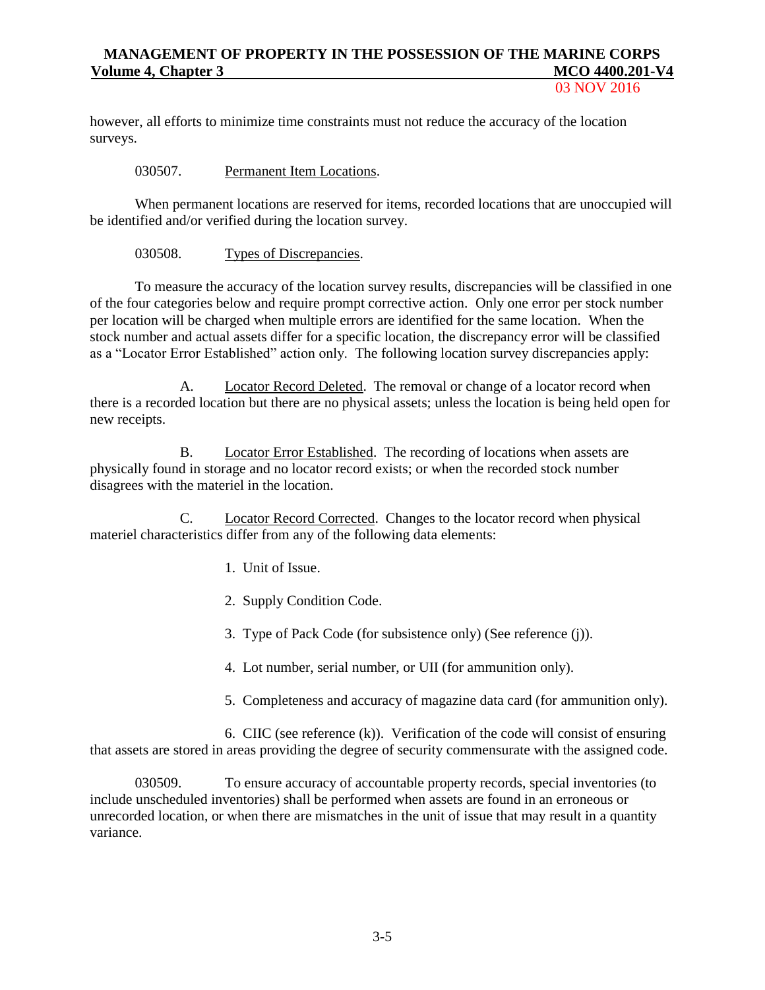03 NOV 2016

however, all efforts to minimize time constraints must not reduce the accuracy of the location surveys.

030507. Permanent Item Locations.

When permanent locations are reserved for items, recorded locations that are unoccupied will be identified and/or verified during the location survey.

030508. Types of Discrepancies.

To measure the accuracy of the location survey results, discrepancies will be classified in one of the four categories below and require prompt corrective action. Only one error per stock number per location will be charged when multiple errors are identified for the same location. When the stock number and actual assets differ for a specific location, the discrepancy error will be classified as a "Locator Error Established" action only. The following location survey discrepancies apply:

A. Locator Record Deleted. The removal or change of a locator record when there is a recorded location but there are no physical assets; unless the location is being held open for new receipts.

B. Locator Error Established. The recording of locations when assets are physically found in storage and no locator record exists; or when the recorded stock number disagrees with the materiel in the location.

C. Locator Record Corrected. Changes to the locator record when physical materiel characteristics differ from any of the following data elements:

- 1. Unit of Issue.
- 2. Supply Condition Code.
- 3. Type of Pack Code (for subsistence only) (See reference (j)).
- 4. Lot number, serial number, or UII (for ammunition only).
- 5. Completeness and accuracy of magazine data card (for ammunition only).

6. CIIC (see reference (k)). Verification of the code will consist of ensuring that assets are stored in areas providing the degree of security commensurate with the assigned code.

030509. To ensure accuracy of accountable property records, special inventories (to include unscheduled inventories) shall be performed when assets are found in an erroneous or unrecorded location, or when there are mismatches in the unit of issue that may result in a quantity variance.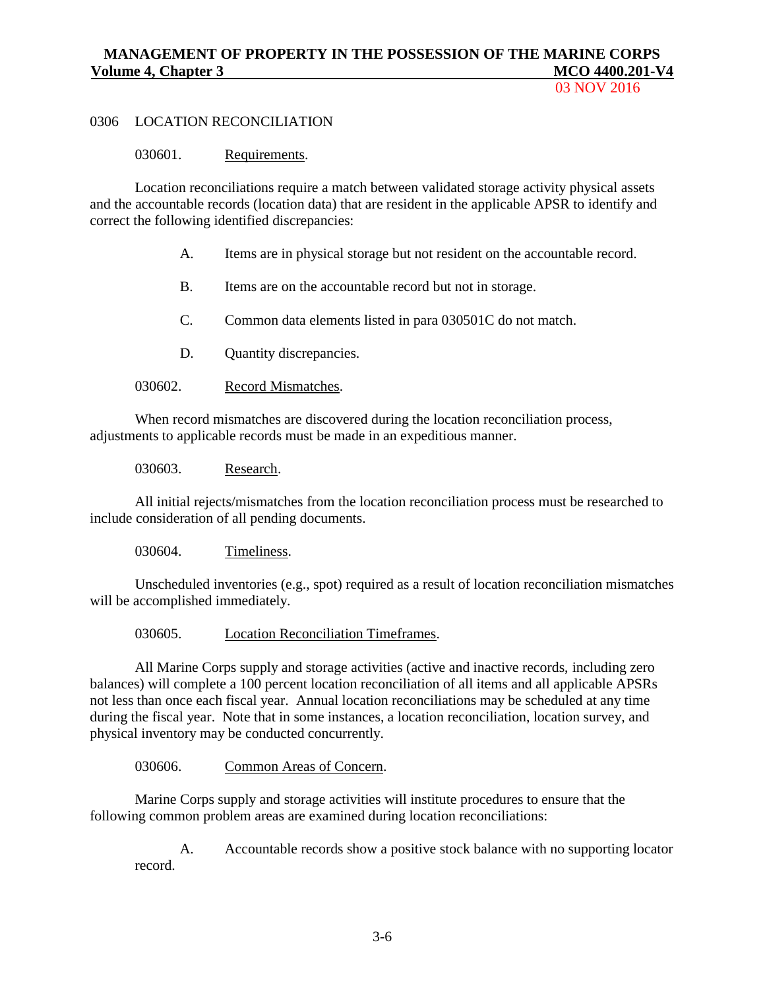03 NOV 2016

#### 0306 LOCATION RECONCILIATION

#### 030601. Requirements.

Location reconciliations require a match between validated storage activity physical assets and the accountable records (location data) that are resident in the applicable APSR to identify and correct the following identified discrepancies:

- A. Items are in physical storage but not resident on the accountable record.
- B. Items are on the accountable record but not in storage.
- C. Common data elements listed in para 030501C do not match.
- D. Quantity discrepancies.

#### 030602. Record Mismatches.

When record mismatches are discovered during the location reconciliation process, adjustments to applicable records must be made in an expeditious manner.

030603. Research.

All initial rejects/mismatches from the location reconciliation process must be researched to include consideration of all pending documents.

030604. Timeliness.

Unscheduled inventories (e.g., spot) required as a result of location reconciliation mismatches will be accomplished immediately.

030605. Location Reconciliation Timeframes.

All Marine Corps supply and storage activities (active and inactive records, including zero balances) will complete a 100 percent location reconciliation of all items and all applicable APSRs not less than once each fiscal year. Annual location reconciliations may be scheduled at any time during the fiscal year. Note that in some instances, a location reconciliation, location survey, and physical inventory may be conducted concurrently.

030606. Common Areas of Concern.

Marine Corps supply and storage activities will institute procedures to ensure that the following common problem areas are examined during location reconciliations:

A. Accountable records show a positive stock balance with no supporting locator record.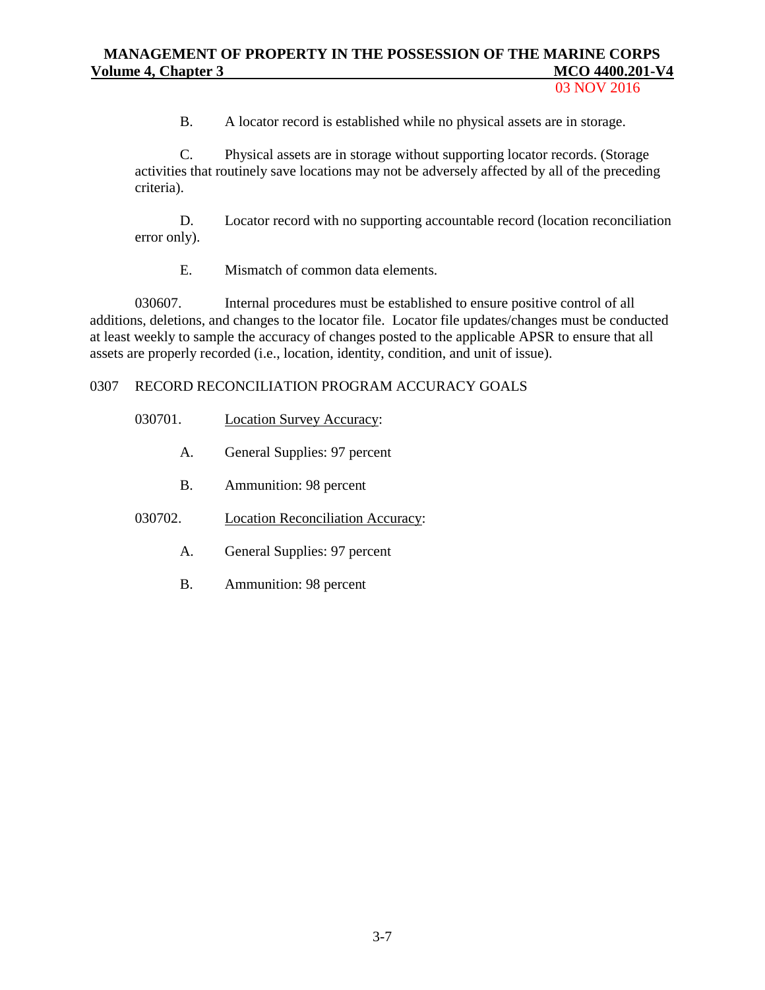03 NOV 2016

B. A locator record is established while no physical assets are in storage.

C. Physical assets are in storage without supporting locator records. (Storage activities that routinely save locations may not be adversely affected by all of the preceding criteria).

D. Locator record with no supporting accountable record (location reconciliation error only).

E. Mismatch of common data elements.

030607. Internal procedures must be established to ensure positive control of all additions, deletions, and changes to the locator file. Locator file updates/changes must be conducted at least weekly to sample the accuracy of changes posted to the applicable APSR to ensure that all assets are properly recorded (i.e., location, identity, condition, and unit of issue).

# 0307 RECORD RECONCILIATION PROGRAM ACCURACY GOALS

- 030701. Location Survey Accuracy:
	- A. General Supplies: 97 percent
	- B. Ammunition: 98 percent
- 030702. Location Reconciliation Accuracy:
	- A. General Supplies: 97 percent
	- B. Ammunition: 98 percent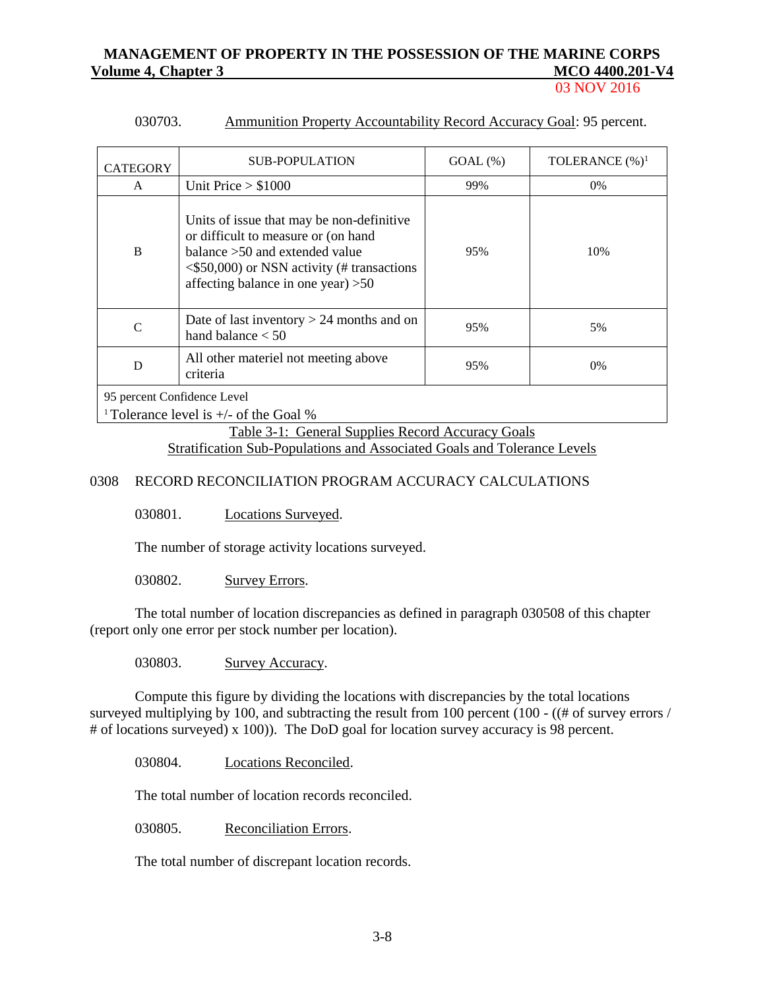03 NOV 2016

| <b>CATEGORY</b>             | <b>SUB-POPULATION</b>                                                                                                                                                                                             | $GOAL(\%)$ | TOLERANCE $(\%)^1$ |
|-----------------------------|-------------------------------------------------------------------------------------------------------------------------------------------------------------------------------------------------------------------|------------|--------------------|
| A                           | Unit Price $> $1000$                                                                                                                                                                                              | 99%        | 0%                 |
| B                           | Units of issue that may be non-definitive.<br>or difficult to measure or (on hand<br>balance $>50$ and extended value<br>$\leq$ \$50,000) or NSN activity (# transactions<br>affecting balance in one year) $>50$ | 95%        | 10%                |
| $\mathcal{C}$               | Date of last inventory $> 24$ months and on<br>hand balance $<$ 50                                                                                                                                                | 95%        | 5%                 |
| D                           | All other materiel not meeting above<br>criteria                                                                                                                                                                  | 95%        | 0%                 |
| 95 percent Confidence Level | $1001$ $111$ , $11$ , $11$                                                                                                                                                                                        |            |                    |

030703. Ammunition Property Accountability Record Accuracy Goal: 95 percent.

<sup>1</sup>Tolerance level is  $+/-$  of the Goal %

Table 3-1: General Supplies Record Accuracy Goals Stratification Sub-Populations and Associated Goals and Tolerance Levels

#### 0308 RECORD RECONCILIATION PROGRAM ACCURACY CALCULATIONS

030801. Locations Surveyed.

The number of storage activity locations surveyed.

030802. Survey Errors.

The total number of location discrepancies as defined in paragraph 030508 of this chapter (report only one error per stock number per location).

030803. Survey Accuracy.

Compute this figure by dividing the locations with discrepancies by the total locations surveyed multiplying by 100, and subtracting the result from 100 percent (100 - ((# of survey errors / # of locations surveyed) x 100)). The DoD goal for location survey accuracy is 98 percent.

030804. Locations Reconciled.

The total number of location records reconciled.

030805. Reconciliation Errors.

The total number of discrepant location records.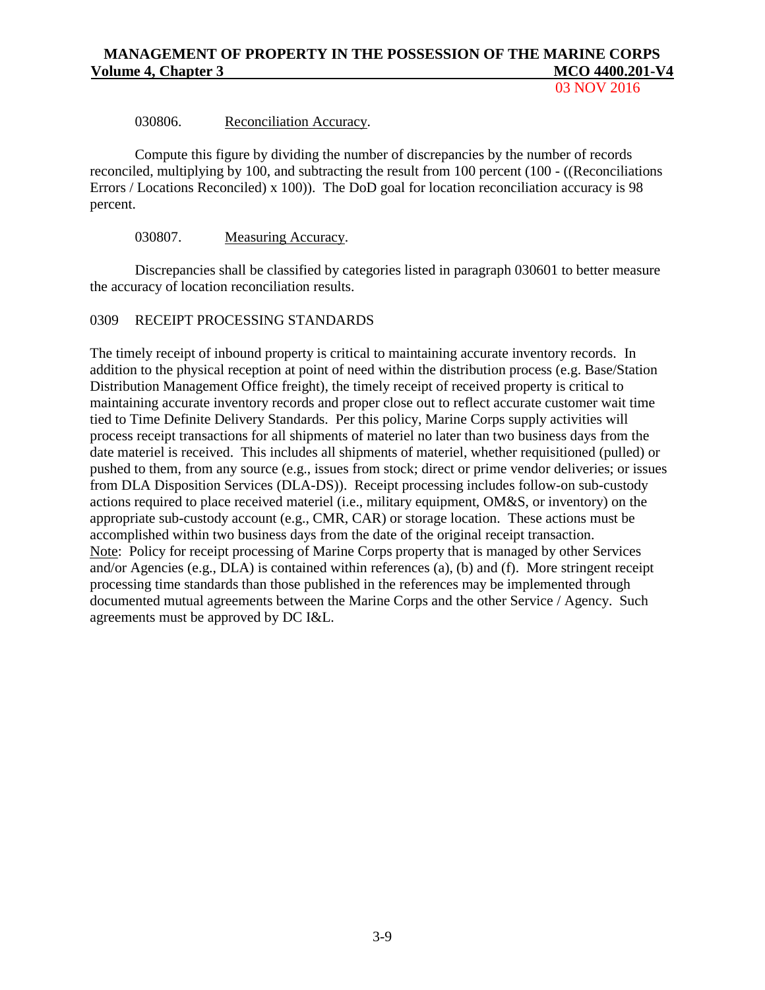03 NOV 2016

#### 030806. Reconciliation Accuracy.

Compute this figure by dividing the number of discrepancies by the number of records reconciled, multiplying by 100, and subtracting the result from 100 percent (100 - ((Reconciliations Errors / Locations Reconciled) x 100)). The DoD goal for location reconciliation accuracy is 98 percent.

030807. Measuring Accuracy.

Discrepancies shall be classified by categories listed in paragraph 030601 to better measure the accuracy of location reconciliation results.

0309 RECEIPT PROCESSING STANDARDS

The timely receipt of inbound property is critical to maintaining accurate inventory records. In addition to the physical reception at point of need within the distribution process (e.g. Base/Station Distribution Management Office freight), the timely receipt of received property is critical to maintaining accurate inventory records and proper close out to reflect accurate customer wait time tied to Time Definite Delivery Standards. Per this policy, Marine Corps supply activities will process receipt transactions for all shipments of materiel no later than two business days from the date materiel is received. This includes all shipments of materiel, whether requisitioned (pulled) or pushed to them, from any source (e.g., issues from stock; direct or prime vendor deliveries; or issues from DLA Disposition Services (DLA-DS)). Receipt processing includes follow-on sub-custody actions required to place received materiel (i.e., military equipment, OM&S, or inventory) on the appropriate sub-custody account (e.g., CMR, CAR) or storage location. These actions must be accomplished within two business days from the date of the original receipt transaction. Note: Policy for receipt processing of Marine Corps property that is managed by other Services and/or Agencies (e.g., DLA) is contained within references (a), (b) and (f). More stringent receipt processing time standards than those published in the references may be implemented through documented mutual agreements between the Marine Corps and the other Service / Agency. Such agreements must be approved by DC I&L.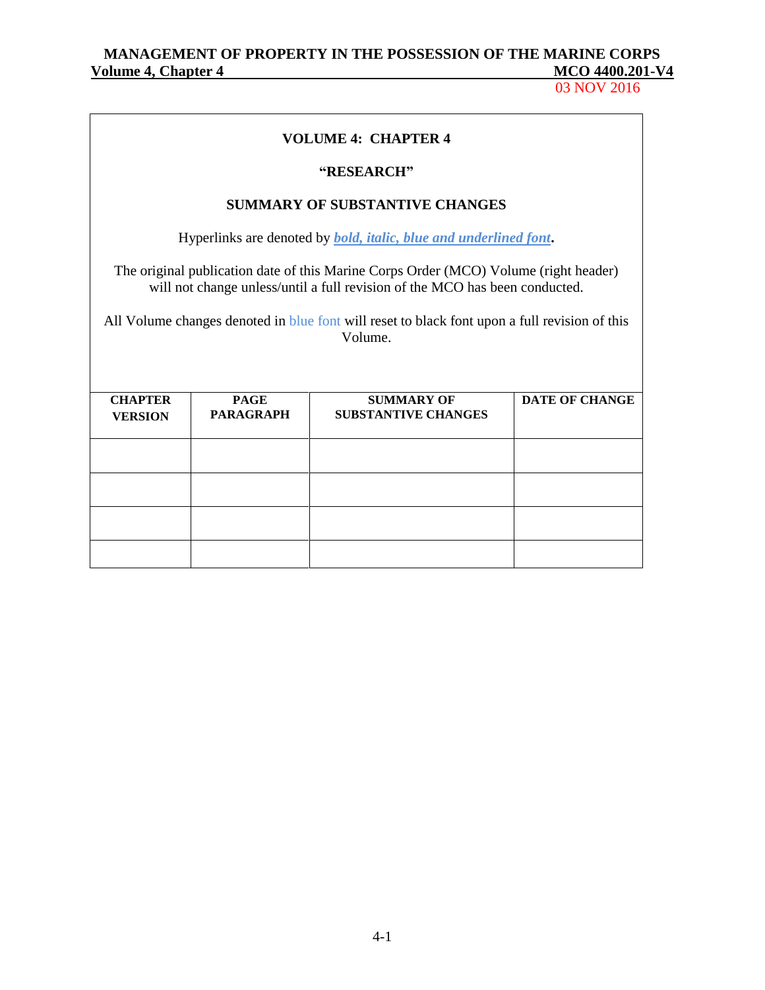03 NOV 2016

# **VOLUME 4: CHAPTER 4**

#### **"RESEARCH"**

#### **SUMMARY OF SUBSTANTIVE CHANGES**

Hyperlinks are denoted by *bold, italic, blue and underlined font***.**

The original publication date of this Marine Corps Order (MCO) Volume (right header) will not change unless/until a full revision of the MCO has been conducted.

All Volume changes denoted in blue font will reset to black font upon a full revision of this Volume.

| <b>CHAPTER</b><br><b>VERSION</b> | <b>PAGE</b><br><b>PARAGRAPH</b> | <b>SUMMARY OF</b><br><b>SUBSTANTIVE CHANGES</b> | <b>DATE OF CHANGE</b> |
|----------------------------------|---------------------------------|-------------------------------------------------|-----------------------|
|                                  |                                 |                                                 |                       |
|                                  |                                 |                                                 |                       |
|                                  |                                 |                                                 |                       |
|                                  |                                 |                                                 |                       |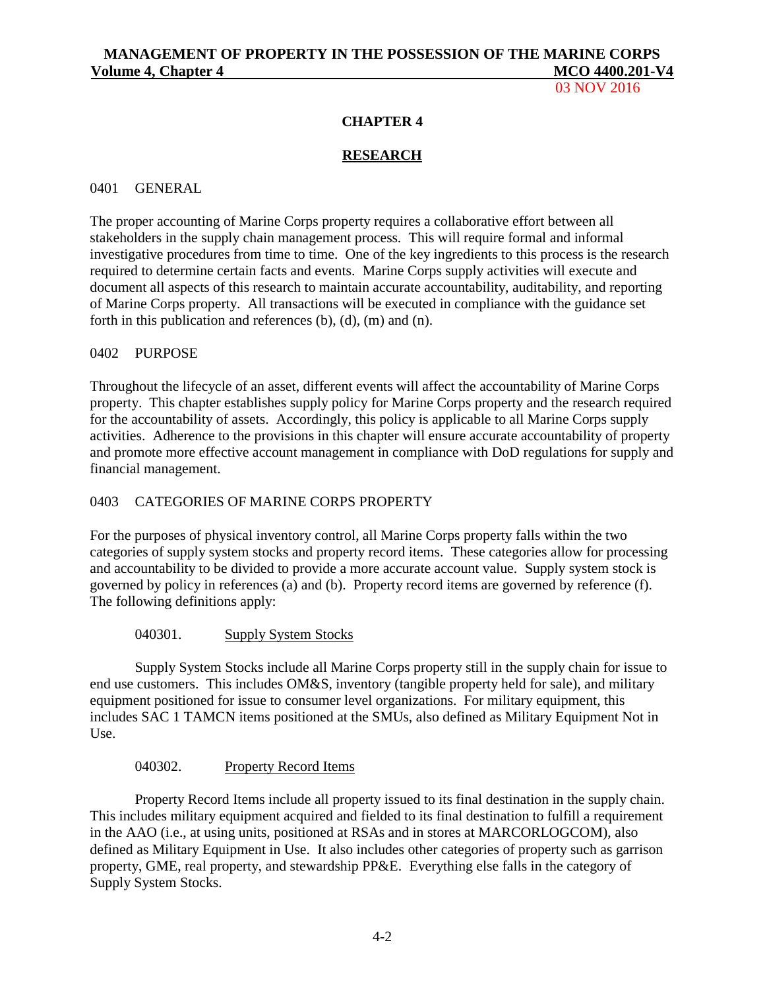03 NOV 2016

#### **CHAPTER 4**

#### **RESEARCH**

#### 0401 GENERAL

The proper accounting of Marine Corps property requires a collaborative effort between all stakeholders in the supply chain management process. This will require formal and informal investigative procedures from time to time. One of the key ingredients to this process is the research required to determine certain facts and events. Marine Corps supply activities will execute and document all aspects of this research to maintain accurate accountability, auditability, and reporting of Marine Corps property. All transactions will be executed in compliance with the guidance set forth in this publication and references (b), (d), (m) and (n).

#### 0402 PURPOSE

Throughout the lifecycle of an asset, different events will affect the accountability of Marine Corps property. This chapter establishes supply policy for Marine Corps property and the research required for the accountability of assets. Accordingly, this policy is applicable to all Marine Corps supply activities. Adherence to the provisions in this chapter will ensure accurate accountability of property and promote more effective account management in compliance with DoD regulations for supply and financial management.

#### 0403 CATEGORIES OF MARINE CORPS PROPERTY

For the purposes of physical inventory control, all Marine Corps property falls within the two categories of supply system stocks and property record items. These categories allow for processing and accountability to be divided to provide a more accurate account value. Supply system stock is governed by policy in references (a) and (b). Property record items are governed by reference (f). The following definitions apply:

#### 040301. Supply System Stocks

Supply System Stocks include all Marine Corps property still in the supply chain for issue to end use customers. This includes OM&S, inventory (tangible property held for sale), and military equipment positioned for issue to consumer level organizations. For military equipment, this includes SAC 1 TAMCN items positioned at the SMUs, also defined as Military Equipment Not in Use.

#### 040302. Property Record Items

Property Record Items include all property issued to its final destination in the supply chain. This includes military equipment acquired and fielded to its final destination to fulfill a requirement in the AAO (i.e., at using units, positioned at RSAs and in stores at MARCORLOGCOM), also defined as Military Equipment in Use. It also includes other categories of property such as garrison property, GME, real property, and stewardship PP&E. Everything else falls in the category of Supply System Stocks.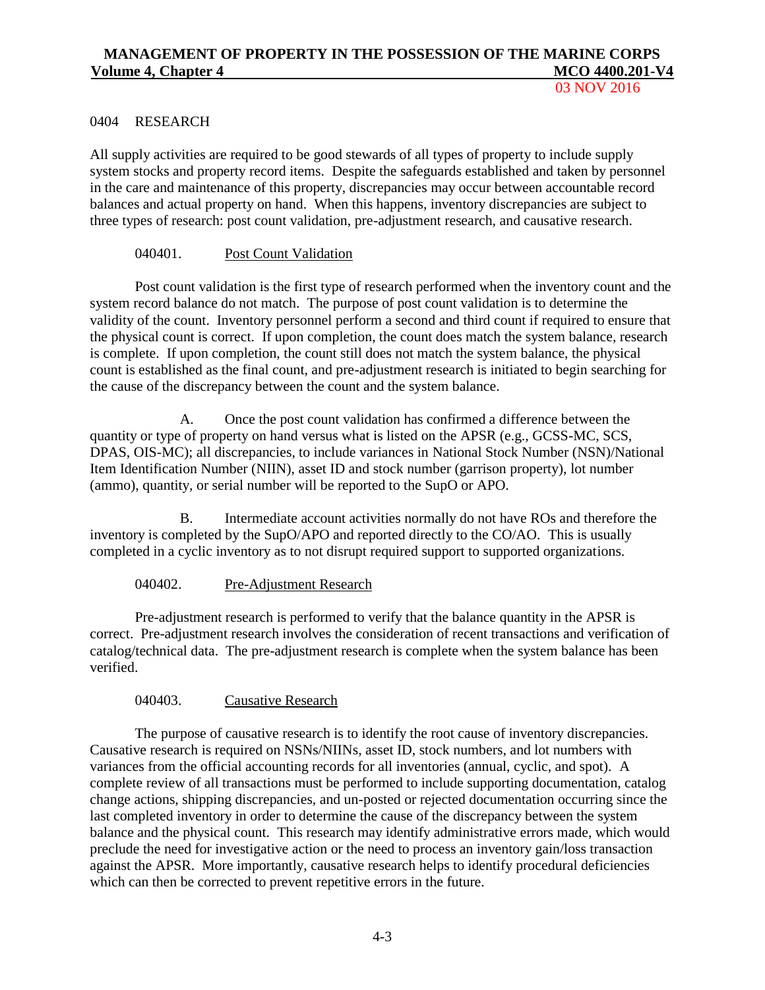03 NOV 2016

#### 0404 RESEARCH

All supply activities are required to be good stewards of all types of property to include supply system stocks and property record items. Despite the safeguards established and taken by personnel in the care and maintenance of this property, discrepancies may occur between accountable record balances and actual property on hand. When this happens, inventory discrepancies are subject to three types of research: post count validation, pre-adjustment research, and causative research.

#### 040401. Post Count Validation

Post count validation is the first type of research performed when the inventory count and the system record balance do not match. The purpose of post count validation is to determine the validity of the count. Inventory personnel perform a second and third count if required to ensure that the physical count is correct. If upon completion, the count does match the system balance, research is complete. If upon completion, the count still does not match the system balance, the physical count is established as the final count, and pre-adjustment research is initiated to begin searching for the cause of the discrepancy between the count and the system balance.

A. Once the post count validation has confirmed a difference between the quantity or type of property on hand versus what is listed on the APSR (e.g., GCSS-MC, SCS, DPAS, OIS-MC); all discrepancies, to include variances in National Stock Number (NSN)/National Item Identification Number (NIIN), asset ID and stock number (garrison property), lot number (ammo), quantity, or serial number will be reported to the SupO or APO.

B. Intermediate account activities normally do not have ROs and therefore the inventory is completed by the SupO/APO and reported directly to the CO/AO. This is usually completed in a cyclic inventory as to not disrupt required support to supported organizations.

### 040402. Pre-Adjustment Research

Pre-adjustment research is performed to verify that the balance quantity in the APSR is correct. Pre-adjustment research involves the consideration of recent transactions and verification of catalog/technical data. The pre-adjustment research is complete when the system balance has been verified.

#### 040403. Causative Research

The purpose of causative research is to identify the root cause of inventory discrepancies. Causative research is required on NSNs/NIINs, asset ID, stock numbers, and lot numbers with variances from the official accounting records for all inventories (annual, cyclic, and spot). A complete review of all transactions must be performed to include supporting documentation, catalog change actions, shipping discrepancies, and un-posted or rejected documentation occurring since the last completed inventory in order to determine the cause of the discrepancy between the system balance and the physical count. This research may identify administrative errors made, which would preclude the need for investigative action or the need to process an inventory gain/loss transaction against the APSR. More importantly, causative research helps to identify procedural deficiencies which can then be corrected to prevent repetitive errors in the future.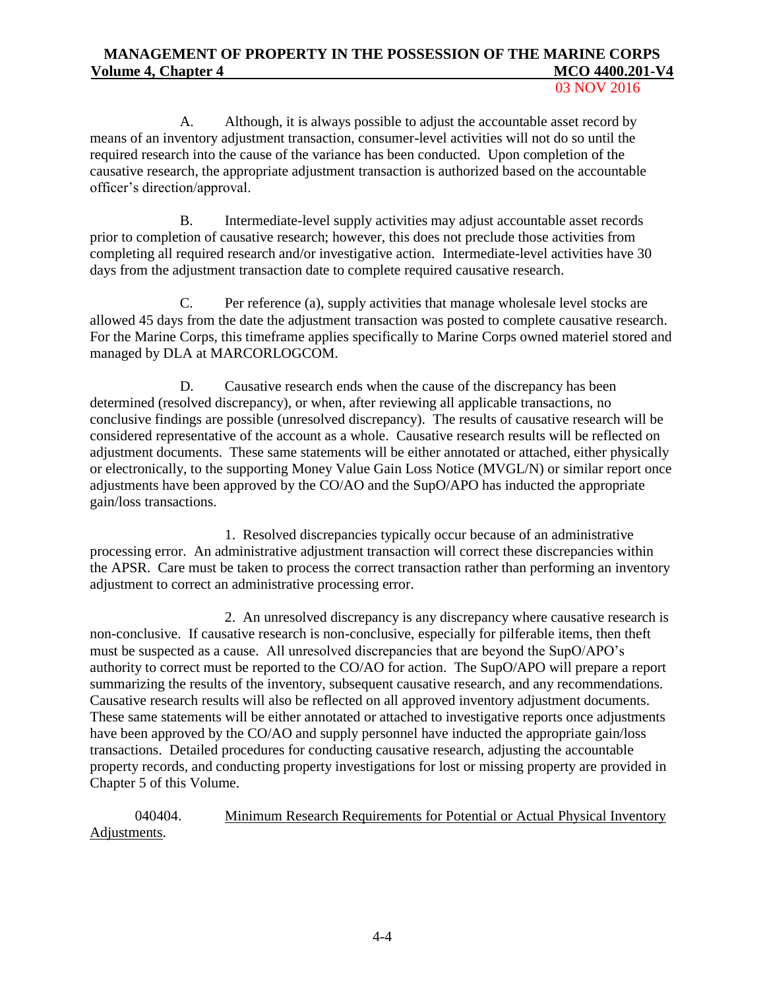03 NOV 2016

A. Although, it is always possible to adjust the accountable asset record by means of an inventory adjustment transaction, consumer-level activities will not do so until the required research into the cause of the variance has been conducted. Upon completion of the causative research, the appropriate adjustment transaction is authorized based on the accountable officer's direction/approval.

B. Intermediate-level supply activities may adjust accountable asset records prior to completion of causative research; however, this does not preclude those activities from completing all required research and/or investigative action. Intermediate-level activities have 30 days from the adjustment transaction date to complete required causative research.

C. Per reference (a), supply activities that manage wholesale level stocks are allowed 45 days from the date the adjustment transaction was posted to complete causative research. For the Marine Corps, this timeframe applies specifically to Marine Corps owned materiel stored and managed by DLA at MARCORLOGCOM.

D. Causative research ends when the cause of the discrepancy has been determined (resolved discrepancy), or when, after reviewing all applicable transactions, no conclusive findings are possible (unresolved discrepancy). The results of causative research will be considered representative of the account as a whole. Causative research results will be reflected on adjustment documents. These same statements will be either annotated or attached, either physically or electronically, to the supporting Money Value Gain Loss Notice (MVGL/N) or similar report once adjustments have been approved by the CO/AO and the SupO/APO has inducted the appropriate gain/loss transactions.

1. Resolved discrepancies typically occur because of an administrative processing error. An administrative adjustment transaction will correct these discrepancies within the APSR. Care must be taken to process the correct transaction rather than performing an inventory adjustment to correct an administrative processing error.

2. An unresolved discrepancy is any discrepancy where causative research is non-conclusive. If causative research is non-conclusive, especially for pilferable items, then theft must be suspected as a cause. All unresolved discrepancies that are beyond the SupO/APO's authority to correct must be reported to the CO/AO for action. The SupO/APO will prepare a report summarizing the results of the inventory, subsequent causative research, and any recommendations. Causative research results will also be reflected on all approved inventory adjustment documents. These same statements will be either annotated or attached to investigative reports once adjustments have been approved by the CO/AO and supply personnel have inducted the appropriate gain/loss transactions. Detailed procedures for conducting causative research, adjusting the accountable property records, and conducting property investigations for lost or missing property are provided in Chapter 5 of this Volume.

040404. Minimum Research Requirements for Potential or Actual Physical Inventory Adjustments.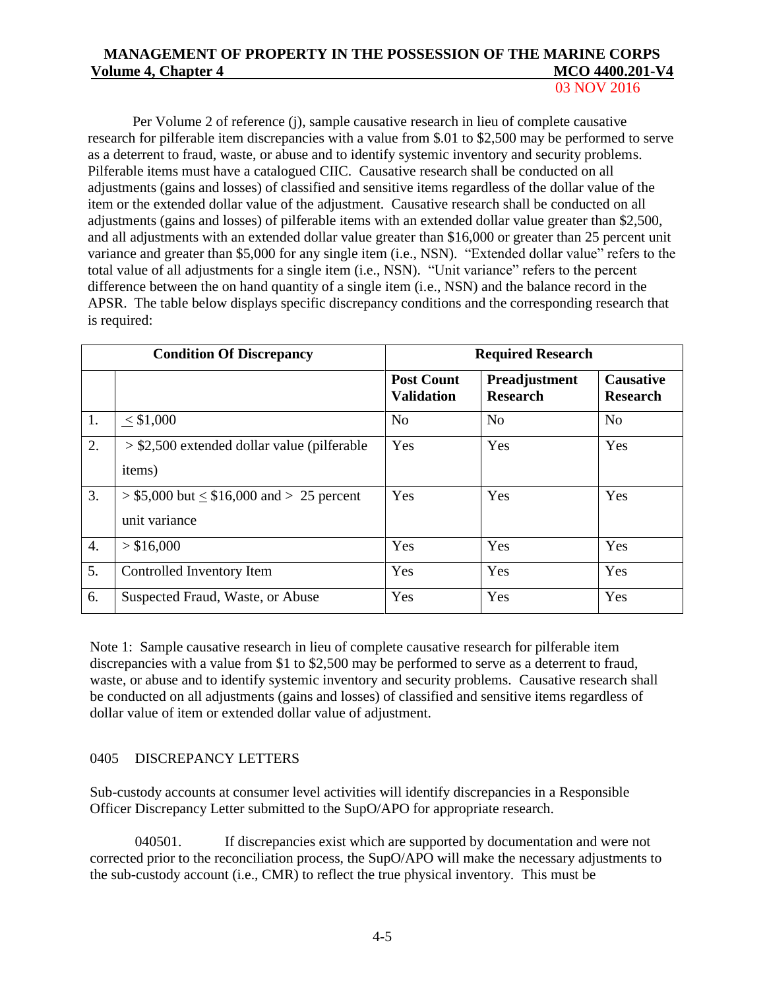03 NOV 2016

Per Volume 2 of reference (j), sample causative research in lieu of complete causative research for pilferable item discrepancies with a value from \$.01 to \$2,500 may be performed to serve as a deterrent to fraud, waste, or abuse and to identify systemic inventory and security problems. Pilferable items must have a catalogued CIIC. Causative research shall be conducted on all adjustments (gains and losses) of classified and sensitive items regardless of the dollar value of the item or the extended dollar value of the adjustment. Causative research shall be conducted on all adjustments (gains and losses) of pilferable items with an extended dollar value greater than \$2,500, and all adjustments with an extended dollar value greater than \$16,000 or greater than 25 percent unit variance and greater than \$5,000 for any single item (i.e., NSN). "Extended dollar value" refers to the total value of all adjustments for a single item (i.e., NSN). "Unit variance" refers to the percent difference between the on hand quantity of a single item (i.e., NSN) and the balance record in the APSR. The table below displays specific discrepancy conditions and the corresponding research that is required:

| <b>Condition Of Discrepancy</b> |                                                              | <b>Required Research</b>               |                                  |                              |
|---------------------------------|--------------------------------------------------------------|----------------------------------------|----------------------------------|------------------------------|
|                                 |                                                              | <b>Post Count</b><br><b>Validation</b> | Preadjustment<br><b>Research</b> | Causative<br><b>Research</b> |
| 1.                              | $\leq$ \$1,000                                               | N <sub>o</sub>                         | N <sub>o</sub>                   | N <sub>o</sub>               |
| 2.                              | $>$ \$2,500 extended dollar value (pilferable<br>items)      | Yes                                    | Yes                              | Yes                          |
| 3.                              | $>$ \$5,000 but < \$16,000 and > 25 percent<br>unit variance | Yes                                    | Yes                              | Yes                          |
| $\overline{4}$ .                | > \$16,000                                                   | Yes                                    | Yes                              | Yes                          |
| 5.                              | Controlled Inventory Item                                    | Yes                                    | Yes                              | Yes                          |
| 6.                              | Suspected Fraud, Waste, or Abuse                             | Yes                                    | Yes                              | Yes                          |

Note 1: Sample causative research in lieu of complete causative research for pilferable item discrepancies with a value from \$1 to \$2,500 may be performed to serve as a deterrent to fraud, waste, or abuse and to identify systemic inventory and security problems. Causative research shall be conducted on all adjustments (gains and losses) of classified and sensitive items regardless of dollar value of item or extended dollar value of adjustment.

#### 0405 DISCREPANCY LETTERS

Sub-custody accounts at consumer level activities will identify discrepancies in a Responsible Officer Discrepancy Letter submitted to the SupO/APO for appropriate research.

040501. If discrepancies exist which are supported by documentation and were not corrected prior to the reconciliation process, the SupO/APO will make the necessary adjustments to the sub-custody account (i.e., CMR) to reflect the true physical inventory. This must be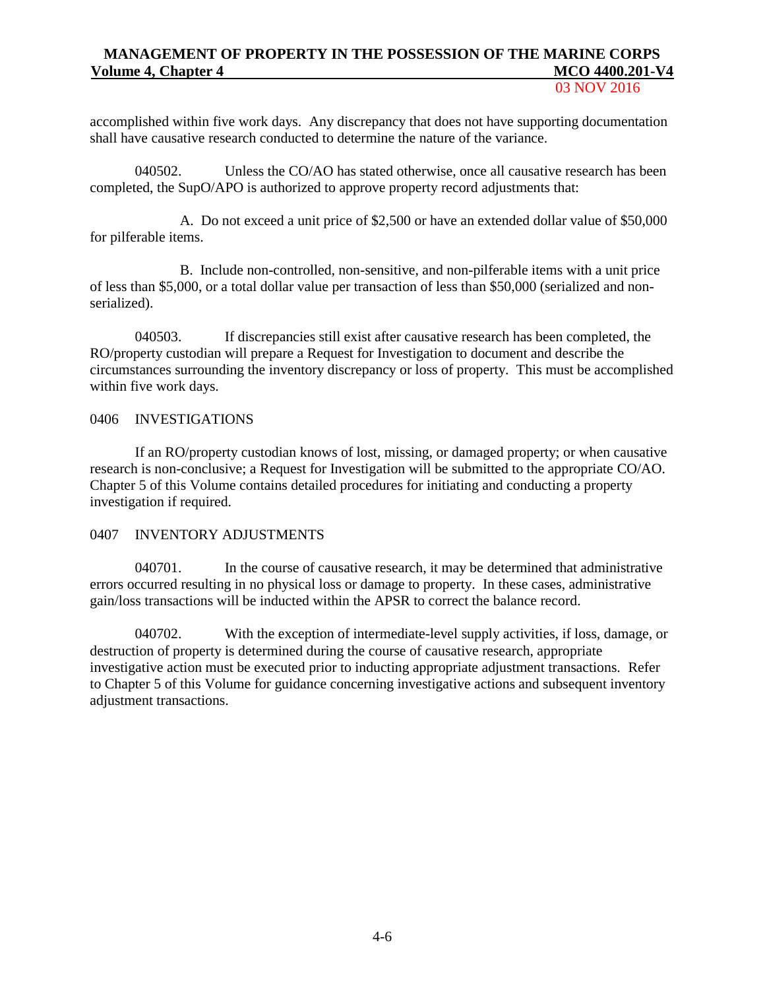03 NOV 2016

accomplished within five work days. Any discrepancy that does not have supporting documentation shall have causative research conducted to determine the nature of the variance.

040502. Unless the CO/AO has stated otherwise, once all causative research has been completed, the SupO/APO is authorized to approve property record adjustments that:

A. Do not exceed a unit price of \$2,500 or have an extended dollar value of \$50,000 for pilferable items.

B. Include non-controlled, non-sensitive, and non-pilferable items with a unit price of less than \$5,000, or a total dollar value per transaction of less than \$50,000 (serialized and nonserialized).

040503. If discrepancies still exist after causative research has been completed, the RO/property custodian will prepare a Request for Investigation to document and describe the circumstances surrounding the inventory discrepancy or loss of property. This must be accomplished within five work days.

#### 0406 INVESTIGATIONS

If an RO/property custodian knows of lost, missing, or damaged property; or when causative research is non-conclusive; a Request for Investigation will be submitted to the appropriate CO/AO. Chapter 5 of this Volume contains detailed procedures for initiating and conducting a property investigation if required.

#### 0407 INVENTORY ADJUSTMENTS

040701. In the course of causative research, it may be determined that administrative errors occurred resulting in no physical loss or damage to property. In these cases, administrative gain/loss transactions will be inducted within the APSR to correct the balance record.

040702. With the exception of intermediate-level supply activities, if loss, damage, or destruction of property is determined during the course of causative research, appropriate investigative action must be executed prior to inducting appropriate adjustment transactions. Refer to Chapter 5 of this Volume for guidance concerning investigative actions and subsequent inventory adjustment transactions.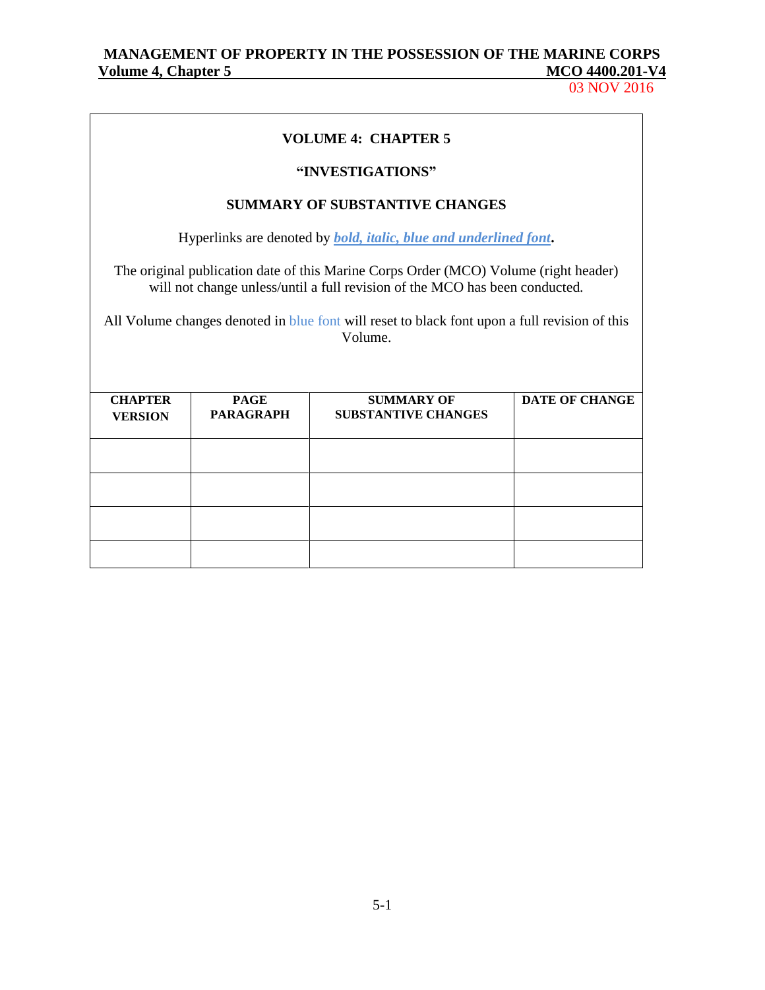03 NOV 2016

#### **VOLUME 4: CHAPTER 5**

#### **"INVESTIGATIONS"**

#### **SUMMARY OF SUBSTANTIVE CHANGES**

Hyperlinks are denoted by *bold, italic, blue and underlined font***.**

The original publication date of this Marine Corps Order (MCO) Volume (right header) will not change unless/until a full revision of the MCO has been conducted.

All Volume changes denoted in blue font will reset to black font upon a full revision of this Volume.

| <b>CHAPTER</b><br><b>VERSION</b> | <b>PAGE</b><br><b>PARAGRAPH</b> | <b>SUMMARY OF</b><br><b>SUBSTANTIVE CHANGES</b> | <b>DATE OF CHANGE</b> |
|----------------------------------|---------------------------------|-------------------------------------------------|-----------------------|
|                                  |                                 |                                                 |                       |
|                                  |                                 |                                                 |                       |
|                                  |                                 |                                                 |                       |
|                                  |                                 |                                                 |                       |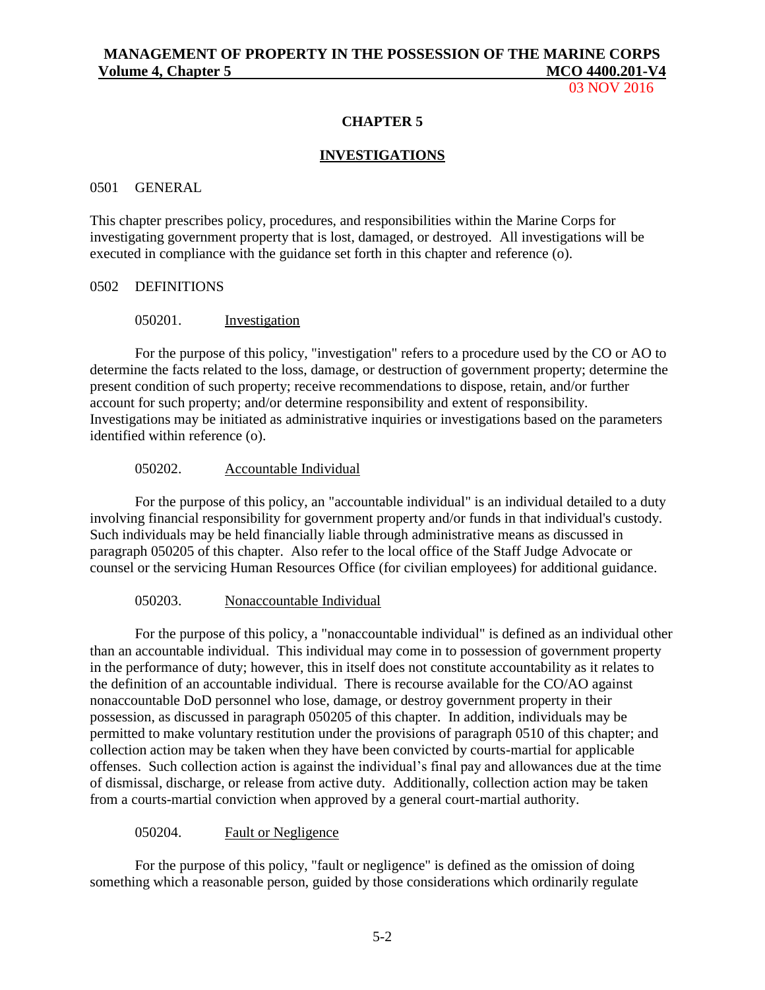03 NOV 2016

#### **CHAPTER 5**

#### **INVESTIGATIONS**

#### 0501 GENERAL

This chapter prescribes policy, procedures, and responsibilities within the Marine Corps for investigating government property that is lost, damaged, or destroyed. All investigations will be executed in compliance with the guidance set forth in this chapter and reference (o).

#### 0502 DEFINITIONS

#### 050201. Investigation

For the purpose of this policy, "investigation" refers to a procedure used by the CO or AO to determine the facts related to the loss, damage, or destruction of government property; determine the present condition of such property; receive recommendations to dispose, retain, and/or further account for such property; and/or determine responsibility and extent of responsibility. Investigations may be initiated as administrative inquiries or investigations based on the parameters identified within reference (o).

#### 050202. Accountable Individual

For the purpose of this policy, an "accountable individual" is an individual detailed to a duty involving financial responsibility for government property and/or funds in that individual's custody. Such individuals may be held financially liable through administrative means as discussed in paragraph 050205 of this chapter. Also refer to the local office of the Staff Judge Advocate or counsel or the servicing Human Resources Office (for civilian employees) for additional guidance.

#### 050203. Nonaccountable Individual

For the purpose of this policy, a "nonaccountable individual" is defined as an individual other than an accountable individual. This individual may come in to possession of government property in the performance of duty; however, this in itself does not constitute accountability as it relates to the definition of an accountable individual. There is recourse available for the CO/AO against nonaccountable DoD personnel who lose, damage, or destroy government property in their possession, as discussed in paragraph 050205 of this chapter. In addition, individuals may be permitted to make voluntary restitution under the provisions of paragraph 0510 of this chapter; and collection action may be taken when they have been convicted by courts-martial for applicable offenses. Such collection action is against the individual's final pay and allowances due at the time of dismissal, discharge, or release from active duty. Additionally, collection action may be taken from a courts-martial conviction when approved by a general court-martial authority.

#### 050204. Fault or Negligence

For the purpose of this policy, "fault or negligence" is defined as the omission of doing something which a reasonable person, guided by those considerations which ordinarily regulate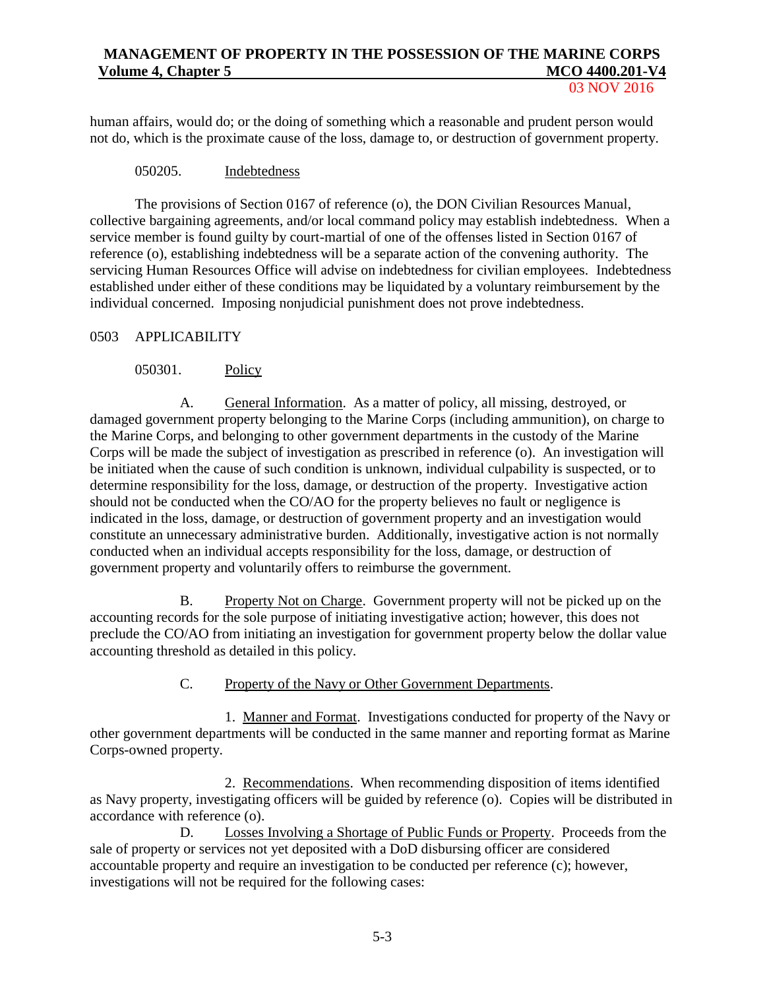03 NOV 2016

human affairs, would do; or the doing of something which a reasonable and prudent person would not do, which is the proximate cause of the loss, damage to, or destruction of government property.

#### 050205. Indebtedness

The provisions of Section 0167 of reference (o), the DON Civilian Resources Manual, collective bargaining agreements, and/or local command policy may establish indebtedness. When a service member is found guilty by court-martial of one of the offenses listed in Section 0167 of reference (o), establishing indebtedness will be a separate action of the convening authority. The servicing Human Resources Office will advise on indebtedness for civilian employees. Indebtedness established under either of these conditions may be liquidated by a voluntary reimbursement by the individual concerned. Imposing nonjudicial punishment does not prove indebtedness.

#### 0503 APPLICABILITY

#### 050301. Policy

A. General Information. As a matter of policy, all missing, destroyed, or damaged government property belonging to the Marine Corps (including ammunition), on charge to the Marine Corps, and belonging to other government departments in the custody of the Marine Corps will be made the subject of investigation as prescribed in reference (o). An investigation will be initiated when the cause of such condition is unknown, individual culpability is suspected, or to determine responsibility for the loss, damage, or destruction of the property. Investigative action should not be conducted when the CO/AO for the property believes no fault or negligence is indicated in the loss, damage, or destruction of government property and an investigation would constitute an unnecessary administrative burden. Additionally, investigative action is not normally conducted when an individual accepts responsibility for the loss, damage, or destruction of government property and voluntarily offers to reimburse the government.

B. Property Not on Charge. Government property will not be picked up on the accounting records for the sole purpose of initiating investigative action; however, this does not preclude the CO/AO from initiating an investigation for government property below the dollar value accounting threshold as detailed in this policy.

#### C. Property of the Navy or Other Government Departments.

1. Manner and Format. Investigations conducted for property of the Navy or other government departments will be conducted in the same manner and reporting format as Marine Corps-owned property.

2. Recommendations. When recommending disposition of items identified as Navy property, investigating officers will be guided by reference (o). Copies will be distributed in accordance with reference (o).

D. Losses Involving a Shortage of Public Funds or Property. Proceeds from the sale of property or services not yet deposited with a DoD disbursing officer are considered accountable property and require an investigation to be conducted per reference (c); however, investigations will not be required for the following cases: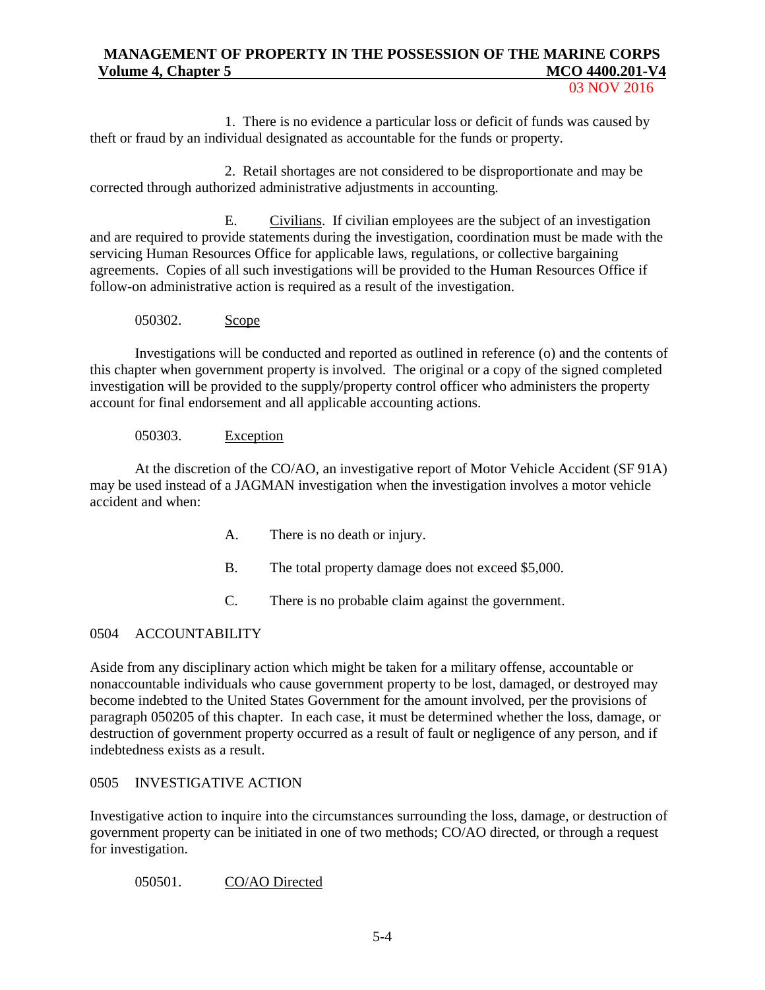1. There is no evidence a particular loss or deficit of funds was caused by theft or fraud by an individual designated as accountable for the funds or property.

2. Retail shortages are not considered to be disproportionate and may be corrected through authorized administrative adjustments in accounting.

E. Civilians. If civilian employees are the subject of an investigation and are required to provide statements during the investigation, coordination must be made with the servicing Human Resources Office for applicable laws, regulations, or collective bargaining agreements. Copies of all such investigations will be provided to the Human Resources Office if follow-on administrative action is required as a result of the investigation.

050302. Scope

Investigations will be conducted and reported as outlined in reference (o) and the contents of this chapter when government property is involved. The original or a copy of the signed completed investigation will be provided to the supply/property control officer who administers the property account for final endorsement and all applicable accounting actions.

050303. Exception

At the discretion of the CO/AO, an investigative report of Motor Vehicle Accident (SF 91A) may be used instead of a JAGMAN investigation when the investigation involves a motor vehicle accident and when:

- A. There is no death or injury.
- B. The total property damage does not exceed \$5,000.
- C. There is no probable claim against the government.

#### 0504 ACCOUNTABILITY

Aside from any disciplinary action which might be taken for a military offense, accountable or nonaccountable individuals who cause government property to be lost, damaged, or destroyed may become indebted to the United States Government for the amount involved, per the provisions of paragraph 050205 of this chapter. In each case, it must be determined whether the loss, damage, or destruction of government property occurred as a result of fault or negligence of any person, and if indebtedness exists as a result.

#### 0505 INVESTIGATIVE ACTION

Investigative action to inquire into the circumstances surrounding the loss, damage, or destruction of government property can be initiated in one of two methods; CO/AO directed, or through a request for investigation.

#### 050501. CO/AO Directed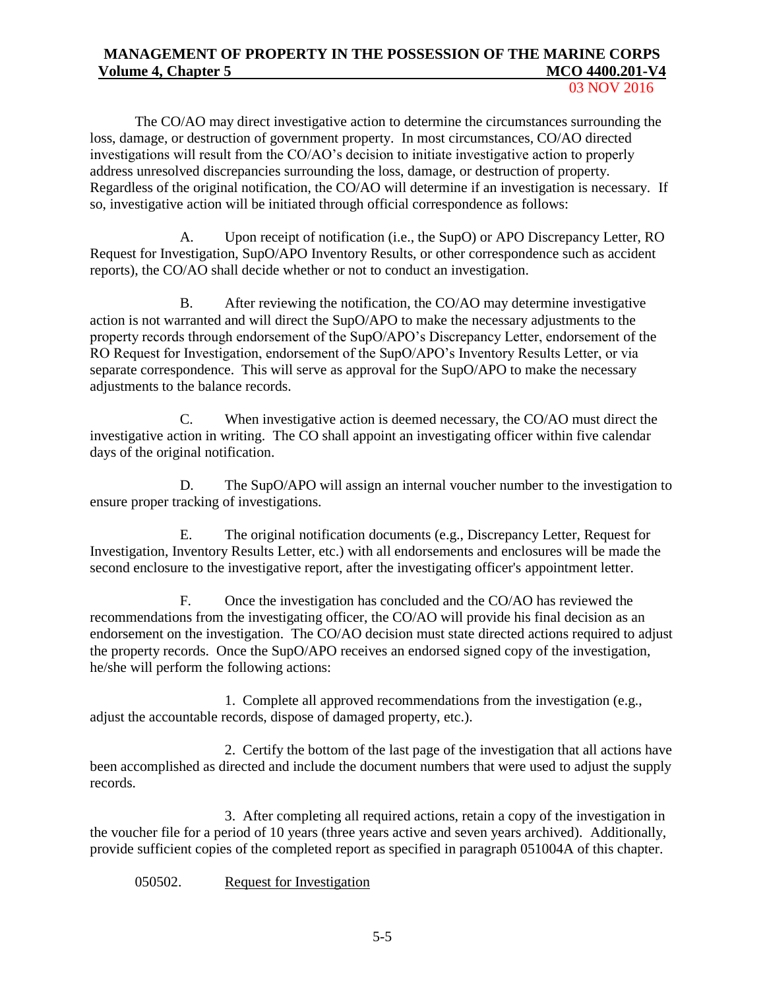03 NOV 2016

The CO/AO may direct investigative action to determine the circumstances surrounding the loss, damage, or destruction of government property. In most circumstances, CO/AO directed investigations will result from the CO/AO's decision to initiate investigative action to properly address unresolved discrepancies surrounding the loss, damage, or destruction of property. Regardless of the original notification, the CO/AO will determine if an investigation is necessary. If so, investigative action will be initiated through official correspondence as follows:

A. Upon receipt of notification (i.e., the SupO) or APO Discrepancy Letter, RO Request for Investigation, SupO/APO Inventory Results, or other correspondence such as accident reports), the CO/AO shall decide whether or not to conduct an investigation.

B. After reviewing the notification, the CO/AO may determine investigative action is not warranted and will direct the SupO/APO to make the necessary adjustments to the property records through endorsement of the SupO/APO's Discrepancy Letter, endorsement of the RO Request for Investigation, endorsement of the SupO/APO's Inventory Results Letter, or via separate correspondence. This will serve as approval for the SupO/APO to make the necessary adjustments to the balance records.

C. When investigative action is deemed necessary, the CO/AO must direct the investigative action in writing. The CO shall appoint an investigating officer within five calendar days of the original notification.

D. The SupO/APO will assign an internal voucher number to the investigation to ensure proper tracking of investigations.

E. The original notification documents (e.g., Discrepancy Letter, Request for Investigation, Inventory Results Letter, etc.) with all endorsements and enclosures will be made the second enclosure to the investigative report, after the investigating officer's appointment letter.

F. Once the investigation has concluded and the CO/AO has reviewed the recommendations from the investigating officer, the CO/AO will provide his final decision as an endorsement on the investigation. The CO/AO decision must state directed actions required to adjust the property records. Once the SupO/APO receives an endorsed signed copy of the investigation, he/she will perform the following actions:

1. Complete all approved recommendations from the investigation (e.g., adjust the accountable records, dispose of damaged property, etc.).

2. Certify the bottom of the last page of the investigation that all actions have been accomplished as directed and include the document numbers that were used to adjust the supply records.

3. After completing all required actions, retain a copy of the investigation in the voucher file for a period of 10 years (three years active and seven years archived). Additionally, provide sufficient copies of the completed report as specified in paragraph 051004A of this chapter.

050502. Request for Investigation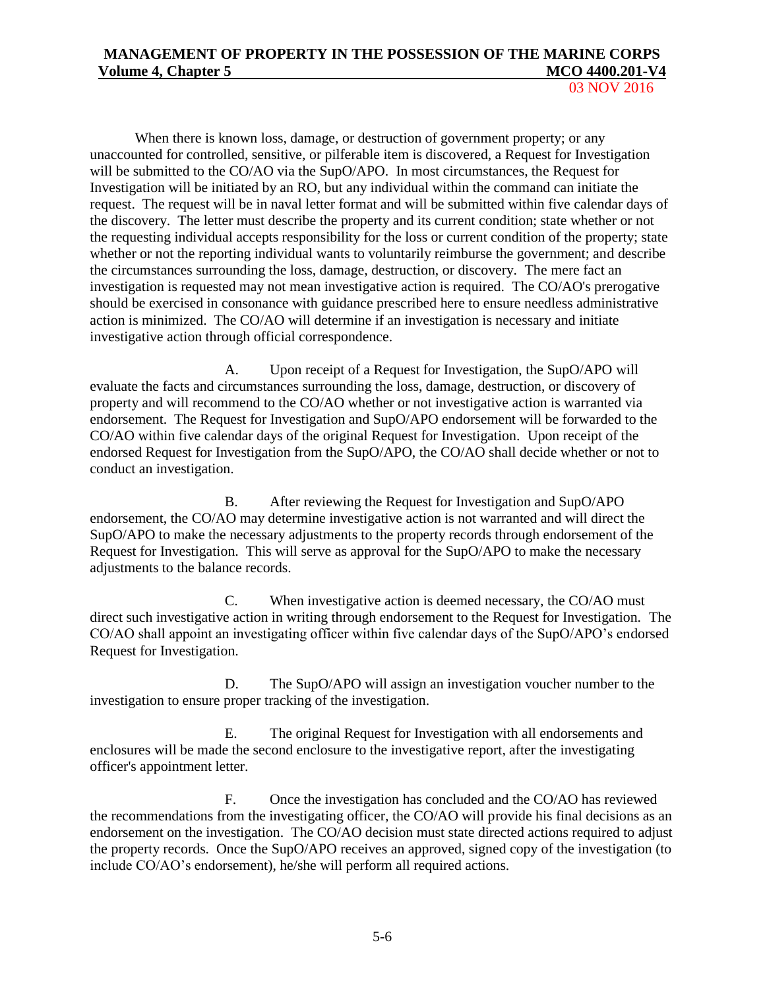03 NOV 2016

When there is known loss, damage, or destruction of government property; or any unaccounted for controlled, sensitive, or pilferable item is discovered, a Request for Investigation will be submitted to the CO/AO via the SupO/APO. In most circumstances, the Request for Investigation will be initiated by an RO, but any individual within the command can initiate the request. The request will be in naval letter format and will be submitted within five calendar days of the discovery. The letter must describe the property and its current condition; state whether or not the requesting individual accepts responsibility for the loss or current condition of the property; state whether or not the reporting individual wants to voluntarily reimburse the government; and describe the circumstances surrounding the loss, damage, destruction, or discovery. The mere fact an investigation is requested may not mean investigative action is required. The CO/AO's prerogative should be exercised in consonance with guidance prescribed here to ensure needless administrative action is minimized. The CO/AO will determine if an investigation is necessary and initiate investigative action through official correspondence.

A. Upon receipt of a Request for Investigation, the SupO/APO will evaluate the facts and circumstances surrounding the loss, damage, destruction, or discovery of property and will recommend to the CO/AO whether or not investigative action is warranted via endorsement. The Request for Investigation and SupO/APO endorsement will be forwarded to the CO/AO within five calendar days of the original Request for Investigation. Upon receipt of the endorsed Request for Investigation from the SupO/APO, the CO/AO shall decide whether or not to conduct an investigation.

B. After reviewing the Request for Investigation and SupO/APO endorsement, the CO/AO may determine investigative action is not warranted and will direct the SupO/APO to make the necessary adjustments to the property records through endorsement of the Request for Investigation. This will serve as approval for the SupO/APO to make the necessary adjustments to the balance records.

C. When investigative action is deemed necessary, the CO/AO must direct such investigative action in writing through endorsement to the Request for Investigation. The CO/AO shall appoint an investigating officer within five calendar days of the SupO/APO's endorsed Request for Investigation.

D. The SupO/APO will assign an investigation voucher number to the investigation to ensure proper tracking of the investigation.

E. The original Request for Investigation with all endorsements and enclosures will be made the second enclosure to the investigative report, after the investigating officer's appointment letter.

F. Once the investigation has concluded and the CO/AO has reviewed the recommendations from the investigating officer, the CO/AO will provide his final decisions as an endorsement on the investigation. The CO/AO decision must state directed actions required to adjust the property records. Once the SupO/APO receives an approved, signed copy of the investigation (to include CO/AO's endorsement), he/she will perform all required actions.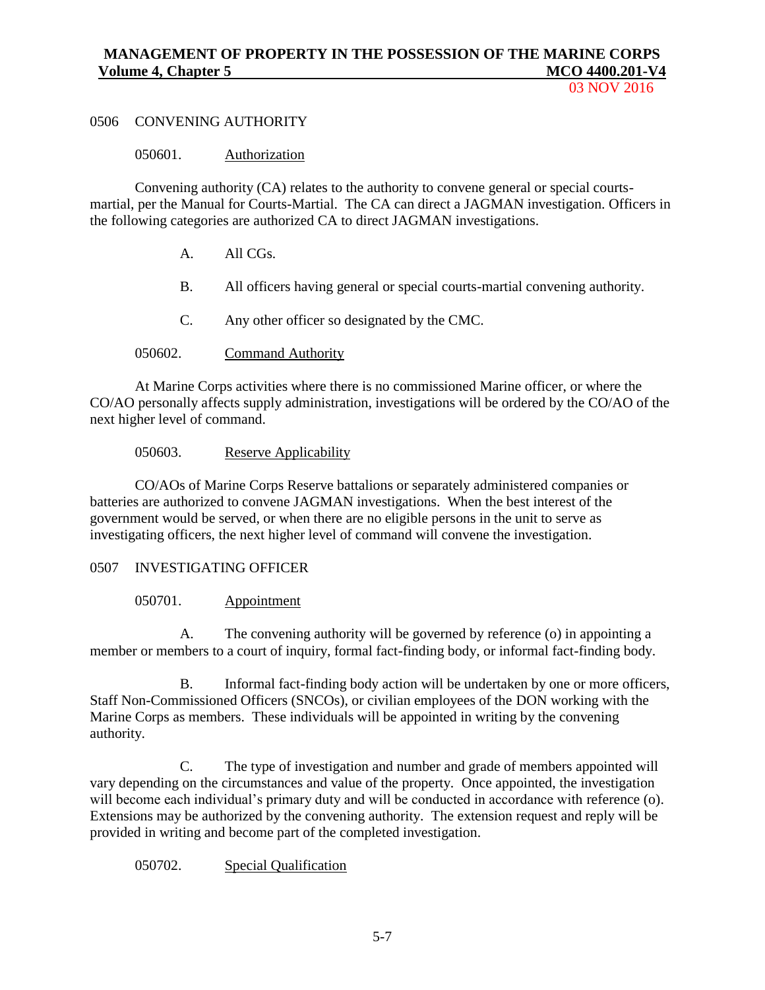03 NOV 2016

#### 0506 CONVENING AUTHORITY

#### 050601. Authorization

Convening authority (CA) relates to the authority to convene general or special courtsmartial, per the Manual for Courts-Martial. The CA can direct a JAGMAN investigation. Officers in the following categories are authorized CA to direct JAGMAN investigations.

- A. All CGs.
- B. All officers having general or special courts-martial convening authority.
- C. Any other officer so designated by the CMC.

050602. Command Authority

At Marine Corps activities where there is no commissioned Marine officer, or where the CO/AO personally affects supply administration, investigations will be ordered by the CO/AO of the next higher level of command.

#### 050603. Reserve Applicability

CO/AOs of Marine Corps Reserve battalions or separately administered companies or batteries are authorized to convene JAGMAN investigations. When the best interest of the government would be served, or when there are no eligible persons in the unit to serve as investigating officers, the next higher level of command will convene the investigation.

#### 0507 INVESTIGATING OFFICER

#### 050701. Appointment

A. The convening authority will be governed by reference (o) in appointing a member or members to a court of inquiry, formal fact-finding body, or informal fact-finding body.

B. Informal fact-finding body action will be undertaken by one or more officers, Staff Non-Commissioned Officers (SNCOs), or civilian employees of the DON working with the Marine Corps as members. These individuals will be appointed in writing by the convening authority.

C. The type of investigation and number and grade of members appointed will vary depending on the circumstances and value of the property. Once appointed, the investigation will become each individual's primary duty and will be conducted in accordance with reference (o). Extensions may be authorized by the convening authority. The extension request and reply will be provided in writing and become part of the completed investigation.

#### 050702. Special Qualification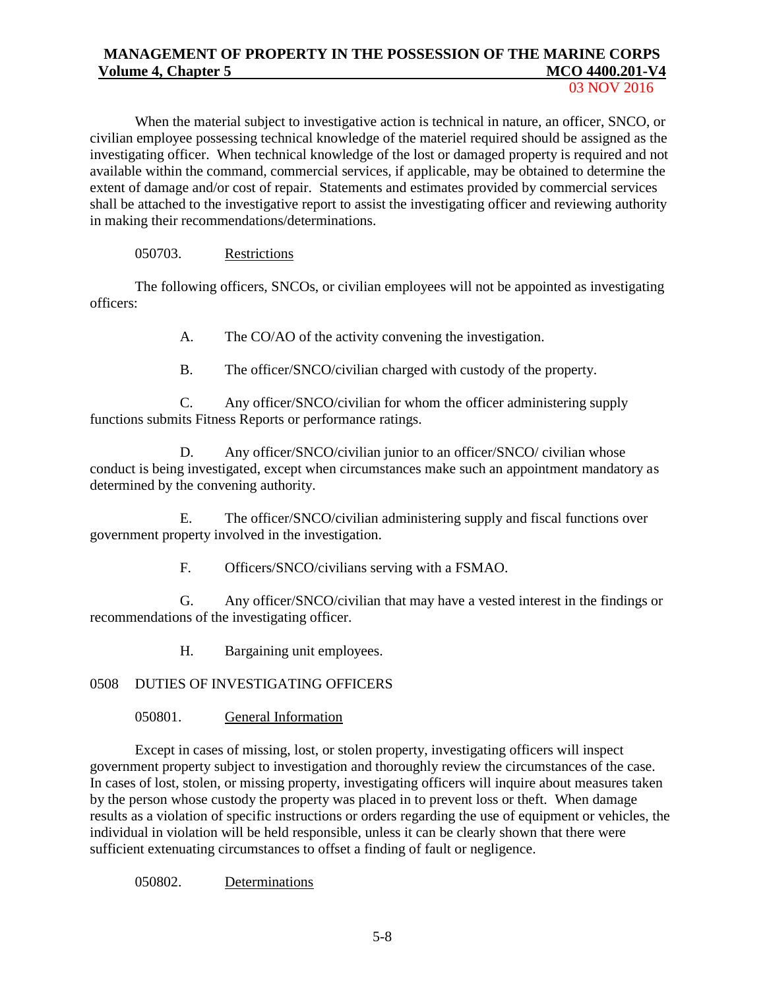#### 03 NOV 2016

When the material subject to investigative action is technical in nature, an officer, SNCO, or civilian employee possessing technical knowledge of the materiel required should be assigned as the investigating officer. When technical knowledge of the lost or damaged property is required and not available within the command, commercial services, if applicable, may be obtained to determine the extent of damage and/or cost of repair. Statements and estimates provided by commercial services shall be attached to the investigative report to assist the investigating officer and reviewing authority in making their recommendations/determinations.

#### 050703. Restrictions

The following officers, SNCOs, or civilian employees will not be appointed as investigating officers:

A. The CO/AO of the activity convening the investigation.

B. The officer/SNCO/civilian charged with custody of the property.

C. Any officer/SNCO/civilian for whom the officer administering supply functions submits Fitness Reports or performance ratings.

D. Any officer/SNCO/civilian junior to an officer/SNCO/ civilian whose conduct is being investigated, except when circumstances make such an appointment mandatory as determined by the convening authority.

E. The officer/SNCO/civilian administering supply and fiscal functions over government property involved in the investigation.

F. Officers/SNCO/civilians serving with a FSMAO.

G. Any officer/SNCO/civilian that may have a vested interest in the findings or recommendations of the investigating officer.

H. Bargaining unit employees.

# 0508 DUTIES OF INVESTIGATING OFFICERS

050801. General Information

Except in cases of missing, lost, or stolen property, investigating officers will inspect government property subject to investigation and thoroughly review the circumstances of the case. In cases of lost, stolen, or missing property, investigating officers will inquire about measures taken by the person whose custody the property was placed in to prevent loss or theft. When damage results as a violation of specific instructions or orders regarding the use of equipment or vehicles, the individual in violation will be held responsible, unless it can be clearly shown that there were sufficient extenuating circumstances to offset a finding of fault or negligence.

050802. Determinations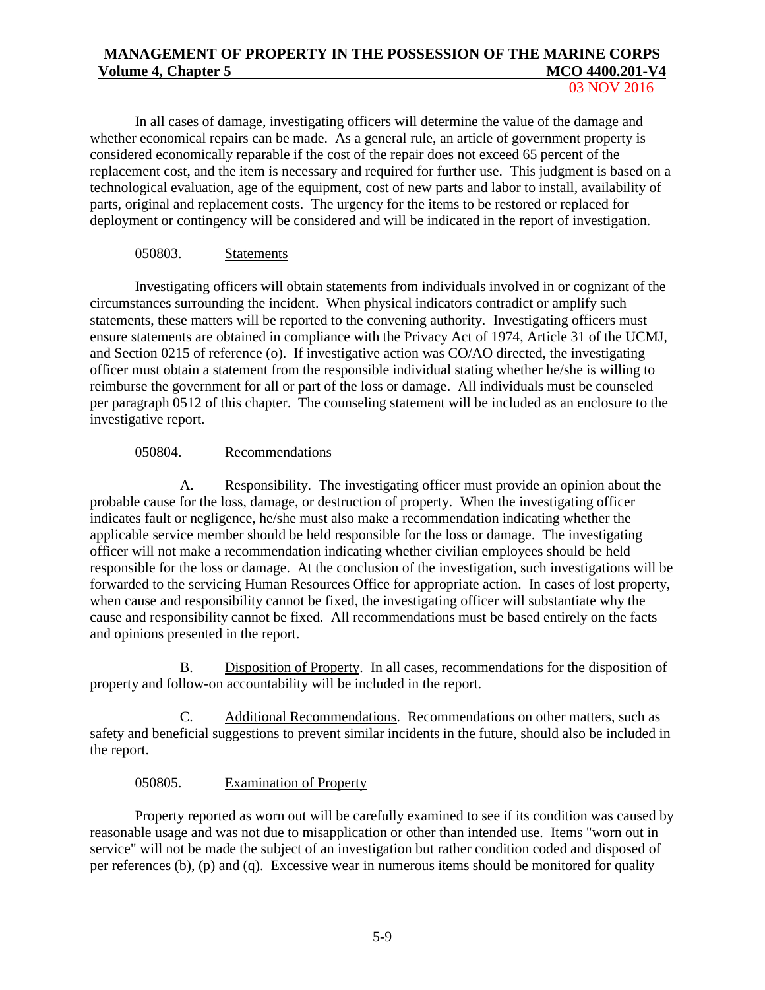03 NOV 2016

In all cases of damage, investigating officers will determine the value of the damage and whether economical repairs can be made. As a general rule, an article of government property is considered economically reparable if the cost of the repair does not exceed 65 percent of the replacement cost, and the item is necessary and required for further use. This judgment is based on a technological evaluation, age of the equipment, cost of new parts and labor to install, availability of parts, original and replacement costs. The urgency for the items to be restored or replaced for deployment or contingency will be considered and will be indicated in the report of investigation.

# 050803. Statements

Investigating officers will obtain statements from individuals involved in or cognizant of the circumstances surrounding the incident. When physical indicators contradict or amplify such statements, these matters will be reported to the convening authority. Investigating officers must ensure statements are obtained in compliance with the Privacy Act of 1974, Article 31 of the UCMJ, and Section 0215 of reference (o). If investigative action was CO/AO directed, the investigating officer must obtain a statement from the responsible individual stating whether he/she is willing to reimburse the government for all or part of the loss or damage. All individuals must be counseled per paragraph 0512 of this chapter. The counseling statement will be included as an enclosure to the investigative report.

# 050804. Recommendations

A. Responsibility. The investigating officer must provide an opinion about the probable cause for the loss, damage, or destruction of property. When the investigating officer indicates fault or negligence, he/she must also make a recommendation indicating whether the applicable service member should be held responsible for the loss or damage. The investigating officer will not make a recommendation indicating whether civilian employees should be held responsible for the loss or damage. At the conclusion of the investigation, such investigations will be forwarded to the servicing Human Resources Office for appropriate action. In cases of lost property, when cause and responsibility cannot be fixed, the investigating officer will substantiate why the cause and responsibility cannot be fixed. All recommendations must be based entirely on the facts and opinions presented in the report.

B. Disposition of Property. In all cases, recommendations for the disposition of property and follow-on accountability will be included in the report.

C. Additional Recommendations. Recommendations on other matters, such as safety and beneficial suggestions to prevent similar incidents in the future, should also be included in the report.

#### 050805. Examination of Property

Property reported as worn out will be carefully examined to see if its condition was caused by reasonable usage and was not due to misapplication or other than intended use. Items "worn out in service" will not be made the subject of an investigation but rather condition coded and disposed of per references (b), (p) and (q). Excessive wear in numerous items should be monitored for quality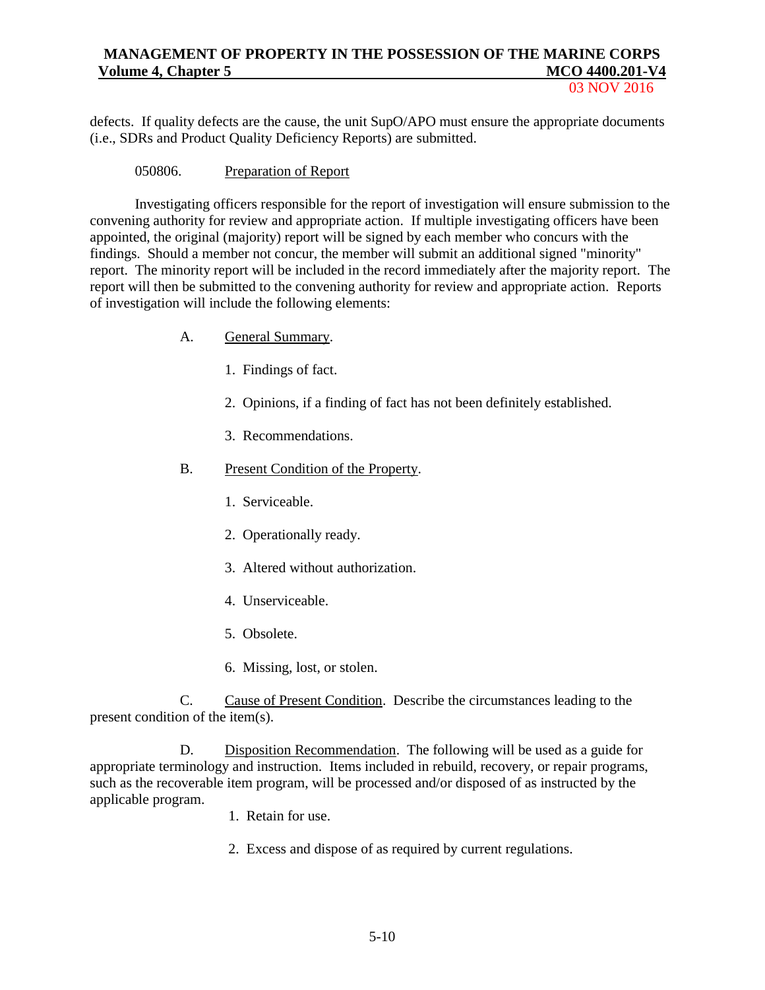03 NOV 2016

defects. If quality defects are the cause, the unit SupO/APO must ensure the appropriate documents (i.e., SDRs and Product Quality Deficiency Reports) are submitted.

#### 050806. Preparation of Report

Investigating officers responsible for the report of investigation will ensure submission to the convening authority for review and appropriate action. If multiple investigating officers have been appointed, the original (majority) report will be signed by each member who concurs with the findings. Should a member not concur, the member will submit an additional signed "minority" report. The minority report will be included in the record immediately after the majority report. The report will then be submitted to the convening authority for review and appropriate action. Reports of investigation will include the following elements:

- A. General Summary.
	- 1. Findings of fact.
	- 2. Opinions, if a finding of fact has not been definitely established.
	- 3. Recommendations.
- B. Present Condition of the Property.
	- 1. Serviceable.
	- 2. Operationally ready.
	- 3. Altered without authorization.
	- 4. Unserviceable.
	- 5. Obsolete.
	- 6. Missing, lost, or stolen.

C. Cause of Present Condition. Describe the circumstances leading to the present condition of the item(s).

 D. Disposition Recommendation. The following will be used as a guide for appropriate terminology and instruction. Items included in rebuild, recovery, or repair programs, such as the recoverable item program, will be processed and/or disposed of as instructed by the applicable program.

- 1. Retain for use.
- 2. Excess and dispose of as required by current regulations.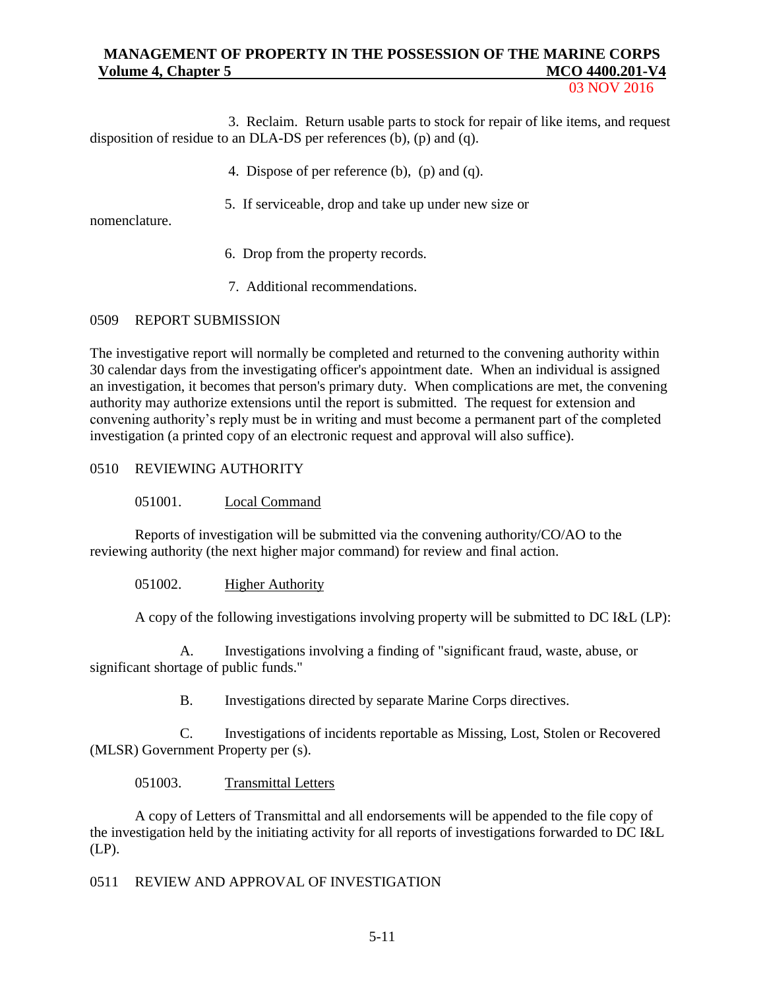#### 03 NOV 2016

3. Reclaim. Return usable parts to stock for repair of like items, and request disposition of residue to an DLA-DS per references (b), (p) and (q).

- 4. Dispose of per reference (b), (p) and (q).
- 5. If serviceable, drop and take up under new size or

nomenclature.

- 6. Drop from the property records.
- 7. Additional recommendations.

#### 0509 REPORT SUBMISSION

The investigative report will normally be completed and returned to the convening authority within 30 calendar days from the investigating officer's appointment date. When an individual is assigned an investigation, it becomes that person's primary duty. When complications are met, the convening authority may authorize extensions until the report is submitted. The request for extension and convening authority's reply must be in writing and must become a permanent part of the completed investigation (a printed copy of an electronic request and approval will also suffice).

#### 0510 REVIEWING AUTHORITY

#### 051001. Local Command

Reports of investigation will be submitted via the convening authority/CO/AO to the reviewing authority (the next higher major command) for review and final action.

#### 051002. Higher Authority

A copy of the following investigations involving property will be submitted to DC I&L (LP):

 A. Investigations involving a finding of "significant fraud, waste, abuse, or significant shortage of public funds."

B. Investigations directed by separate Marine Corps directives.

 C. Investigations of incidents reportable as Missing, Lost, Stolen or Recovered (MLSR) Government Property per (s).

051003. Transmittal Letters

A copy of Letters of Transmittal and all endorsements will be appended to the file copy of the investigation held by the initiating activity for all reports of investigations forwarded to DC I&L (LP).

#### 0511 REVIEW AND APPROVAL OF INVESTIGATION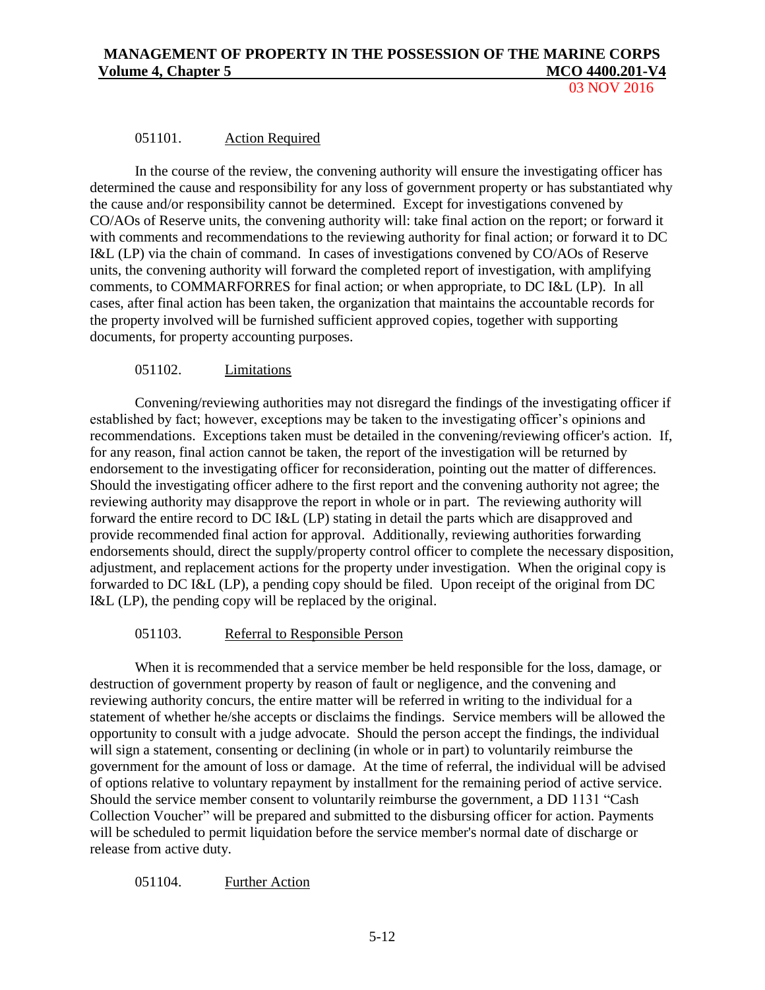03 NOV 2016

#### 051101. Action Required

In the course of the review, the convening authority will ensure the investigating officer has determined the cause and responsibility for any loss of government property or has substantiated why the cause and/or responsibility cannot be determined. Except for investigations convened by CO/AOs of Reserve units, the convening authority will: take final action on the report; or forward it with comments and recommendations to the reviewing authority for final action; or forward it to DC I&L (LP) via the chain of command. In cases of investigations convened by CO/AOs of Reserve units, the convening authority will forward the completed report of investigation, with amplifying comments, to COMMARFORRES for final action; or when appropriate, to DC I&L (LP). In all cases, after final action has been taken, the organization that maintains the accountable records for the property involved will be furnished sufficient approved copies, together with supporting documents, for property accounting purposes.

#### 051102. Limitations

Convening/reviewing authorities may not disregard the findings of the investigating officer if established by fact; however, exceptions may be taken to the investigating officer's opinions and recommendations. Exceptions taken must be detailed in the convening/reviewing officer's action. If, for any reason, final action cannot be taken, the report of the investigation will be returned by endorsement to the investigating officer for reconsideration, pointing out the matter of differences. Should the investigating officer adhere to the first report and the convening authority not agree; the reviewing authority may disapprove the report in whole or in part. The reviewing authority will forward the entire record to DC I&L (LP) stating in detail the parts which are disapproved and provide recommended final action for approval. Additionally, reviewing authorities forwarding endorsements should, direct the supply/property control officer to complete the necessary disposition, adjustment, and replacement actions for the property under investigation. When the original copy is forwarded to DC I&L (LP), a pending copy should be filed. Upon receipt of the original from DC I&L (LP), the pending copy will be replaced by the original.

#### 051103. Referral to Responsible Person

When it is recommended that a service member be held responsible for the loss, damage, or destruction of government property by reason of fault or negligence, and the convening and reviewing authority concurs, the entire matter will be referred in writing to the individual for a statement of whether he/she accepts or disclaims the findings. Service members will be allowed the opportunity to consult with a judge advocate. Should the person accept the findings, the individual will sign a statement, consenting or declining (in whole or in part) to voluntarily reimburse the government for the amount of loss or damage. At the time of referral, the individual will be advised of options relative to voluntary repayment by installment for the remaining period of active service. Should the service member consent to voluntarily reimburse the government, a DD 1131 "Cash Collection Voucher" will be prepared and submitted to the disbursing officer for action. Payments will be scheduled to permit liquidation before the service member's normal date of discharge or release from active duty.

#### 051104. Further Action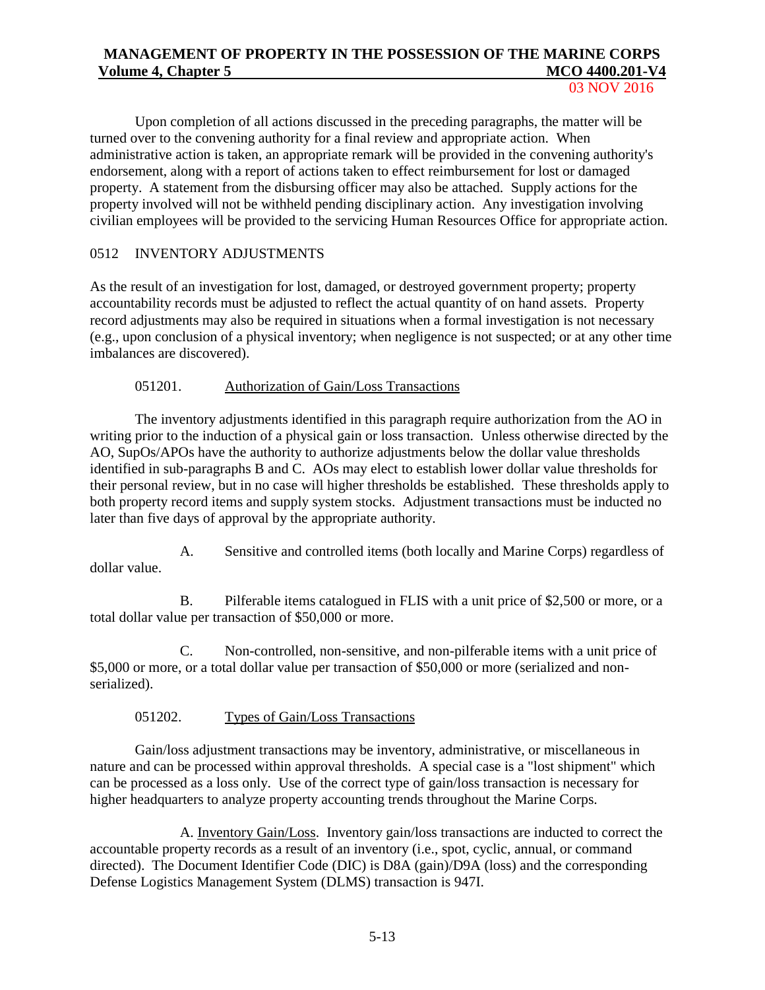Upon completion of all actions discussed in the preceding paragraphs, the matter will be turned over to the convening authority for a final review and appropriate action. When administrative action is taken, an appropriate remark will be provided in the convening authority's endorsement, along with a report of actions taken to effect reimbursement for lost or damaged property. A statement from the disbursing officer may also be attached. Supply actions for the property involved will not be withheld pending disciplinary action. Any investigation involving civilian employees will be provided to the servicing Human Resources Office for appropriate action.

#### 0512 INVENTORY ADJUSTMENTS

As the result of an investigation for lost, damaged, or destroyed government property; property accountability records must be adjusted to reflect the actual quantity of on hand assets. Property record adjustments may also be required in situations when a formal investigation is not necessary (e.g., upon conclusion of a physical inventory; when negligence is not suspected; or at any other time imbalances are discovered).

# 051201. Authorization of Gain/Loss Transactions

The inventory adjustments identified in this paragraph require authorization from the AO in writing prior to the induction of a physical gain or loss transaction. Unless otherwise directed by the AO, SupOs/APOs have the authority to authorize adjustments below the dollar value thresholds identified in sub-paragraphs B and C. AOs may elect to establish lower dollar value thresholds for their personal review, but in no case will higher thresholds be established. These thresholds apply to both property record items and supply system stocks. Adjustment transactions must be inducted no later than five days of approval by the appropriate authority.

A. Sensitive and controlled items (both locally and Marine Corps) regardless of dollar value.

B. Pilferable items catalogued in FLIS with a unit price of \$2,500 or more, or a total dollar value per transaction of \$50,000 or more.

C. Non-controlled, non-sensitive, and non-pilferable items with a unit price of \$5,000 or more, or a total dollar value per transaction of \$50,000 or more (serialized and nonserialized).

#### 051202. Types of Gain/Loss Transactions

Gain/loss adjustment transactions may be inventory, administrative, or miscellaneous in nature and can be processed within approval thresholds. A special case is a "lost shipment" which can be processed as a loss only. Use of the correct type of gain/loss transaction is necessary for higher headquarters to analyze property accounting trends throughout the Marine Corps.

A. Inventory Gain/Loss. Inventory gain/loss transactions are inducted to correct the accountable property records as a result of an inventory (i.e., spot, cyclic, annual, or command directed). The Document Identifier Code (DIC) is D8A (gain)/D9A (loss) and the corresponding Defense Logistics Management System (DLMS) transaction is 947I.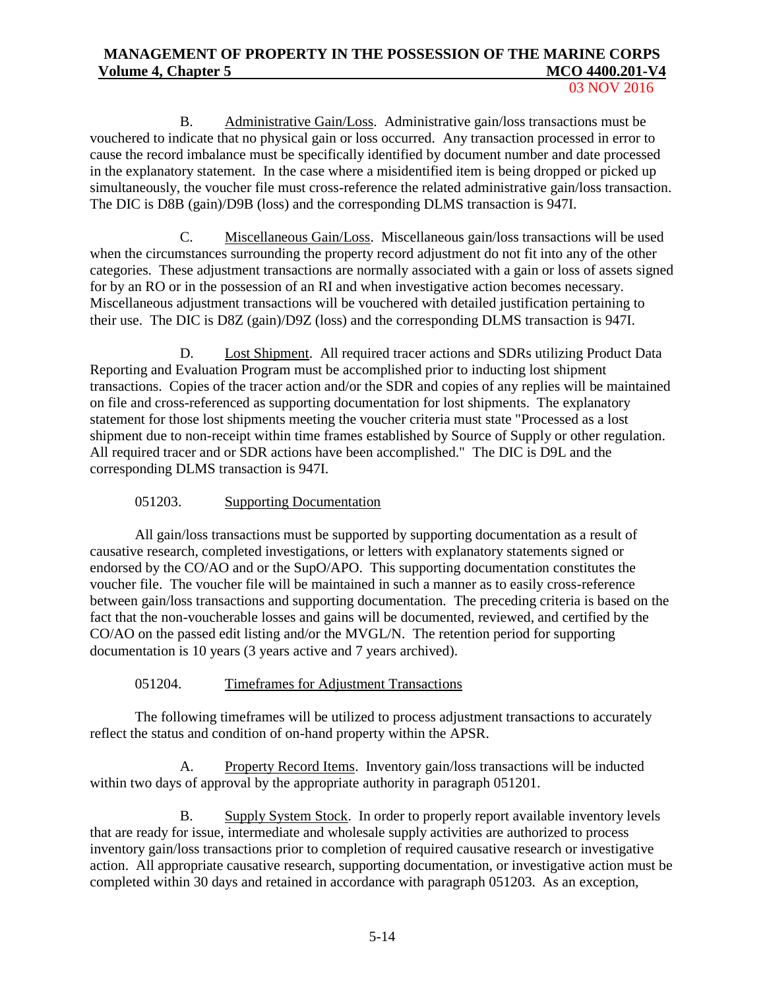03 NOV 2016

B. Administrative Gain/Loss. Administrative gain/loss transactions must be vouchered to indicate that no physical gain or loss occurred. Any transaction processed in error to cause the record imbalance must be specifically identified by document number and date processed in the explanatory statement. In the case where a misidentified item is being dropped or picked up simultaneously, the voucher file must cross-reference the related administrative gain/loss transaction. The DIC is D8B (gain)/D9B (loss) and the corresponding DLMS transaction is 947I.

C. Miscellaneous Gain/Loss. Miscellaneous gain/loss transactions will be used when the circumstances surrounding the property record adjustment do not fit into any of the other categories. These adjustment transactions are normally associated with a gain or loss of assets signed for by an RO or in the possession of an RI and when investigative action becomes necessary. Miscellaneous adjustment transactions will be vouchered with detailed justification pertaining to their use. The DIC is D8Z (gain)/D9Z (loss) and the corresponding DLMS transaction is 947I.

D. Lost Shipment. All required tracer actions and SDRs utilizing Product Data Reporting and Evaluation Program must be accomplished prior to inducting lost shipment transactions. Copies of the tracer action and/or the SDR and copies of any replies will be maintained on file and cross-referenced as supporting documentation for lost shipments. The explanatory statement for those lost shipments meeting the voucher criteria must state "Processed as a lost shipment due to non-receipt within time frames established by Source of Supply or other regulation. All required tracer and or SDR actions have been accomplished." The DIC is D9L and the corresponding DLMS transaction is 947I.

# 051203. Supporting Documentation

All gain/loss transactions must be supported by supporting documentation as a result of causative research, completed investigations, or letters with explanatory statements signed or endorsed by the CO/AO and or the SupO/APO. This supporting documentation constitutes the voucher file. The voucher file will be maintained in such a manner as to easily cross-reference between gain/loss transactions and supporting documentation. The preceding criteria is based on the fact that the non-voucherable losses and gains will be documented, reviewed, and certified by the CO/AO on the passed edit listing and/or the MVGL/N. The retention period for supporting documentation is 10 years (3 years active and 7 years archived).

# 051204. Timeframes for Adjustment Transactions

The following timeframes will be utilized to process adjustment transactions to accurately reflect the status and condition of on-hand property within the APSR.

A. Property Record Items. Inventory gain/loss transactions will be inducted within two days of approval by the appropriate authority in paragraph 051201.

B. Supply System Stock. In order to properly report available inventory levels that are ready for issue, intermediate and wholesale supply activities are authorized to process inventory gain/loss transactions prior to completion of required causative research or investigative action. All appropriate causative research, supporting documentation, or investigative action must be completed within 30 days and retained in accordance with paragraph 051203. As an exception,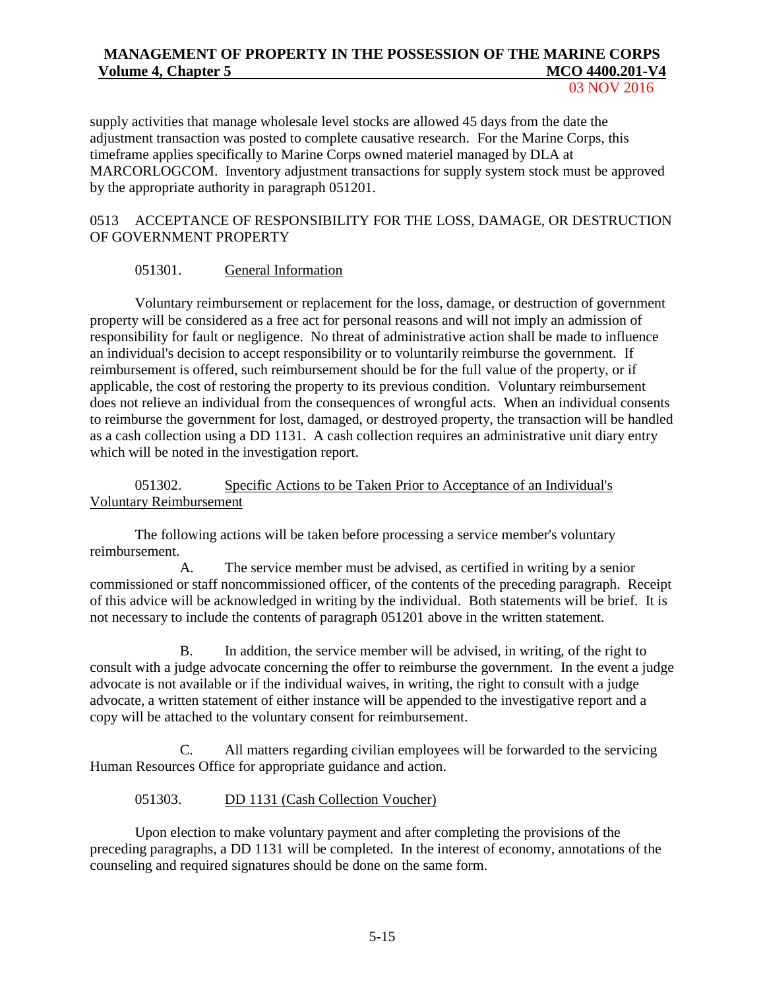03 NOV 2016

supply activities that manage wholesale level stocks are allowed 45 days from the date the adjustment transaction was posted to complete causative research. For the Marine Corps, this timeframe applies specifically to Marine Corps owned materiel managed by DLA at MARCORLOGCOM. Inventory adjustment transactions for supply system stock must be approved by the appropriate authority in paragraph 051201.

### 0513 ACCEPTANCE OF RESPONSIBILITY FOR THE LOSS, DAMAGE, OR DESTRUCTION OF GOVERNMENT PROPERTY

# 051301. General Information

Voluntary reimbursement or replacement for the loss, damage, or destruction of government property will be considered as a free act for personal reasons and will not imply an admission of responsibility for fault or negligence. No threat of administrative action shall be made to influence an individual's decision to accept responsibility or to voluntarily reimburse the government. If reimbursement is offered, such reimbursement should be for the full value of the property, or if applicable, the cost of restoring the property to its previous condition. Voluntary reimbursement does not relieve an individual from the consequences of wrongful acts. When an individual consents to reimburse the government for lost, damaged, or destroyed property, the transaction will be handled as a cash collection using a DD 1131. A cash collection requires an administrative unit diary entry which will be noted in the investigation report.

### 051302. Specific Actions to be Taken Prior to Acceptance of an Individual's Voluntary Reimbursement

The following actions will be taken before processing a service member's voluntary reimbursement.

A. The service member must be advised, as certified in writing by a senior commissioned or staff noncommissioned officer, of the contents of the preceding paragraph. Receipt of this advice will be acknowledged in writing by the individual. Both statements will be brief. It is not necessary to include the contents of paragraph 051201 above in the written statement.

B. In addition, the service member will be advised, in writing, of the right to consult with a judge advocate concerning the offer to reimburse the government. In the event a judge advocate is not available or if the individual waives, in writing, the right to consult with a judge advocate, a written statement of either instance will be appended to the investigative report and a copy will be attached to the voluntary consent for reimbursement.

C. All matters regarding civilian employees will be forwarded to the servicing Human Resources Office for appropriate guidance and action.

# 051303. DD 1131 (Cash Collection Voucher)

Upon election to make voluntary payment and after completing the provisions of the preceding paragraphs, a DD 1131 will be completed. In the interest of economy, annotations of the counseling and required signatures should be done on the same form.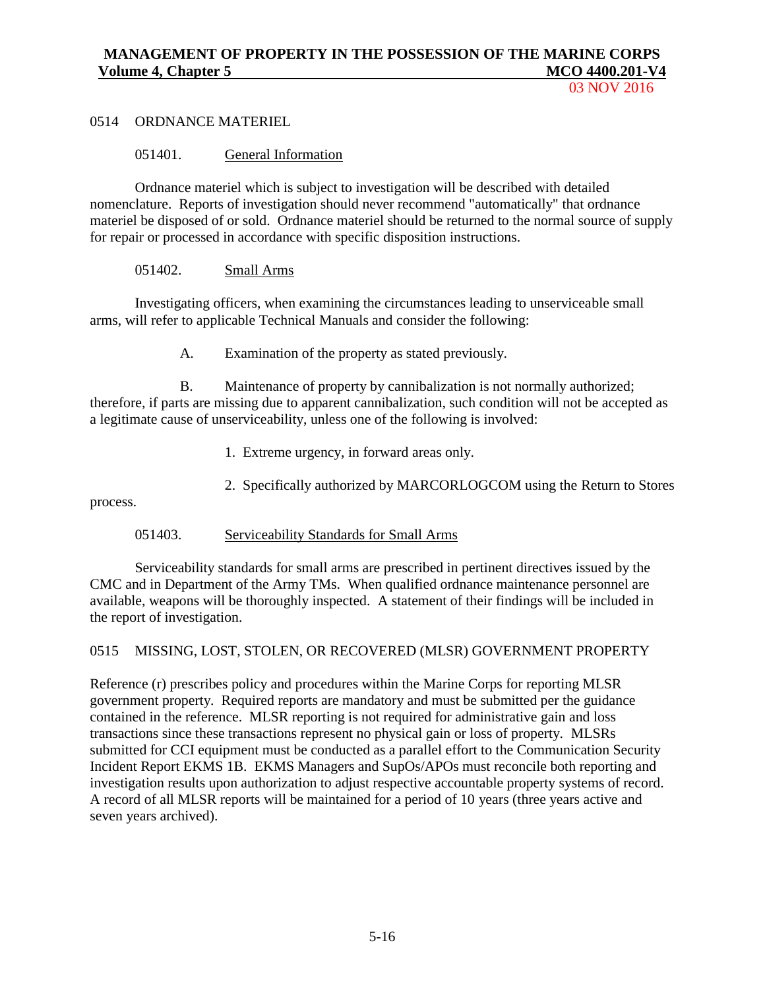03 NOV 2016

#### 0514 ORDNANCE MATERIEL

#### 051401. General Information

Ordnance materiel which is subject to investigation will be described with detailed nomenclature. Reports of investigation should never recommend "automatically" that ordnance materiel be disposed of or sold. Ordnance materiel should be returned to the normal source of supply for repair or processed in accordance with specific disposition instructions.

#### 051402. Small Arms

Investigating officers, when examining the circumstances leading to unserviceable small arms, will refer to applicable Technical Manuals and consider the following:

A. Examination of the property as stated previously.

B. Maintenance of property by cannibalization is not normally authorized; therefore, if parts are missing due to apparent cannibalization, such condition will not be accepted as a legitimate cause of unserviceability, unless one of the following is involved:

- 1. Extreme urgency, in forward areas only.
- 2. Specifically authorized by MARCORLOGCOM using the Return to Stores

process.

#### 051403. Serviceability Standards for Small Arms

Serviceability standards for small arms are prescribed in pertinent directives issued by the CMC and in Department of the Army TMs. When qualified ordnance maintenance personnel are available, weapons will be thoroughly inspected. A statement of their findings will be included in the report of investigation.

#### 0515 MISSING, LOST, STOLEN, OR RECOVERED (MLSR) GOVERNMENT PROPERTY

Reference (r) prescribes policy and procedures within the Marine Corps for reporting MLSR government property. Required reports are mandatory and must be submitted per the guidance contained in the reference. MLSR reporting is not required for administrative gain and loss transactions since these transactions represent no physical gain or loss of property. MLSRs submitted for CCI equipment must be conducted as a parallel effort to the Communication Security Incident Report EKMS 1B. EKMS Managers and SupOs/APOs must reconcile both reporting and investigation results upon authorization to adjust respective accountable property systems of record. A record of all MLSR reports will be maintained for a period of 10 years (three years active and seven years archived).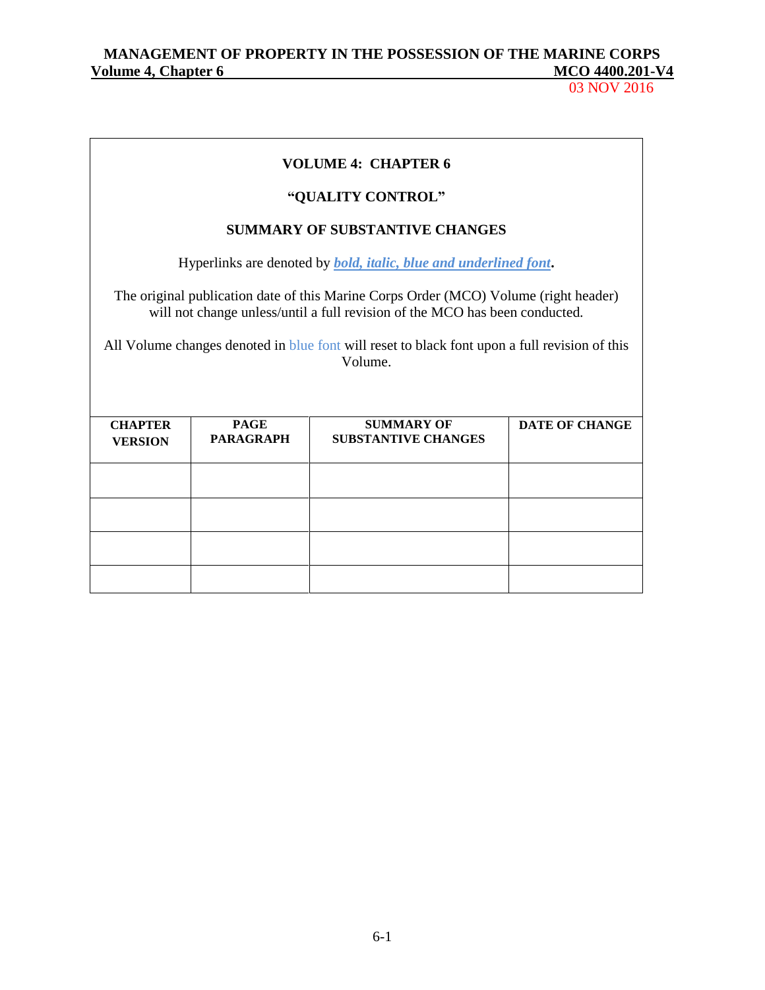03 NOV 2016

# **VOLUME 4: CHAPTER 6**

# **"QUALITY CONTROL"**

### **SUMMARY OF SUBSTANTIVE CHANGES**

Hyperlinks are denoted by *bold, italic, blue and underlined font***.**

The original publication date of this Marine Corps Order (MCO) Volume (right header) will not change unless/until a full revision of the MCO has been conducted.

All Volume changes denoted in blue font will reset to black font upon a full revision of this Volume.

| <b>CHAPTER</b><br><b>VERSION</b> | <b>PAGE</b><br><b>PARAGRAPH</b> | <b>SUMMARY OF</b><br><b>SUBSTANTIVE CHANGES</b> | <b>DATE OF CHANGE</b> |
|----------------------------------|---------------------------------|-------------------------------------------------|-----------------------|
|                                  |                                 |                                                 |                       |
|                                  |                                 |                                                 |                       |
|                                  |                                 |                                                 |                       |
|                                  |                                 |                                                 |                       |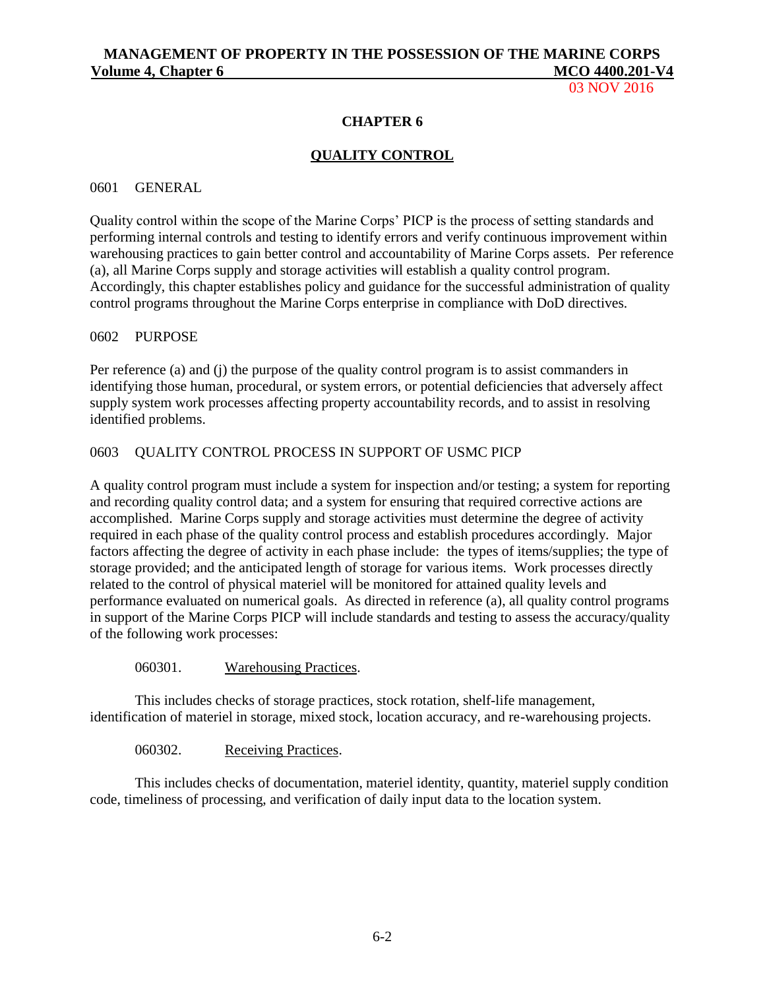03 NOV 2016

#### **CHAPTER 6**

#### **QUALITY CONTROL**

#### 0601 GENERAL

Quality control within the scope of the Marine Corps' PICP is the process of setting standards and performing internal controls and testing to identify errors and verify continuous improvement within warehousing practices to gain better control and accountability of Marine Corps assets. Per reference (a), all Marine Corps supply and storage activities will establish a quality control program. Accordingly, this chapter establishes policy and guidance for the successful administration of quality control programs throughout the Marine Corps enterprise in compliance with DoD directives.

0602 PURPOSE

Per reference (a) and (j) the purpose of the quality control program is to assist commanders in identifying those human, procedural, or system errors, or potential deficiencies that adversely affect supply system work processes affecting property accountability records, and to assist in resolving identified problems.

#### 0603 QUALITY CONTROL PROCESS IN SUPPORT OF USMC PICP

A quality control program must include a system for inspection and/or testing; a system for reporting and recording quality control data; and a system for ensuring that required corrective actions are accomplished. Marine Corps supply and storage activities must determine the degree of activity required in each phase of the quality control process and establish procedures accordingly. Major factors affecting the degree of activity in each phase include: the types of items/supplies; the type of storage provided; and the anticipated length of storage for various items. Work processes directly related to the control of physical materiel will be monitored for attained quality levels and performance evaluated on numerical goals. As directed in reference (a), all quality control programs in support of the Marine Corps PICP will include standards and testing to assess the accuracy/quality of the following work processes:

060301. Warehousing Practices.

This includes checks of storage practices, stock rotation, shelf-life management, identification of materiel in storage, mixed stock, location accuracy, and re-warehousing projects.

#### 060302. Receiving Practices.

This includes checks of documentation, materiel identity, quantity, materiel supply condition code, timeliness of processing, and verification of daily input data to the location system.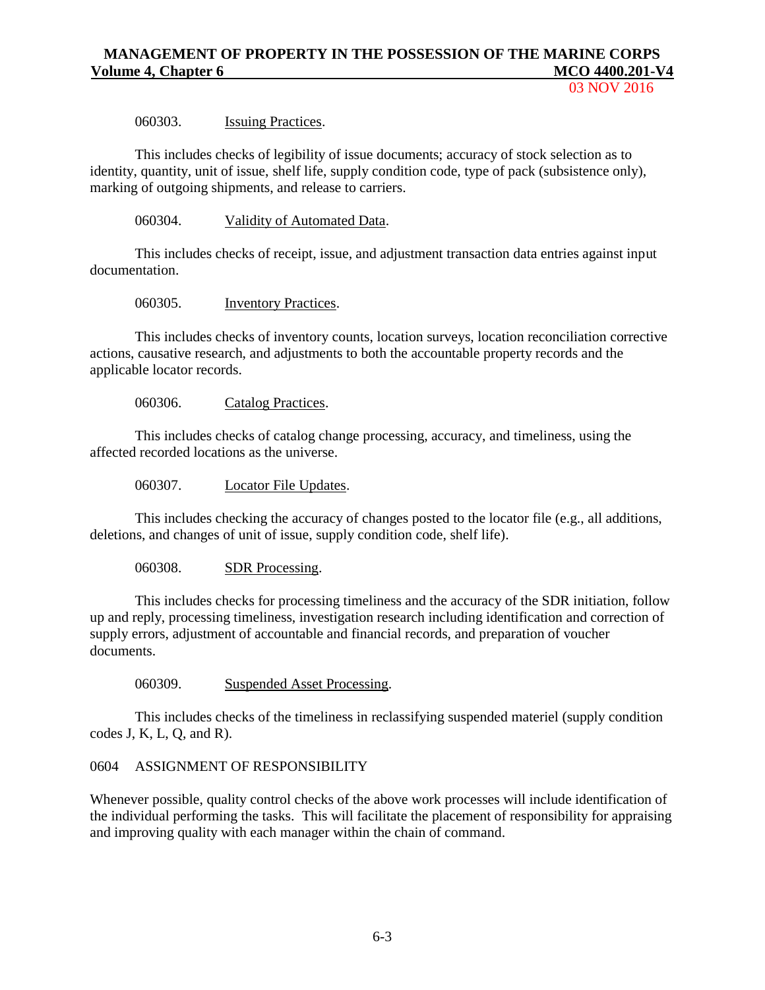03 NOV 2016

#### 060303. Issuing Practices.

This includes checks of legibility of issue documents; accuracy of stock selection as to identity, quantity, unit of issue, shelf life, supply condition code, type of pack (subsistence only), marking of outgoing shipments, and release to carriers.

060304. Validity of Automated Data.

This includes checks of receipt, issue, and adjustment transaction data entries against input documentation.

060305. Inventory Practices.

This includes checks of inventory counts, location surveys, location reconciliation corrective actions, causative research, and adjustments to both the accountable property records and the applicable locator records.

060306. Catalog Practices.

This includes checks of catalog change processing, accuracy, and timeliness, using the affected recorded locations as the universe.

060307. Locator File Updates.

This includes checking the accuracy of changes posted to the locator file (e.g., all additions, deletions, and changes of unit of issue, supply condition code, shelf life).

060308. SDR Processing.

This includes checks for processing timeliness and the accuracy of the SDR initiation, follow up and reply, processing timeliness, investigation research including identification and correction of supply errors, adjustment of accountable and financial records, and preparation of voucher documents.

060309. Suspended Asset Processing.

This includes checks of the timeliness in reclassifying suspended materiel (supply condition codes  $J, K, L, Q$ , and  $R$ ).

#### 0604 ASSIGNMENT OF RESPONSIBILITY

Whenever possible, quality control checks of the above work processes will include identification of the individual performing the tasks. This will facilitate the placement of responsibility for appraising and improving quality with each manager within the chain of command.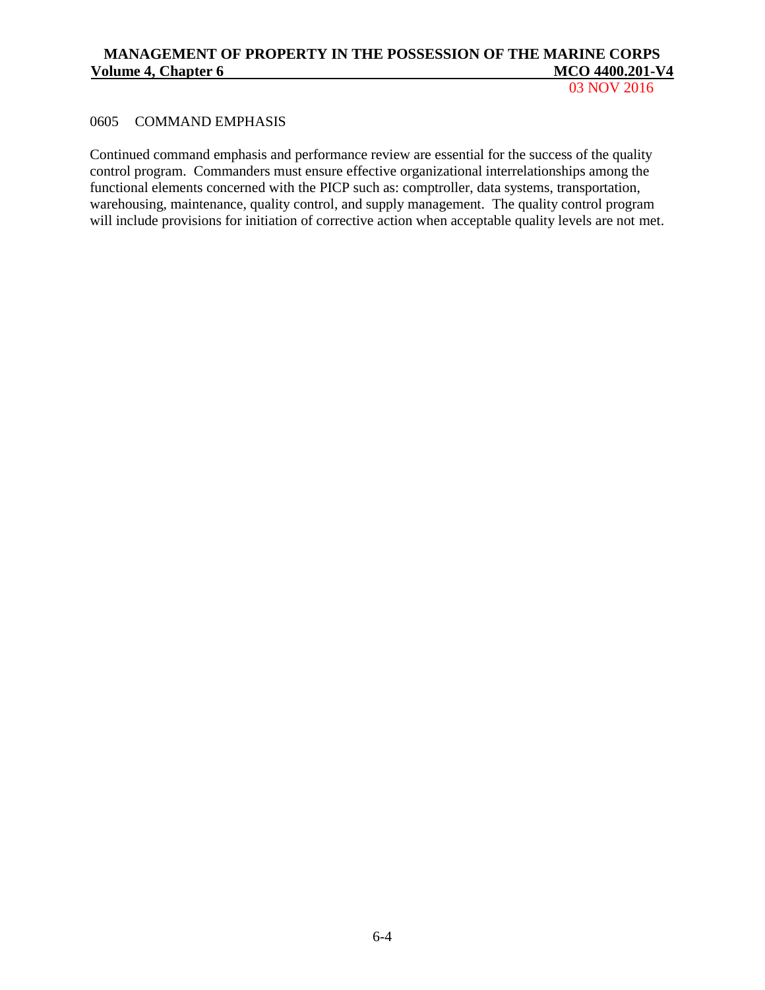03 NOV 2016

#### 0605 COMMAND EMPHASIS

Continued command emphasis and performance review are essential for the success of the quality control program. Commanders must ensure effective organizational interrelationships among the functional elements concerned with the PICP such as: comptroller, data systems, transportation, warehousing, maintenance, quality control, and supply management. The quality control program will include provisions for initiation of corrective action when acceptable quality levels are not met.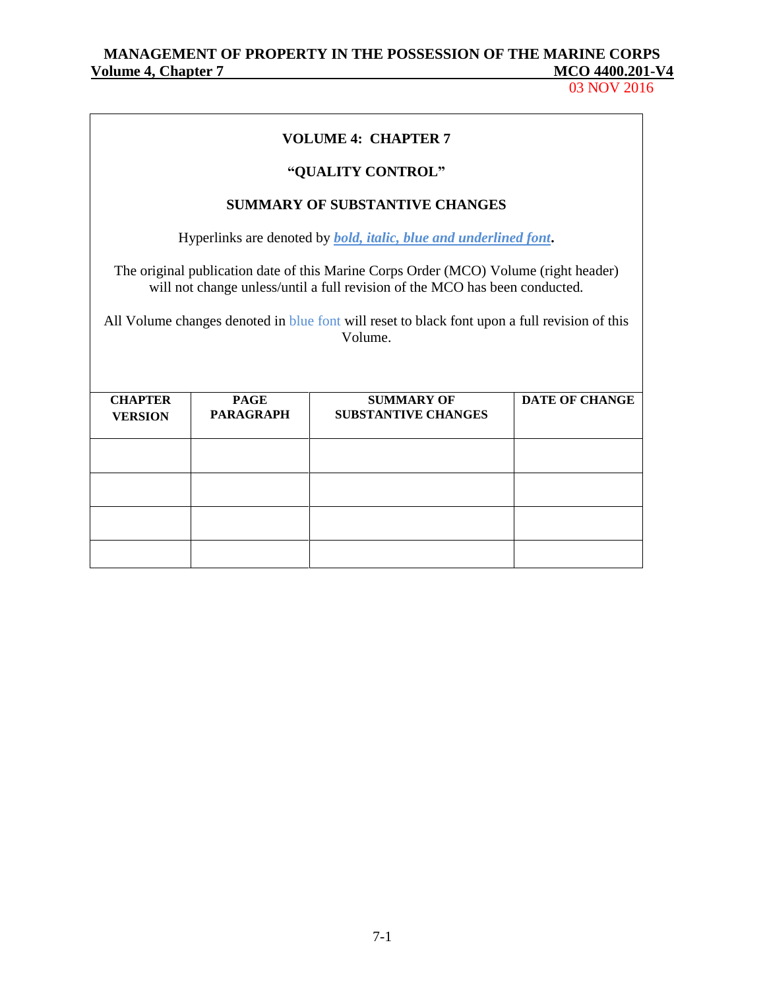03 NOV 2016

# **VOLUME 4: CHAPTER 7**

# **"QUALITY CONTROL"**

#### **SUMMARY OF SUBSTANTIVE CHANGES**

Hyperlinks are denoted by *bold, italic, blue and underlined font***.**

The original publication date of this Marine Corps Order (MCO) Volume (right header) will not change unless/until a full revision of the MCO has been conducted.

All Volume changes denoted in blue font will reset to black font upon a full revision of this Volume.

| <b>CHAPTER</b><br><b>VERSION</b> | <b>PAGE</b><br><b>PARAGRAPH</b> | <b>SUMMARY OF</b><br><b>SUBSTANTIVE CHANGES</b> | <b>DATE OF CHANGE</b> |
|----------------------------------|---------------------------------|-------------------------------------------------|-----------------------|
|                                  |                                 |                                                 |                       |
|                                  |                                 |                                                 |                       |
|                                  |                                 |                                                 |                       |
|                                  |                                 |                                                 |                       |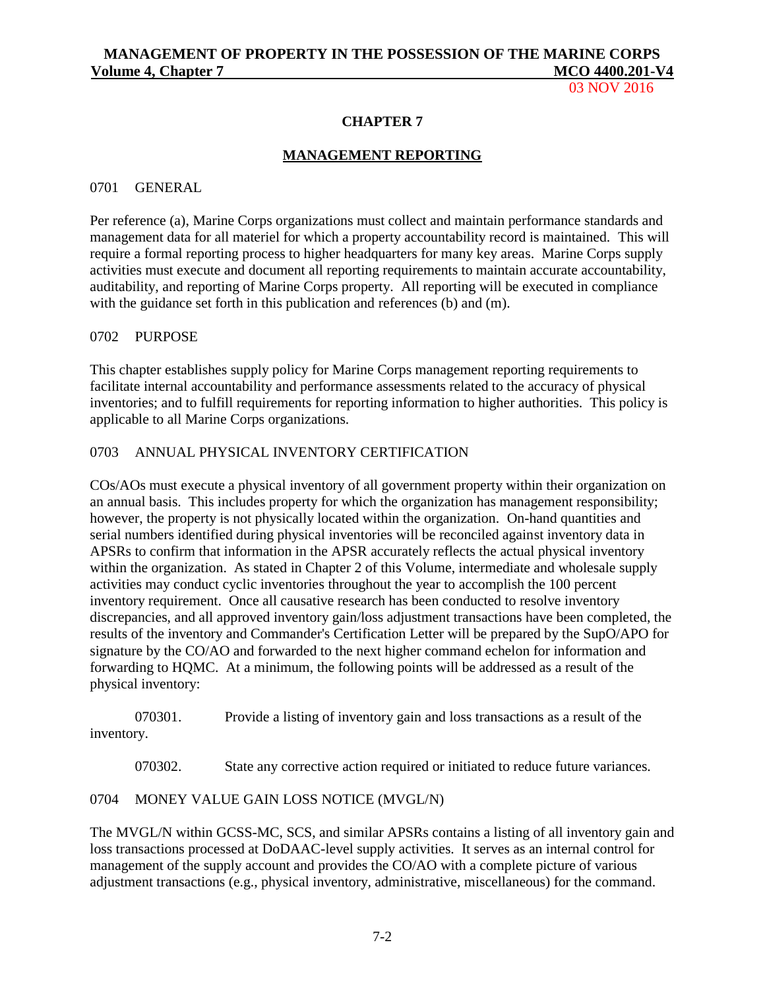03 NOV 2016

#### **CHAPTER 7**

#### **MANAGEMENT REPORTING**

#### 0701 GENERAL

Per reference (a), Marine Corps organizations must collect and maintain performance standards and management data for all materiel for which a property accountability record is maintained. This will require a formal reporting process to higher headquarters for many key areas. Marine Corps supply activities must execute and document all reporting requirements to maintain accurate accountability, auditability, and reporting of Marine Corps property. All reporting will be executed in compliance with the guidance set forth in this publication and references (b) and (m).

#### 0702 PURPOSE

This chapter establishes supply policy for Marine Corps management reporting requirements to facilitate internal accountability and performance assessments related to the accuracy of physical inventories; and to fulfill requirements for reporting information to higher authorities. This policy is applicable to all Marine Corps organizations.

#### 0703 ANNUAL PHYSICAL INVENTORY CERTIFICATION

COs/AOs must execute a physical inventory of all government property within their organization on an annual basis. This includes property for which the organization has management responsibility; however, the property is not physically located within the organization. On-hand quantities and serial numbers identified during physical inventories will be reconciled against inventory data in APSRs to confirm that information in the APSR accurately reflects the actual physical inventory within the organization. As stated in Chapter 2 of this Volume, intermediate and wholesale supply activities may conduct cyclic inventories throughout the year to accomplish the 100 percent inventory requirement. Once all causative research has been conducted to resolve inventory discrepancies, and all approved inventory gain/loss adjustment transactions have been completed, the results of the inventory and Commander's Certification Letter will be prepared by the SupO/APO for signature by the CO/AO and forwarded to the next higher command echelon for information and forwarding to HQMC. At a minimum, the following points will be addressed as a result of the physical inventory:

070301. Provide a listing of inventory gain and loss transactions as a result of the inventory.

070302. State any corrective action required or initiated to reduce future variances.

#### 0704 MONEY VALUE GAIN LOSS NOTICE (MVGL/N)

The MVGL/N within GCSS-MC, SCS, and similar APSRs contains a listing of all inventory gain and loss transactions processed at DoDAAC-level supply activities. It serves as an internal control for management of the supply account and provides the CO/AO with a complete picture of various adjustment transactions (e.g., physical inventory, administrative, miscellaneous) for the command.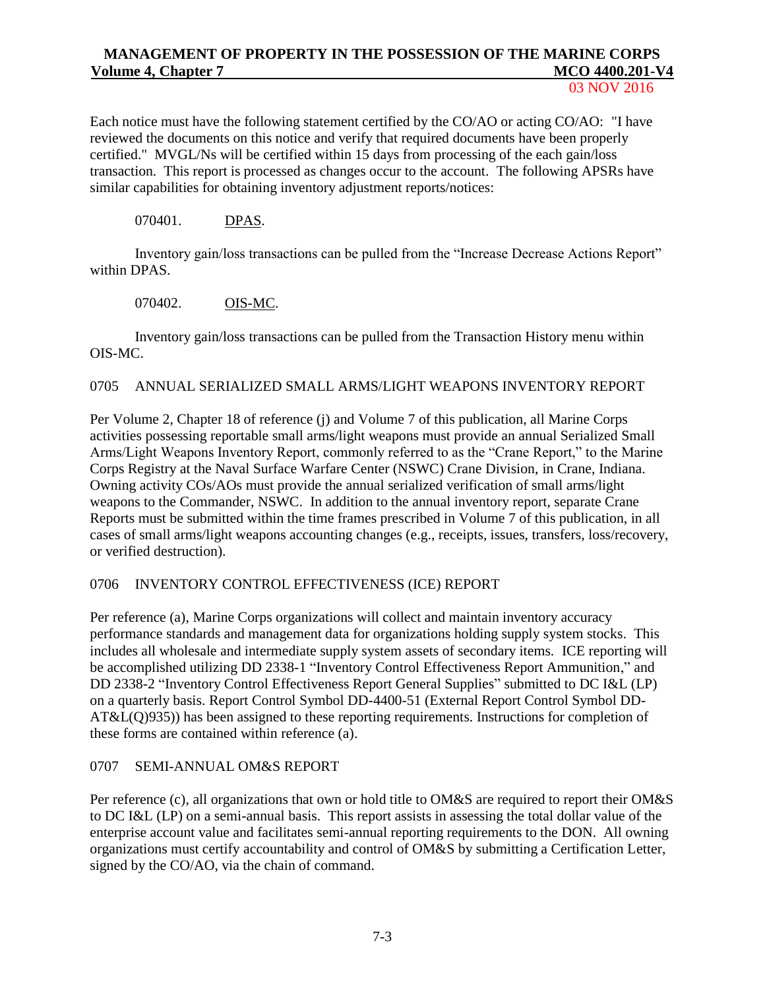#### 03 NOV 2016

Each notice must have the following statement certified by the CO/AO or acting CO/AO: "I have reviewed the documents on this notice and verify that required documents have been properly certified." MVGL/Ns will be certified within 15 days from processing of the each gain/loss transaction. This report is processed as changes occur to the account. The following APSRs have similar capabilities for obtaining inventory adjustment reports/notices:

070401. DPAS.

Inventory gain/loss transactions can be pulled from the "Increase Decrease Actions Report" within DPAS.

070402. OIS-MC.

Inventory gain/loss transactions can be pulled from the Transaction History menu within OIS-MC.

#### 0705 ANNUAL SERIALIZED SMALL ARMS/LIGHT WEAPONS INVENTORY REPORT

Per Volume 2, Chapter 18 of reference (j) and Volume 7 of this publication, all Marine Corps activities possessing reportable small arms/light weapons must provide an annual Serialized Small Arms/Light Weapons Inventory Report, commonly referred to as the "Crane Report," to the Marine Corps Registry at the Naval Surface Warfare Center (NSWC) Crane Division, in Crane, Indiana. Owning activity COs/AOs must provide the annual serialized verification of small arms/light weapons to the Commander, NSWC. In addition to the annual inventory report, separate Crane Reports must be submitted within the time frames prescribed in Volume 7 of this publication, in all cases of small arms/light weapons accounting changes (e.g., receipts, issues, transfers, loss/recovery, or verified destruction).

### 0706 INVENTORY CONTROL EFFECTIVENESS (ICE) REPORT

Per reference (a), Marine Corps organizations will collect and maintain inventory accuracy performance standards and management data for organizations holding supply system stocks. This includes all wholesale and intermediate supply system assets of secondary items. ICE reporting will be accomplished utilizing DD 2338-1 "Inventory Control Effectiveness Report Ammunition," and [DD 2338-2](http://www.dla.mil/j-6/dlmso/elibrary/manuals/forms.asp#dd23382) "Inventory Control Effectiveness Report General Supplies" submitted to DC I&L (LP) on a quarterly basis. Report Control Symbol DD-4400-51 (External Report Control Symbol DD-AT&L(Q)935)) has been assigned to these reporting requirements. Instructions for completion of these forms are contained within reference (a).

#### 0707 SEMI-ANNUAL OM&S REPORT

Per reference (c), all organizations that own or hold title to OM&S are required to report their OM&S to DC I&L (LP) on a semi-annual basis. This report assists in assessing the total dollar value of the enterprise account value and facilitates semi-annual reporting requirements to the DON. All owning organizations must certify accountability and control of OM&S by submitting a Certification Letter, signed by the CO/AO, via the chain of command.